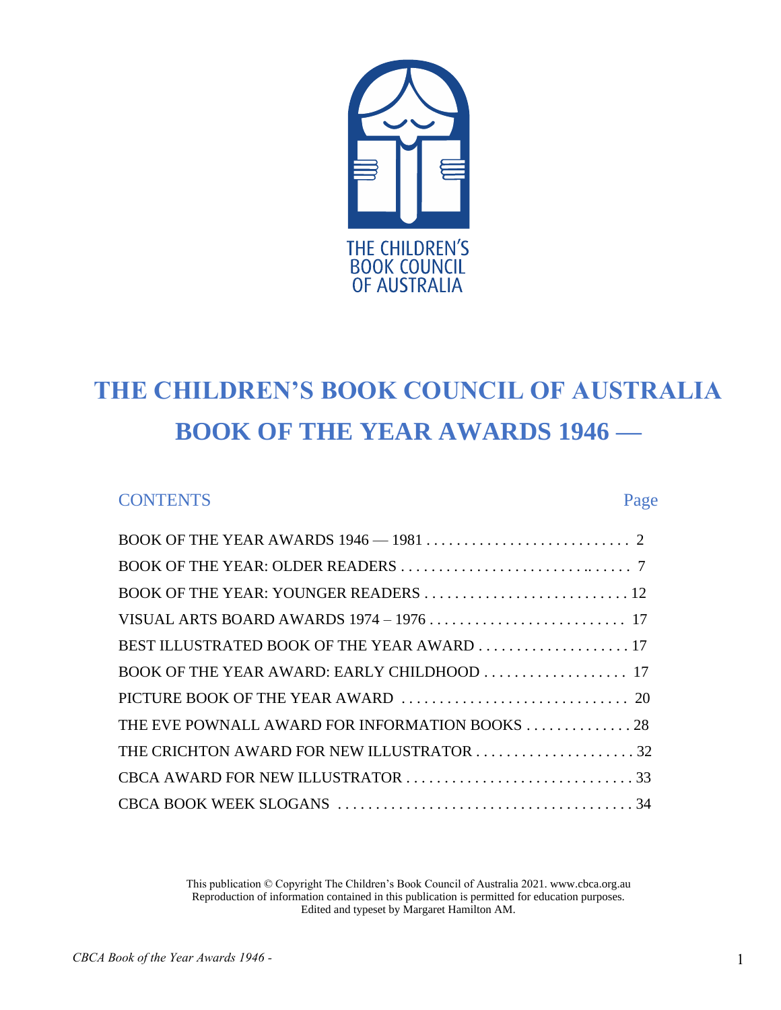

# **THE CHILDREN'S BOOK COUNCIL OF AUSTRALIA BOOK OF THE YEAR AWARDS 1946 —**

### CONTENTS Page

| BEST ILLUSTRATED BOOK OF THE YEAR AWARD  17    |
|------------------------------------------------|
|                                                |
|                                                |
| THE EVE POWNALL AWARD FOR INFORMATION BOOKS 28 |
|                                                |
|                                                |
|                                                |

This publication © Copyright The Children's Book Council of Australia 2021. www.cbca.org.au Reproduction of information contained in this publication is permitted for education purposes. Edited and typeset by Margaret Hamilton AM.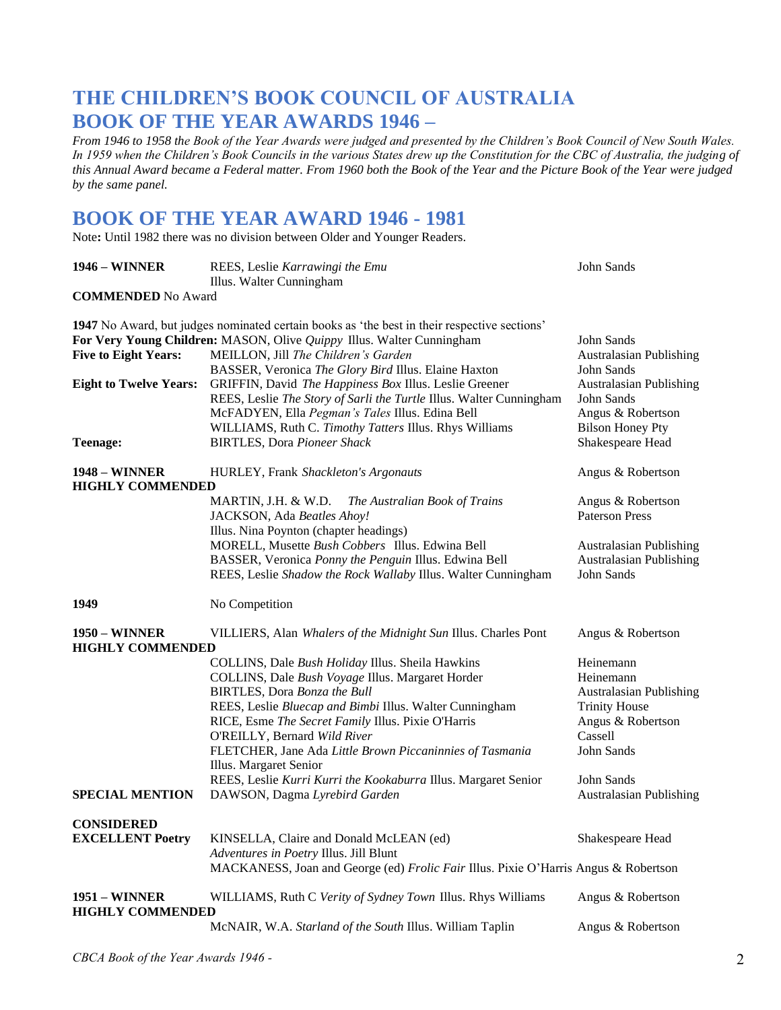### **THE CHILDREN'S BOOK COUNCIL OF AUSTRALIA BOOK OF THE YEAR AWARDS 1946 –**

*From 1946 to 1958 the Book of the Year Awards were judged and presented by the Children's Book Council of New South Wales. In 1959 when the Children's Book Councils in the various States drew up the Constitution for the CBC of Australia, the judging of this Annual Award became a Federal matter. From 1960 both the Book of the Year and the Picture Book of the Year were judged by the same panel.*

### **BOOK OF THE YEAR AWARD 1946 - 1981**

Note**:** Until 1982 there was no division between Older and Younger Readers.

| <b>1946 - WINNER</b>                            | REES, Leslie Karrawingi the Emu<br>Illus. Walter Cunningham                                                                                                                                                                                                                                                                                                                                                                                                                    | John Sands                                                                                                                                                                     |
|-------------------------------------------------|--------------------------------------------------------------------------------------------------------------------------------------------------------------------------------------------------------------------------------------------------------------------------------------------------------------------------------------------------------------------------------------------------------------------------------------------------------------------------------|--------------------------------------------------------------------------------------------------------------------------------------------------------------------------------|
| <b>COMMENDED</b> No Award                       |                                                                                                                                                                                                                                                                                                                                                                                                                                                                                |                                                                                                                                                                                |
| <b>Five to Eight Years:</b>                     | 1947 No Award, but judges nominated certain books as 'the best in their respective sections'<br>For Very Young Children: MASON, Olive Quippy Illus. Walter Cunningham<br>MEILLON, Jill The Children's Garden                                                                                                                                                                                                                                                                   | <b>John Sands</b><br>Australasian Publishing                                                                                                                                   |
| <b>Eight to Twelve Years:</b><br>Teenage:       | BASSER, Veronica The Glory Bird Illus. Elaine Haxton<br>GRIFFIN, David The Happiness Box Illus. Leslie Greener<br>REES, Leslie The Story of Sarli the Turtle Illus. Walter Cunningham<br>McFADYEN, Ella Pegman's Tales Illus. Edina Bell<br>WILLIAMS, Ruth C. Timothy Tatters Illus. Rhys Williams<br><b>BIRTLES, Dora Pioneer Shack</b>                                                                                                                                       | John Sands<br><b>Australasian Publishing</b><br>John Sands<br>Angus & Robertson<br><b>Bilson Honey Pty</b><br>Shakespeare Head                                                 |
| <b>1948 – WINNER</b>                            | HURLEY, Frank Shackleton's Argonauts                                                                                                                                                                                                                                                                                                                                                                                                                                           | Angus & Robertson                                                                                                                                                              |
| <b>HIGHLY COMMENDED</b>                         | MARTIN, J.H. & W.D.<br>The Australian Book of Trains<br>JACKSON, Ada Beatles Ahoy!<br>Illus. Nina Poynton (chapter headings)                                                                                                                                                                                                                                                                                                                                                   | Angus & Robertson<br><b>Paterson Press</b>                                                                                                                                     |
|                                                 | MORELL, Musette Bush Cobbers Illus. Edwina Bell<br>BASSER, Veronica Ponny the Penguin Illus. Edwina Bell<br>REES, Leslie Shadow the Rock Wallaby Illus. Walter Cunningham                                                                                                                                                                                                                                                                                                      | <b>Australasian Publishing</b><br><b>Australasian Publishing</b><br>John Sands                                                                                                 |
| 1949                                            | No Competition                                                                                                                                                                                                                                                                                                                                                                                                                                                                 |                                                                                                                                                                                |
| <b>1950 – WINNER</b><br><b>HIGHLY COMMENDED</b> | VILLIERS, Alan Whalers of the Midnight Sun Illus. Charles Pont                                                                                                                                                                                                                                                                                                                                                                                                                 | Angus & Robertson                                                                                                                                                              |
| <b>SPECIAL MENTION</b>                          | COLLINS, Dale Bush Holiday Illus. Sheila Hawkins<br>COLLINS, Dale Bush Voyage Illus. Margaret Horder<br>BIRTLES, Dora Bonza the Bull<br>REES, Leslie Bluecap and Bimbi Illus. Walter Cunningham<br>RICE, Esme The Secret Family Illus. Pixie O'Harris<br>O'REILLY, Bernard Wild River<br>FLETCHER, Jane Ada Little Brown Piccaninnies of Tasmania<br>Illus. Margaret Senior<br>REES, Leslie Kurri Kurri the Kookaburra Illus. Margaret Senior<br>DAWSON, Dagma Lyrebird Garden | Heinemann<br>Heinemann<br><b>Australasian Publishing</b><br><b>Trinity House</b><br>Angus & Robertson<br>Cassell<br>John Sands<br>John Sands<br><b>Australasian Publishing</b> |
|                                                 |                                                                                                                                                                                                                                                                                                                                                                                                                                                                                |                                                                                                                                                                                |
| <b>CONSIDERED</b><br><b>EXCELLENT Poetry</b>    | KINSELLA, Claire and Donald McLEAN (ed)<br>Adventures in Poetry Illus. Jill Blunt<br>MACKANESS, Joan and George (ed) Frolic Fair Illus. Pixie O'Harris Angus & Robertson                                                                                                                                                                                                                                                                                                       | Shakespeare Head                                                                                                                                                               |
| <b>1951 - WINNER</b><br><b>HIGHLY COMMENDED</b> | WILLIAMS, Ruth C Verity of Sydney Town Illus. Rhys Williams                                                                                                                                                                                                                                                                                                                                                                                                                    | Angus & Robertson                                                                                                                                                              |
|                                                 | McNAIR, W.A. Starland of the South Illus. William Taplin                                                                                                                                                                                                                                                                                                                                                                                                                       | Angus & Robertson                                                                                                                                                              |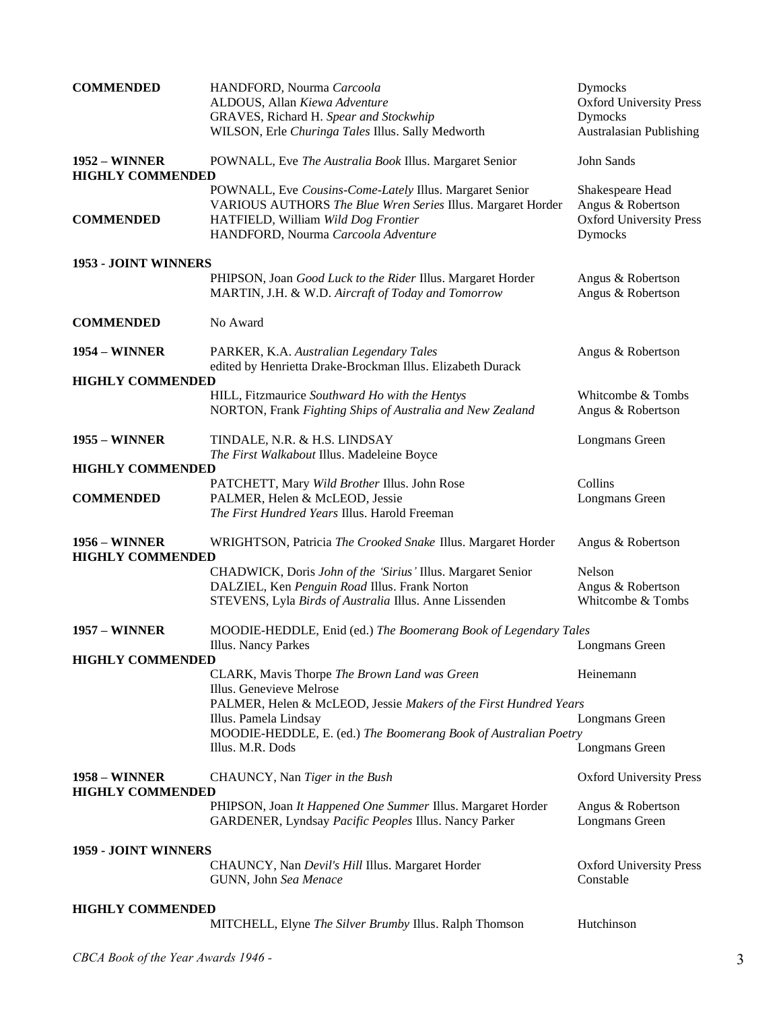| <b>COMMENDED</b>                                | HANDFORD, Nourma Carcoola<br>ALDOUS, Allan Kiewa Adventure<br>GRAVES, Richard H. Spear and Stockwhip<br>WILSON, Erle Churinga Tales Illus. Sally Medworth                                            | Dymocks<br><b>Oxford University Press</b><br>Dymocks<br><b>Australasian Publishing</b>    |
|-------------------------------------------------|------------------------------------------------------------------------------------------------------------------------------------------------------------------------------------------------------|-------------------------------------------------------------------------------------------|
| <b>1952 - WINNER</b><br><b>HIGHLY COMMENDED</b> | POWNALL, Eve The Australia Book Illus. Margaret Senior                                                                                                                                               | John Sands                                                                                |
| <b>COMMENDED</b>                                | POWNALL, Eve Cousins-Come-Lately Illus. Margaret Senior<br>VARIOUS AUTHORS The Blue Wren Series Illus. Margaret Horder<br>HATFIELD, William Wild Dog Frontier<br>HANDFORD, Nourma Carcoola Adventure | Shakespeare Head<br>Angus & Robertson<br><b>Oxford University Press</b><br><b>Dymocks</b> |
| 1953 - JOINT WINNERS                            |                                                                                                                                                                                                      |                                                                                           |
|                                                 | PHIPSON, Joan Good Luck to the Rider Illus. Margaret Horder<br>MARTIN, J.H. & W.D. Aircraft of Today and Tomorrow                                                                                    | Angus & Robertson<br>Angus & Robertson                                                    |
| <b>COMMENDED</b>                                | No Award                                                                                                                                                                                             |                                                                                           |
| <b>1954 – WINNER</b>                            | PARKER, K.A. Australian Legendary Tales<br>edited by Henrietta Drake-Brockman Illus. Elizabeth Durack                                                                                                | Angus & Robertson                                                                         |
| <b>HIGHLY COMMENDED</b>                         |                                                                                                                                                                                                      |                                                                                           |
|                                                 | HILL, Fitzmaurice Southward Ho with the Hentys<br>NORTON, Frank Fighting Ships of Australia and New Zealand                                                                                          | Whitcombe & Tombs<br>Angus & Robertson                                                    |
| <b>1955 – WINNER</b>                            | TINDALE, N.R. & H.S. LINDSAY<br>The First Walkabout Illus. Madeleine Boyce                                                                                                                           | Longmans Green                                                                            |
| <b>HIGHLY COMMENDED</b>                         |                                                                                                                                                                                                      |                                                                                           |
| <b>COMMENDED</b>                                | PATCHETT, Mary Wild Brother Illus. John Rose<br>PALMER, Helen & McLEOD, Jessie<br>The First Hundred Years Illus. Harold Freeman                                                                      | Collins<br>Longmans Green                                                                 |
| <b>1956 - WINNER</b><br><b>HIGHLY COMMENDED</b> | WRIGHTSON, Patricia The Crooked Snake Illus. Margaret Horder                                                                                                                                         | Angus & Robertson                                                                         |
|                                                 | CHADWICK, Doris John of the 'Sirius' Illus. Margaret Senior                                                                                                                                          | Nelson                                                                                    |
|                                                 | DALZIEL, Ken Penguin Road Illus. Frank Norton<br>STEVENS, Lyla Birds of Australia Illus. Anne Lissenden                                                                                              | Angus & Robertson<br>Whitcombe & Tombs                                                    |
| <b>1957 – WINNER</b>                            | MOODIE-HEDDLE, Enid (ed.) The Boomerang Book of Legendary Tales<br>Illus. Nancy Parkes                                                                                                               | Longmans Green                                                                            |
| <b>HIGHLY COMMENDED</b>                         |                                                                                                                                                                                                      |                                                                                           |
|                                                 | CLARK, Mavis Thorpe The Brown Land was Green<br>Illus. Genevieve Melrose                                                                                                                             | Heinemann                                                                                 |
|                                                 | PALMER, Helen & McLEOD, Jessie Makers of the First Hundred Years<br>Illus. Pamela Lindsay                                                                                                            | Longmans Green                                                                            |
|                                                 | MOODIE-HEDDLE, E. (ed.) The Boomerang Book of Australian Poetry                                                                                                                                      |                                                                                           |
|                                                 | Illus. M.R. Dods                                                                                                                                                                                     | Longmans Green                                                                            |
| <b>1958 - WINNER</b><br><b>HIGHLY COMMENDED</b> | CHAUNCY, Nan Tiger in the Bush                                                                                                                                                                       | <b>Oxford University Press</b>                                                            |
|                                                 | PHIPSON, Joan It Happened One Summer Illus. Margaret Horder<br>GARDENER, Lyndsay Pacific Peoples Illus. Nancy Parker                                                                                 | Angus & Robertson<br>Longmans Green                                                       |
| 1959 - JOINT WINNERS                            |                                                                                                                                                                                                      |                                                                                           |
|                                                 | CHAUNCY, Nan Devil's Hill Illus. Margaret Horder<br>GUNN, John Sea Menace                                                                                                                            | <b>Oxford University Press</b><br>Constable                                               |
| <b>HIGHLY COMMENDED</b>                         |                                                                                                                                                                                                      |                                                                                           |
|                                                 | MITCHELL, Elyne The Silver Brumby Illus. Ralph Thomson                                                                                                                                               | Hutchinson                                                                                |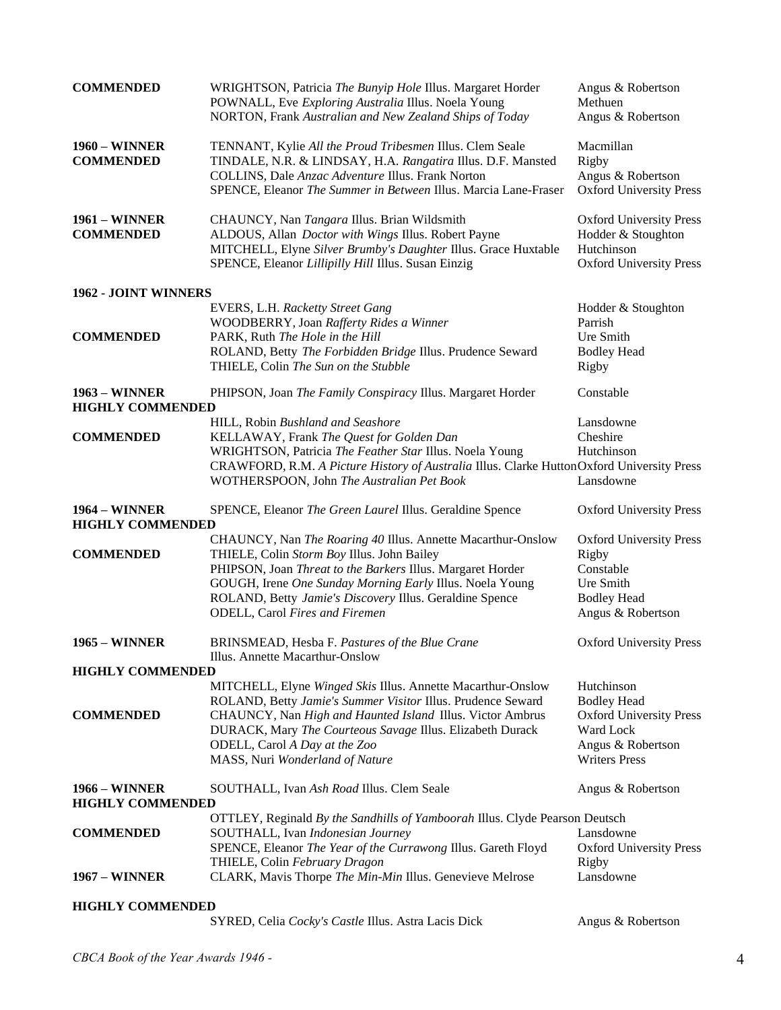| <b>COMMENDED</b>                                | WRIGHTSON, Patricia The Bunyip Hole Illus. Margaret Horder<br>POWNALL, Eve Exploring Australia Illus. Noela Young<br>NORTON, Frank Australian and New Zealand Ships of Today                                                                                                                                             | Angus & Robertson<br>Methuen<br>Angus & Robertson                                                                            |
|-------------------------------------------------|--------------------------------------------------------------------------------------------------------------------------------------------------------------------------------------------------------------------------------------------------------------------------------------------------------------------------|------------------------------------------------------------------------------------------------------------------------------|
| <b>1960 - WINNER</b><br><b>COMMENDED</b>        | TENNANT, Kylie All the Proud Tribesmen Illus. Clem Seale<br>TINDALE, N.R. & LINDSAY, H.A. Rangatira Illus. D.F. Mansted<br>COLLINS, Dale Anzac Adventure Illus. Frank Norton<br>SPENCE, Eleanor The Summer in Between Illus. Marcia Lane-Fraser                                                                          | Macmillan<br>Rigby<br>Angus & Robertson<br><b>Oxford University Press</b>                                                    |
| <b>1961 - WINNER</b><br><b>COMMENDED</b>        | CHAUNCY, Nan Tangara Illus. Brian Wildsmith<br>ALDOUS, Allan <i>Doctor with Wings Illus</i> . Robert Payne<br>MITCHELL, Elyne Silver Brumby's Daughter Illus. Grace Huxtable<br>SPENCE, Eleanor Lillipilly Hill Illus. Susan Einzig                                                                                      | <b>Oxford University Press</b><br>Hodder & Stoughton<br>Hutchinson<br><b>Oxford University Press</b>                         |
| 1962 - JOINT WINNERS                            |                                                                                                                                                                                                                                                                                                                          |                                                                                                                              |
|                                                 | EVERS, L.H. Racketty Street Gang                                                                                                                                                                                                                                                                                         | Hodder & Stoughton                                                                                                           |
|                                                 | WOODBERRY, Joan Rafferty Rides a Winner                                                                                                                                                                                                                                                                                  | Parrish                                                                                                                      |
| <b>COMMENDED</b>                                | PARK, Ruth The Hole in the Hill                                                                                                                                                                                                                                                                                          | Ure Smith                                                                                                                    |
|                                                 | ROLAND, Betty The Forbidden Bridge Illus. Prudence Seward                                                                                                                                                                                                                                                                | <b>Bodley Head</b>                                                                                                           |
|                                                 | THIELE, Colin The Sun on the Stubble                                                                                                                                                                                                                                                                                     | Rigby                                                                                                                        |
| <b>1963 – WINNER</b><br><b>HIGHLY COMMENDED</b> | PHIPSON, Joan The Family Conspiracy Illus. Margaret Horder                                                                                                                                                                                                                                                               | Constable                                                                                                                    |
|                                                 | HILL, Robin Bushland and Seashore                                                                                                                                                                                                                                                                                        | Lansdowne                                                                                                                    |
| <b>COMMENDED</b>                                | KELLAWAY, Frank The Quest for Golden Dan                                                                                                                                                                                                                                                                                 | Cheshire                                                                                                                     |
|                                                 | WRIGHTSON, Patricia The Feather Star Illus. Noela Young                                                                                                                                                                                                                                                                  | Hutchinson                                                                                                                   |
|                                                 | CRAWFORD, R.M. A Picture History of Australia Illus. Clarke HuttonOxford University Press                                                                                                                                                                                                                                |                                                                                                                              |
|                                                 | WOTHERSPOON, John The Australian Pet Book                                                                                                                                                                                                                                                                                | Lansdowne                                                                                                                    |
| <b>1964 – WINNER</b><br><b>HIGHLY COMMENDED</b> | SPENCE, Eleanor The Green Laurel Illus. Geraldine Spence                                                                                                                                                                                                                                                                 | <b>Oxford University Press</b>                                                                                               |
|                                                 |                                                                                                                                                                                                                                                                                                                          |                                                                                                                              |
|                                                 | CHAUNCY, Nan The Roaring 40 Illus. Annette Macarthur-Onslow                                                                                                                                                                                                                                                              | <b>Oxford University Press</b>                                                                                               |
| <b>COMMENDED</b>                                | THIELE, Colin Storm Boy Illus. John Bailey                                                                                                                                                                                                                                                                               | Rigby                                                                                                                        |
|                                                 | PHIPSON, Joan Threat to the Barkers Illus. Margaret Horder                                                                                                                                                                                                                                                               | Constable                                                                                                                    |
|                                                 | GOUGH, Irene One Sunday Morning Early Illus. Noela Young                                                                                                                                                                                                                                                                 | Ure Smith                                                                                                                    |
|                                                 | ROLAND, Betty Jamie's Discovery Illus. Geraldine Spence                                                                                                                                                                                                                                                                  | <b>Bodley Head</b>                                                                                                           |
|                                                 | ODELL, Carol Fires and Firemen                                                                                                                                                                                                                                                                                           | Angus & Robertson                                                                                                            |
| <b>1965 – WINNER</b>                            | BRINSMEAD, Hesba F. Pastures of the Blue Crane<br>Illus. Annette Macarthur-Onslow                                                                                                                                                                                                                                        | <b>Oxford University Press</b>                                                                                               |
| <b>HIGHLY COMMENDED</b>                         |                                                                                                                                                                                                                                                                                                                          |                                                                                                                              |
| <b>COMMENDED</b>                                | MITCHELL, Elyne Winged Skis Illus. Annette Macarthur-Onslow<br>ROLAND, Betty Jamie's Summer Visitor Illus. Prudence Seward<br>CHAUNCY, Nan High and Haunted Island Illus. Victor Ambrus<br>DURACK, Mary The Courteous Savage Illus. Elizabeth Durack<br>ODELL, Carol A Day at the Zoo<br>MASS, Nuri Wonderland of Nature | Hutchinson<br><b>Bodley Head</b><br><b>Oxford University Press</b><br>Ward Lock<br>Angus & Robertson<br><b>Writers Press</b> |
| <b>1966 – WINNER</b><br><b>HIGHLY COMMENDED</b> | SOUTHALL, Ivan Ash Road Illus. Clem Seale                                                                                                                                                                                                                                                                                | Angus & Robertson                                                                                                            |
|                                                 | OTTLEY, Reginald By the Sandhills of Yamboorah Illus. Clyde Pearson Deutsch                                                                                                                                                                                                                                              |                                                                                                                              |
| <b>COMMENDED</b>                                | SOUTHALL, Ivan Indonesian Journey                                                                                                                                                                                                                                                                                        | Lansdowne                                                                                                                    |
|                                                 | SPENCE, Eleanor The Year of the Currawong Illus. Gareth Floyd                                                                                                                                                                                                                                                            | <b>Oxford University Press</b>                                                                                               |
|                                                 | THIELE, Colin February Dragon                                                                                                                                                                                                                                                                                            | Rigby                                                                                                                        |
| <b>1967 – WINNER</b>                            | CLARK, Mavis Thorpe The Min-Min Illus. Genevieve Melrose                                                                                                                                                                                                                                                                 | Lansdowne                                                                                                                    |
| <b>HIGHLY COMMENDED</b>                         | SYRED, Celia Cocky's Castle Illus. Astra Lacis Dick                                                                                                                                                                                                                                                                      | Angus & Robertson                                                                                                            |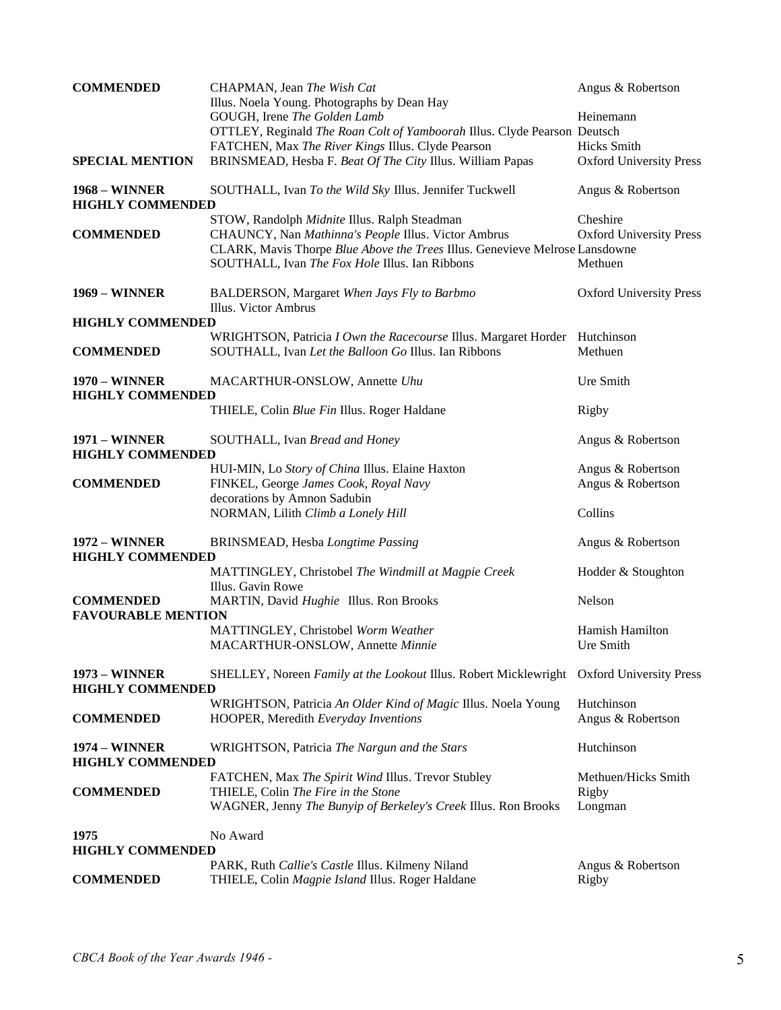| <b>COMMENDED</b>                                | CHAPMAN, Jean The Wish Cat<br>Illus. Noela Young. Photographs by Dean Hay                                                                                                            | Angus & Robertson                         |
|-------------------------------------------------|--------------------------------------------------------------------------------------------------------------------------------------------------------------------------------------|-------------------------------------------|
|                                                 | GOUGH, Irene The Golden Lamb                                                                                                                                                         | Heinemann                                 |
|                                                 | OTTLEY, Reginald The Roan Colt of Yamboorah Illus. Clyde Pearson Deutsch                                                                                                             |                                           |
|                                                 | FATCHEN, Max The River Kings Illus. Clyde Pearson                                                                                                                                    | <b>Hicks</b> Smith                        |
| <b>SPECIAL MENTION</b>                          | BRINSMEAD, Hesba F. Beat Of The City Illus. William Papas                                                                                                                            | <b>Oxford University Press</b>            |
| <b>1968 - WINNER</b><br><b>HIGHLY COMMENDED</b> | SOUTHALL, Ivan To the Wild Sky Illus. Jennifer Tuckwell                                                                                                                              | Angus & Robertson                         |
|                                                 | STOW, Randolph Midnite Illus. Ralph Steadman                                                                                                                                         | Cheshire                                  |
| <b>COMMENDED</b>                                | CHAUNCY, Nan Mathinna's People Illus. Victor Ambrus<br>CLARK, Mavis Thorpe Blue Above the Trees Illus. Genevieve Melrose Lansdowne<br>SOUTHALL, Ivan The Fox Hole Illus. Ian Ribbons | <b>Oxford University Press</b><br>Methuen |
| <b>1969 – WINNER</b>                            | BALDERSON, Margaret When Jays Fly to Barbmo<br>Illus. Victor Ambrus                                                                                                                  | <b>Oxford University Press</b>            |
| <b>HIGHLY COMMENDED</b>                         |                                                                                                                                                                                      |                                           |
| <b>COMMENDED</b>                                | WRIGHTSON, Patricia I Own the Racecourse Illus. Margaret Horder Hutchinson<br>SOUTHALL, Ivan Let the Balloon Go Illus. Ian Ribbons                                                   | Methuen                                   |
| <b>1970 – WINNER</b><br><b>HIGHLY COMMENDED</b> | MACARTHUR-ONSLOW, Annette Uhu                                                                                                                                                        | Ure Smith                                 |
|                                                 | THIELE, Colin Blue Fin Illus. Roger Haldane                                                                                                                                          | Rigby                                     |
| <b>1971 - WINNER</b><br><b>HIGHLY COMMENDED</b> | SOUTHALL, Ivan Bread and Honey                                                                                                                                                       | Angus & Robertson                         |
|                                                 | HUI-MIN, Lo Story of China Illus. Elaine Haxton                                                                                                                                      | Angus & Robertson                         |
| <b>COMMENDED</b>                                | FINKEL, George James Cook, Royal Navy                                                                                                                                                | Angus & Robertson                         |
|                                                 | decorations by Amnon Sadubin<br>NORMAN, Lilith Climb a Lonely Hill                                                                                                                   | Collins                                   |
| <b>1972 - WINNER</b><br><b>HIGHLY COMMENDED</b> | BRINSMEAD, Hesba Longtime Passing                                                                                                                                                    | Angus & Robertson                         |
|                                                 | MATTINGLEY, Christobel The Windmill at Magpie Creek<br>Illus. Gavin Rowe                                                                                                             | Hodder & Stoughton                        |
| <b>COMMENDED</b><br><b>FAVOURABLE MENTION</b>   | MARTIN, David Hughie Illus. Ron Brooks                                                                                                                                               | Nelson                                    |
|                                                 | MATTINGLEY, Christobel Worm Weather<br>MACARTHUR-ONSLOW, Annette Minnie                                                                                                              | Hamish Hamilton<br>Ure Smith              |
| <b>1973 - WINNER</b><br><b>HIGHLY COMMENDED</b> | SHELLEY, Noreen Family at the Lookout Illus. Robert Micklewright Oxford University Press                                                                                             |                                           |
|                                                 | WRIGHTSON, Patricia An Older Kind of Magic Illus. Noela Young                                                                                                                        | Hutchinson                                |
| <b>COMMENDED</b>                                | HOOPER, Meredith Everyday Inventions                                                                                                                                                 | Angus & Robertson                         |
| <b>1974 - WINNER</b><br><b>HIGHLY COMMENDED</b> | WRIGHTSON, Patricia The Nargun and the Stars                                                                                                                                         | Hutchinson                                |
| <b>COMMENDED</b>                                | FATCHEN, Max The Spirit Wind Illus. Trevor Stubley<br>THIELE, Colin The Fire in the Stone                                                                                            | Methuen/Hicks Smith<br>Rigby              |
|                                                 | WAGNER, Jenny The Bunyip of Berkeley's Creek Illus. Ron Brooks                                                                                                                       | Longman                                   |
| 1975                                            | No Award                                                                                                                                                                             |                                           |
| <b>HIGHLY COMMENDED</b>                         |                                                                                                                                                                                      |                                           |
| <b>COMMENDED</b>                                | PARK, Ruth Callie's Castle Illus. Kilmeny Niland<br>THIELE, Colin Magpie Island Illus. Roger Haldane                                                                                 | Angus & Robertson<br>Rigby                |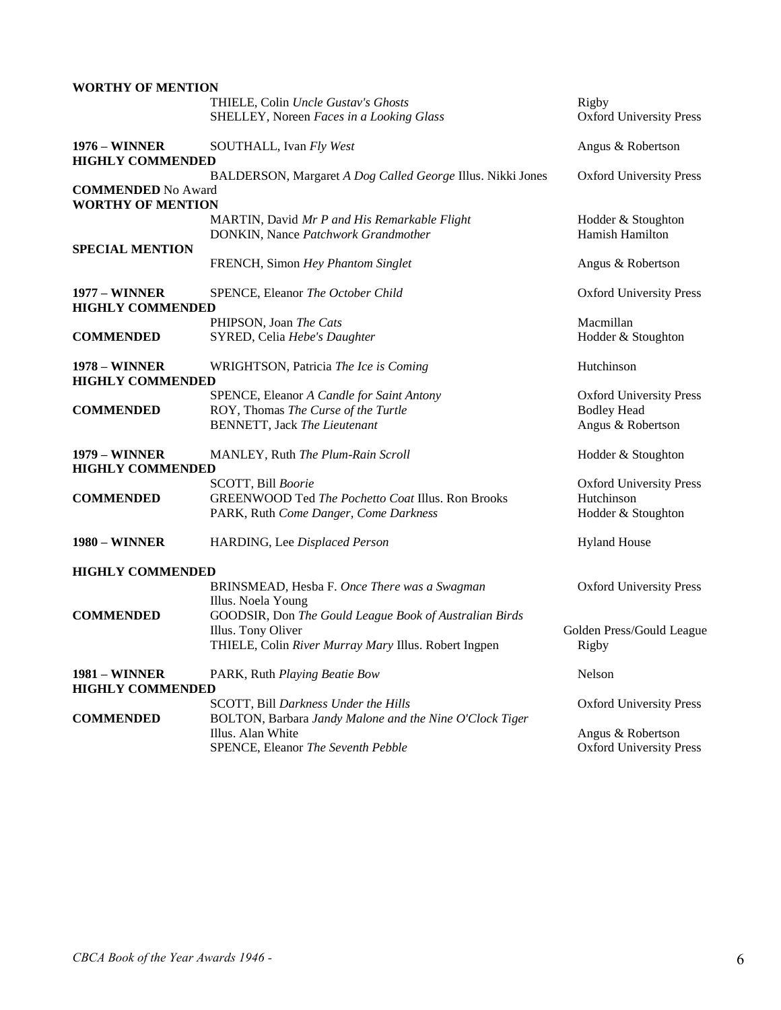| <b>WORTHY OF MENTION</b>                        |                                                                                                                    |                                                     |
|-------------------------------------------------|--------------------------------------------------------------------------------------------------------------------|-----------------------------------------------------|
|                                                 | THIELE, Colin Uncle Gustav's Ghosts<br>SHELLEY, Noreen Faces in a Looking Glass                                    | Rigby<br><b>Oxford University Press</b>             |
| <b>1976 – WINNER</b><br><b>HIGHLY COMMENDED</b> | SOUTHALL, Ivan Fly West                                                                                            | Angus & Robertson                                   |
|                                                 | BALDERSON, Margaret A Dog Called George Illus. Nikki Jones                                                         | <b>Oxford University Press</b>                      |
| <b>COMMENDED</b> No Award                       |                                                                                                                    |                                                     |
| <b>WORTHY OF MENTION</b>                        | MARTIN, David Mr P and His Remarkable Flight                                                                       | Hodder & Stoughton                                  |
|                                                 | DONKIN, Nance Patchwork Grandmother                                                                                | Hamish Hamilton                                     |
| <b>SPECIAL MENTION</b>                          |                                                                                                                    |                                                     |
|                                                 | FRENCH, Simon Hey Phantom Singlet                                                                                  | Angus & Robertson                                   |
| <b>1977 – WINNER</b><br><b>HIGHLY COMMENDED</b> | SPENCE, Eleanor The October Child                                                                                  | <b>Oxford University Press</b>                      |
|                                                 | PHIPSON, Joan The Cats                                                                                             | Macmillan                                           |
| <b>COMMENDED</b>                                | SYRED, Celia Hebe's Daughter                                                                                       | Hodder & Stoughton                                  |
| <b>1978 - WINNER</b><br><b>HIGHLY COMMENDED</b> | WRIGHTSON, Patricia The Ice is Coming                                                                              | Hutchinson                                          |
|                                                 | SPENCE, Eleanor A Candle for Saint Antony                                                                          | <b>Oxford University Press</b>                      |
| <b>COMMENDED</b>                                | ROY, Thomas The Curse of the Turtle                                                                                | <b>Bodley Head</b>                                  |
|                                                 | <b>BENNETT</b> , Jack The Lieutenant                                                                               | Angus & Robertson                                   |
| <b>1979 - WINNER</b>                            | MANLEY, Ruth The Plum-Rain Scroll                                                                                  | Hodder & Stoughton                                  |
| <b>HIGHLY COMMENDED</b>                         |                                                                                                                    |                                                     |
| <b>COMMENDED</b>                                | SCOTT, Bill Boorie<br>GREENWOOD Ted The Pochetto Coat Illus. Ron Brooks                                            | <b>Oxford University Press</b><br>Hutchinson        |
|                                                 | PARK, Ruth Come Danger, Come Darkness                                                                              | Hodder & Stoughton                                  |
| <b>1980 - WINNER</b>                            | HARDING, Lee Displaced Person                                                                                      | <b>Hyland House</b>                                 |
| <b>HIGHLY COMMENDED</b>                         |                                                                                                                    |                                                     |
|                                                 | BRINSMEAD, Hesba F. Once There was a Swagman<br>Illus. Noela Young                                                 | <b>Oxford University Press</b>                      |
| <b>COMMENDED</b>                                | GOODSIR, Don The Gould League Book of Australian Birds                                                             |                                                     |
|                                                 | Illus. Tony Oliver<br>THIELE, Colin River Murray Mary Illus. Robert Ingpen                                         | Golden Press/Gould League<br>Rigby                  |
| <b>1981 – WINNER</b><br><b>HIGHLY COMMENDED</b> | PARK, Ruth Playing Beatie Bow                                                                                      | Nelson                                              |
|                                                 | SCOTT, Bill Darkness Under the Hills                                                                               | <b>Oxford University Press</b>                      |
| <b>COMMENDED</b>                                | BOLTON, Barbara Jandy Malone and the Nine O'Clock Tiger<br>Illus. Alan White<br>SPENCE, Eleanor The Seventh Pebble | Angus & Robertson<br><b>Oxford University Press</b> |
|                                                 |                                                                                                                    |                                                     |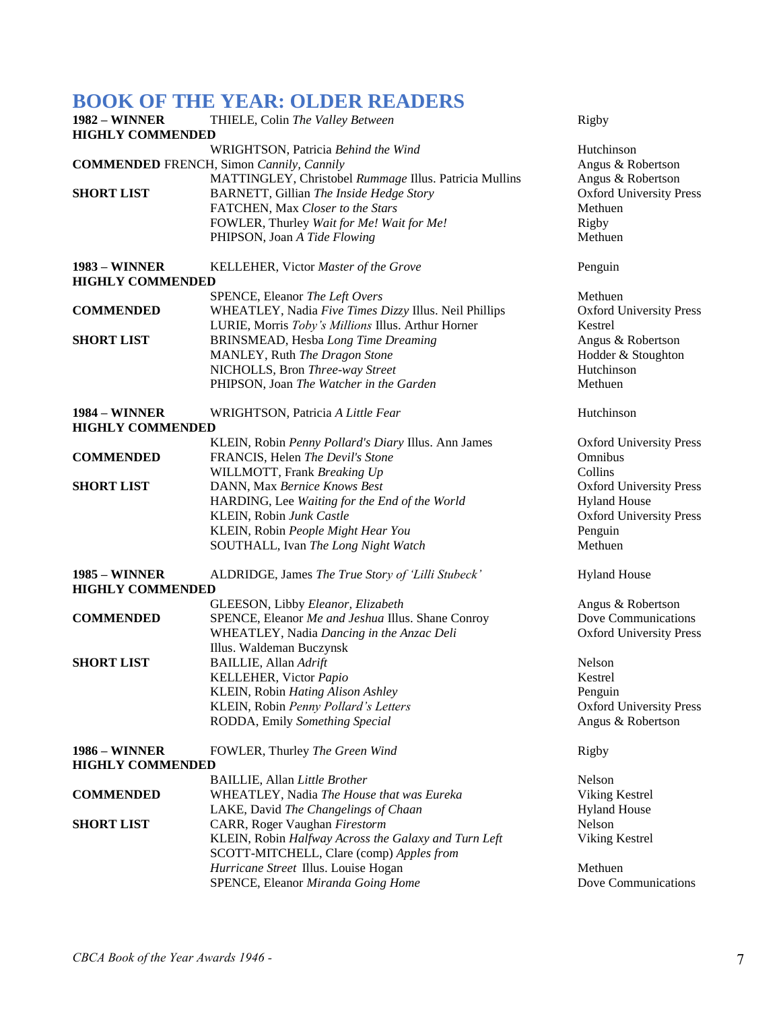### **BOOK OF THE YEAR: OLDER READERS**

| 1982 – WINNER           | THIELE, Colin The Valley Between                       | Rigby                          |
|-------------------------|--------------------------------------------------------|--------------------------------|
| <b>HIGHLY COMMENDED</b> |                                                        |                                |
|                         | WRIGHTSON, Patricia Behind the Wind                    | Hutchinson                     |
|                         | <b>COMMENDED</b> FRENCH, Simon Cannily, Cannily        | Angus & Robertson              |
|                         | MATTINGLEY, Christobel Rummage Illus. Patricia Mullins | Angus & Robertson              |
| <b>SHORT LIST</b>       | BARNETT, Gillian The Inside Hedge Story                | <b>Oxford University Press</b> |
|                         | FATCHEN, Max Closer to the Stars                       | Methuen                        |
|                         | FOWLER, Thurley Wait for Me! Wait for Me!              | Rigby                          |
|                         | PHIPSON, Joan A Tide Flowing                           | Methuen                        |
| <b>1983 - WINNER</b>    | KELLEHER, Victor Master of the Grove                   | Penguin                        |
| <b>HIGHLY COMMENDED</b> |                                                        |                                |
|                         | SPENCE, Eleanor The Left Overs                         | Methuen                        |
| <b>COMMENDED</b>        | WHEATLEY, Nadia Five Times Dizzy Illus. Neil Phillips  | <b>Oxford University Press</b> |
|                         | LURIE, Morris Toby's Millions Illus. Arthur Horner     | Kestrel                        |
| <b>SHORT LIST</b>       | <b>BRINSMEAD, Hesba Long Time Dreaming</b>             | Angus & Robertson              |
|                         | MANLEY, Ruth The Dragon Stone                          | Hodder & Stoughton             |
|                         | NICHOLLS, Bron Three-way Street                        | Hutchinson                     |
|                         | PHIPSON, Joan The Watcher in the Garden                | Methuen                        |
| <b>1984 – WINNER</b>    | WRIGHTSON, Patricia A Little Fear                      | Hutchinson                     |
| <b>HIGHLY COMMENDED</b> |                                                        |                                |
|                         | KLEIN, Robin Penny Pollard's Diary Illus. Ann James    | <b>Oxford University Press</b> |
| <b>COMMENDED</b>        | FRANCIS, Helen The Devil's Stone                       | Omnibus                        |
|                         | WILLMOTT, Frank Breaking Up                            | Collins                        |
| <b>SHORT LIST</b>       | DANN, Max Bernice Knows Best                           | <b>Oxford University Press</b> |
|                         | HARDING, Lee Waiting for the End of the World          | <b>Hyland House</b>            |
|                         | KLEIN, Robin Junk Castle                               | <b>Oxford University Press</b> |
|                         | KLEIN, Robin People Might Hear You                     | Penguin                        |
|                         | SOUTHALL, Ivan The Long Night Watch                    | Methuen                        |
| 1985 – WINNER           | ALDRIDGE, James The True Story of 'Lilli Stubeck'      | <b>Hyland House</b>            |
| <b>HIGHLY COMMENDED</b> |                                                        |                                |
|                         | GLEESON, Libby Eleanor, Elizabeth                      | Angus & Robertson              |
| <b>COMMENDED</b>        | SPENCE, Eleanor Me and Jeshua Illus. Shane Conroy      | Dove Communications            |
|                         | WHEATLEY, Nadia Dancing in the Anzac Deli              | <b>Oxford University Press</b> |
|                         | Illus. Waldeman Buczynsk                               |                                |
| <b>SHORT LIST</b>       | <b>BAILLIE</b> , Allan Adrift                          | Nelson                         |
|                         | KELLEHER, Victor Papio                                 | Kestrel                        |
|                         | KLEIN, Robin Hating Alison Ashley                      | Penguin                        |
|                         | KLEIN, Robin Penny Pollard's Letters                   | <b>Oxford University Press</b> |
|                         | RODDA, Emily Something Special                         | Angus & Robertson              |
| <b>1986 – WINNER</b>    | FOWLER, Thurley The Green Wind                         | Rigby                          |
| <b>HIGHLY COMMENDED</b> |                                                        |                                |
|                         | <b>BAILLIE, Allan Little Brother</b>                   | Nelson                         |
| <b>COMMENDED</b>        | WHEATLEY, Nadia The House that was Eureka              | Viking Kestrel                 |
|                         | LAKE, David The Changelings of Chaan                   | <b>Hyland House</b>            |
| <b>SHORT LIST</b>       | CARR, Roger Vaughan Firestorm                          | Nelson                         |
|                         | KLEIN, Robin Halfway Across the Galaxy and Turn Left   | Viking Kestrel                 |
|                         | SCOTT-MITCHELL, Clare (comp) Apples from               |                                |
|                         | Hurricane Street Illus. Louise Hogan                   | Methuen                        |
|                         | SPENCE, Eleanor Miranda Going Home                     | Dove Communications            |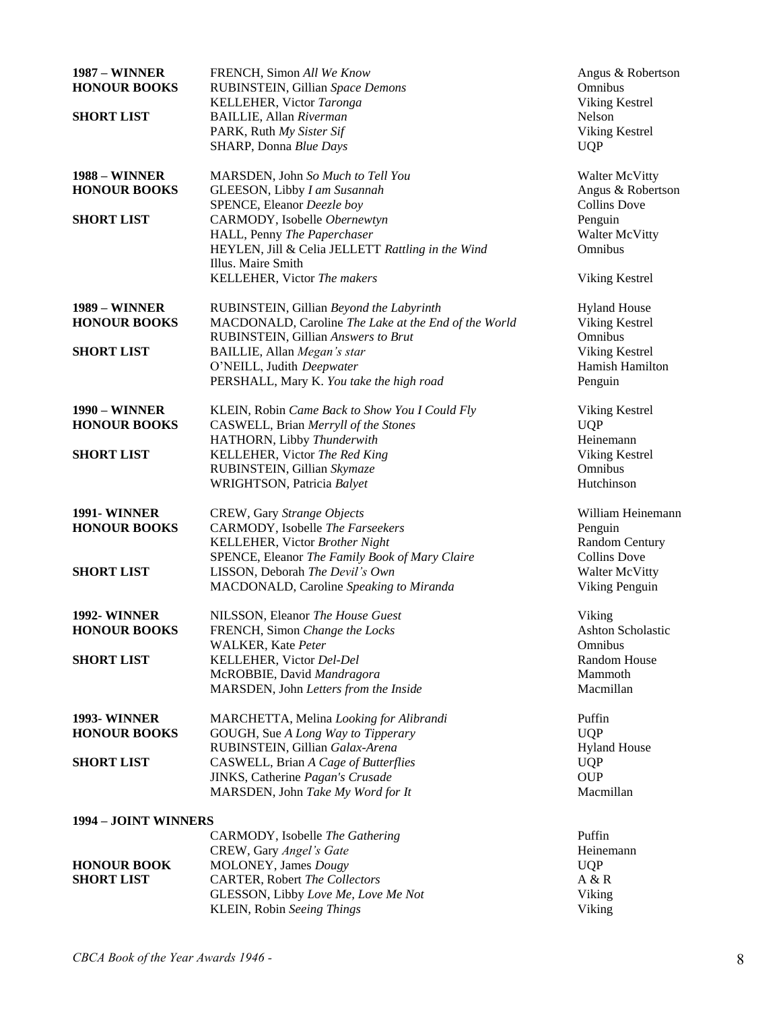| <b>1987 - WINNER</b><br><b>HONOUR BOOKS</b> | FRENCH, Simon All We Know<br>RUBINSTEIN, Gillian Space Demons               | Angus & Robertson<br>Omnibus      |
|---------------------------------------------|-----------------------------------------------------------------------------|-----------------------------------|
|                                             | KELLEHER, Victor Taronga                                                    | Viking Kestrel                    |
| <b>SHORT LIST</b>                           | <b>BAILLIE</b> , Allan Riverman                                             | Nelson                            |
|                                             | PARK, Ruth My Sister Sif                                                    | Viking Kestrel                    |
|                                             | SHARP, Donna Blue Days                                                      | <b>UQP</b>                        |
| <b>1988 – WINNER</b>                        | MARSDEN, John So Much to Tell You                                           | <b>Walter McVitty</b>             |
| <b>HONOUR BOOKS</b>                         | GLEESON, Libby I am Susannah                                                | Angus & Robertson                 |
|                                             | SPENCE, Eleanor Deezle boy                                                  | <b>Collins Dove</b>               |
| <b>SHORT LIST</b>                           | CARMODY, Isobelle Obernewtyn<br>HALL, Penny The Paperchaser                 | Penguin<br><b>Walter McVitty</b>  |
|                                             | HEYLEN, Jill & Celia JELLETT Rattling in the Wind                           | Omnibus                           |
|                                             | Illus. Maire Smith                                                          |                                   |
|                                             | KELLEHER, Victor The makers                                                 | Viking Kestrel                    |
| <b>1989 - WINNER</b>                        | RUBINSTEIN, Gillian Beyond the Labyrinth                                    | <b>Hyland House</b>               |
| <b>HONOUR BOOKS</b>                         | MACDONALD, Caroline The Lake at the End of the World                        | Viking Kestrel                    |
|                                             | RUBINSTEIN, Gillian Answers to Brut                                         | Omnibus                           |
| <b>SHORT LIST</b>                           | BAILLIE, Allan Megan's star<br>O'NEILL, Judith Deepwater                    | Viking Kestrel<br>Hamish Hamilton |
|                                             | PERSHALL, Mary K. You take the high road                                    | Penguin                           |
|                                             |                                                                             |                                   |
| <b>1990 – WINNER</b>                        | KLEIN, Robin Came Back to Show You I Could Fly                              | Viking Kestrel                    |
| <b>HONOUR BOOKS</b>                         | CASWELL, Brian Merryll of the Stones                                        | <b>UQP</b>                        |
|                                             | HATHORN, Libby Thunderwith                                                  | Heinemann                         |
| <b>SHORT LIST</b>                           | KELLEHER, Victor The Red King                                               | Viking Kestrel                    |
|                                             | RUBINSTEIN, Gillian Skymaze                                                 | Omnibus                           |
|                                             | WRIGHTSON, Patricia Balyet                                                  | Hutchinson                        |
| <b>1991-WINNER</b>                          | CREW, Gary Strange Objects                                                  | William Heinemann                 |
| <b>HONOUR BOOKS</b>                         | CARMODY, Isobelle The Farseekers                                            | Penguin                           |
|                                             | KELLEHER, Victor Brother Night                                              | <b>Random Century</b>             |
|                                             | SPENCE, Eleanor The Family Book of Mary Claire                              | <b>Collins Dove</b>               |
| <b>SHORT LIST</b>                           | LISSON, Deborah The Devil's Own                                             | <b>Walter McVitty</b>             |
|                                             | MACDONALD, Caroline Speaking to Miranda                                     | Viking Penguin                    |
| <b>1992-WINNER</b>                          | NILSSON, Eleanor The House Guest                                            | Viking                            |
| <b>HONOUR BOOKS</b>                         | FRENCH, Simon Change the Locks                                              | <b>Ashton Scholastic</b>          |
| <b>SHORT LIST</b>                           | WALKER, Kate Peter<br>KELLEHER, Victor Del-Del                              | Omnibus<br>Random House           |
|                                             | McROBBIE, David Mandragora                                                  | Mammoth                           |
|                                             | MARSDEN, John Letters from the Inside                                       | Macmillan                         |
|                                             |                                                                             |                                   |
| <b>1993-WINNER</b>                          | MARCHETTA, Melina Looking for Alibrandi                                     | Puffin                            |
| <b>HONOUR BOOKS</b>                         | GOUGH, Sue A Long Way to Tipperary                                          | <b>UQP</b>                        |
|                                             | RUBINSTEIN, Gillian Galax-Arena                                             | <b>Hyland House</b>               |
| <b>SHORT LIST</b>                           | CASWELL, Brian A Cage of Butterflies                                        | <b>UQP</b><br><b>OUP</b>          |
|                                             | JINKS, Catherine Pagan's Crusade<br>MARSDEN, John Take My Word for It       | Macmillan                         |
|                                             |                                                                             |                                   |
| 1994 - JOINT WINNERS                        |                                                                             |                                   |
|                                             | CARMODY, Isobelle The Gathering                                             | Puffin                            |
|                                             | CREW, Gary Angel's Gate                                                     | Heinemann                         |
| <b>HONOUR BOOK</b><br><b>SHORT LIST</b>     | MOLONEY, James Dougy                                                        | <b>UQP</b>                        |
|                                             | <b>CARTER, Robert The Collectors</b><br>GLESSON, Libby Love Me, Love Me Not | A & R<br>Viking                   |
|                                             | KLEIN, Robin Seeing Things                                                  | Viking                            |
|                                             |                                                                             |                                   |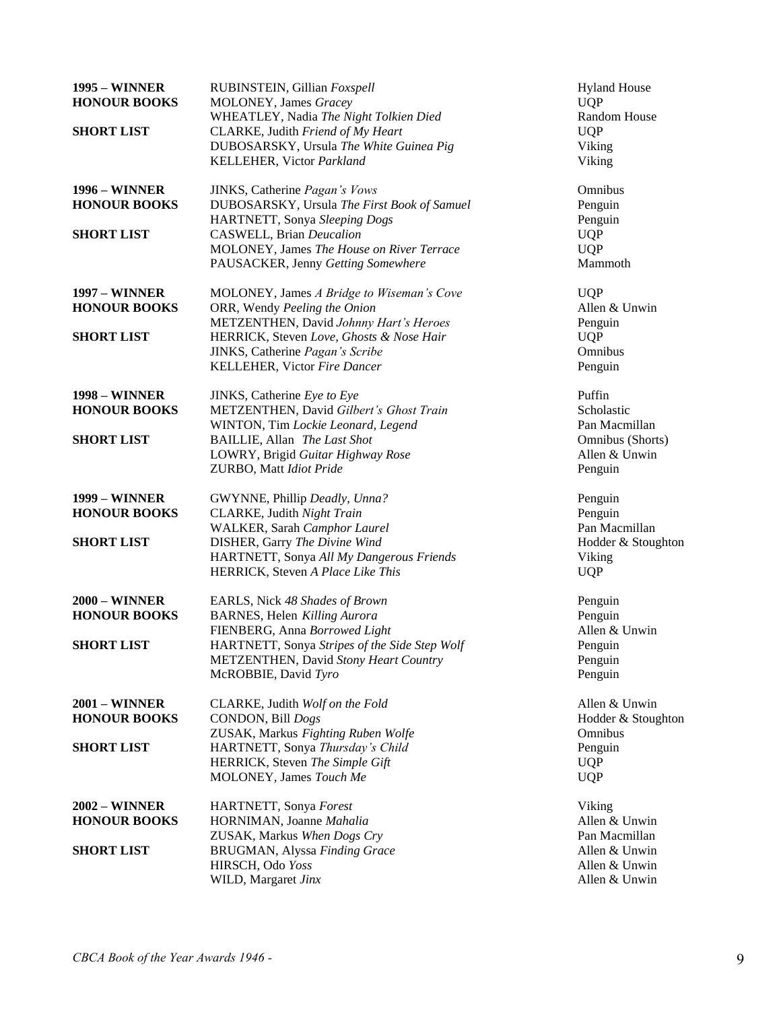| <b>1995 – WINNER</b><br><b>HONOUR BOOKS</b>   | RUBINSTEIN, Gillian Foxspell<br>MOLONEY, James Gracey<br>WHEATLEY, Nadia The Night Tolkien Died                            | <b>Hyland House</b><br><b>UQP</b><br>Random House |
|-----------------------------------------------|----------------------------------------------------------------------------------------------------------------------------|---------------------------------------------------|
| <b>SHORT LIST</b>                             | CLARKE, Judith Friend of My Heart<br>DUBOSARSKY, Ursula The White Guinea Pig<br>KELLEHER, Victor Parkland                  | <b>UQP</b><br>Viking<br>Viking                    |
| <b>1996 – WINNER</b>                          | JINKS, Catherine Pagan's Vows                                                                                              | Omnibus                                           |
| <b>HONOUR BOOKS</b>                           | DUBOSARSKY, Ursula The First Book of Samuel<br>HARTNETT, Sonya Sleeping Dogs                                               | Penguin<br>Penguin                                |
| <b>SHORT LIST</b>                             | <b>CASWELL</b> , Brian <i>Deucalion</i><br>MOLONEY, James The House on River Terrace<br>PAUSACKER, Jenny Getting Somewhere | <b>UQP</b><br><b>UQP</b><br>Mammoth               |
| <b>1997 - WINNER</b><br><b>HONOUR BOOKS</b>   | MOLONEY, James A Bridge to Wiseman's Cove<br>ORR, Wendy Peeling the Onion<br>METZENTHEN, David Johnny Hart's Heroes        | <b>UQP</b><br>Allen & Unwin                       |
| <b>SHORT LIST</b>                             | HERRICK, Steven Love, Ghosts & Nose Hair<br>JINKS, Catherine Pagan's Scribe<br>KELLEHER, Victor Fire Dancer                | Penguin<br><b>UQP</b><br>Omnibus<br>Penguin       |
| <b>1998 – WINNER</b><br><b>HONOUR BOOKS</b>   | JINKS, Catherine Eye to Eye<br>METZENTHEN, David Gilbert's Ghost Train<br>WINTON, Tim Lockie Leonard, Legend               | Puffin<br>Scholastic<br>Pan Macmillan             |
| <b>SHORT LIST</b>                             | BAILLIE, Allan The Last Shot<br>LOWRY, Brigid Guitar Highway Rose<br>ZURBO, Matt Idiot Pride                               | Omnibus (Shorts)<br>Allen & Unwin<br>Penguin      |
| <b>1999 – WINNER</b><br><b>HONOUR BOOKS</b>   | GWYNNE, Phillip Deadly, Unna?<br>CLARKE, Judith Night Train<br>WALKER, Sarah Camphor Laurel                                | Penguin<br>Penguin<br>Pan Macmillan               |
| <b>SHORT LIST</b>                             | DISHER, Garry The Divine Wind<br>HARTNETT, Sonya All My Dangerous Friends<br>HERRICK, Steven A Place Like This             | Hodder & Stoughton<br>Viking<br><b>UQP</b>        |
| <b>2000 – WINNER</b><br><b>HONOUR BOOKS</b>   | EARLS, Nick 48 Shades of Brown<br>BARNES, Helen Killing Aurora<br>FIENBERG, Anna Borrowed Light                            | Penguin<br>Penguin<br>Allen & Unwin               |
| <b>SHORT LIST</b>                             | HARTNETT, Sonya Stripes of the Side Step Wolf<br>METZENTHEN, David Stony Heart Country<br>McROBBIE, David Tyro             | Penguin<br>Penguin<br>Penguin                     |
| <b>2001 - WINNER</b><br><b>HONOUR BOOKS</b>   | CLARKE, Judith Wolf on the Fold<br>CONDON, Bill Dogs<br>ZUSAK, Markus Fighting Ruben Wolfe                                 | Allen & Unwin<br>Hodder & Stoughton<br>Omnibus    |
| <b>SHORT LIST</b>                             | HARTNETT, Sonya Thursday's Child<br>HERRICK, Steven The Simple Gift<br>MOLONEY, James Touch Me                             | Penguin<br><b>UQP</b><br><b>UQP</b>               |
| $2002 - \text{WINNER}$<br><b>HONOUR BOOKS</b> | HARTNETT, Sonya Forest<br>HORNIMAN, Joanne Mahalia<br>ZUSAK, Markus When Dogs Cry                                          | Viking<br>Allen & Unwin<br>Pan Macmillan          |
| <b>SHORT LIST</b>                             | BRUGMAN, Alyssa Finding Grace<br>HIRSCH, Odo Yoss<br>WILD, Margaret Jinx                                                   | Allen & Unwin<br>Allen & Unwin<br>Allen & Unwin   |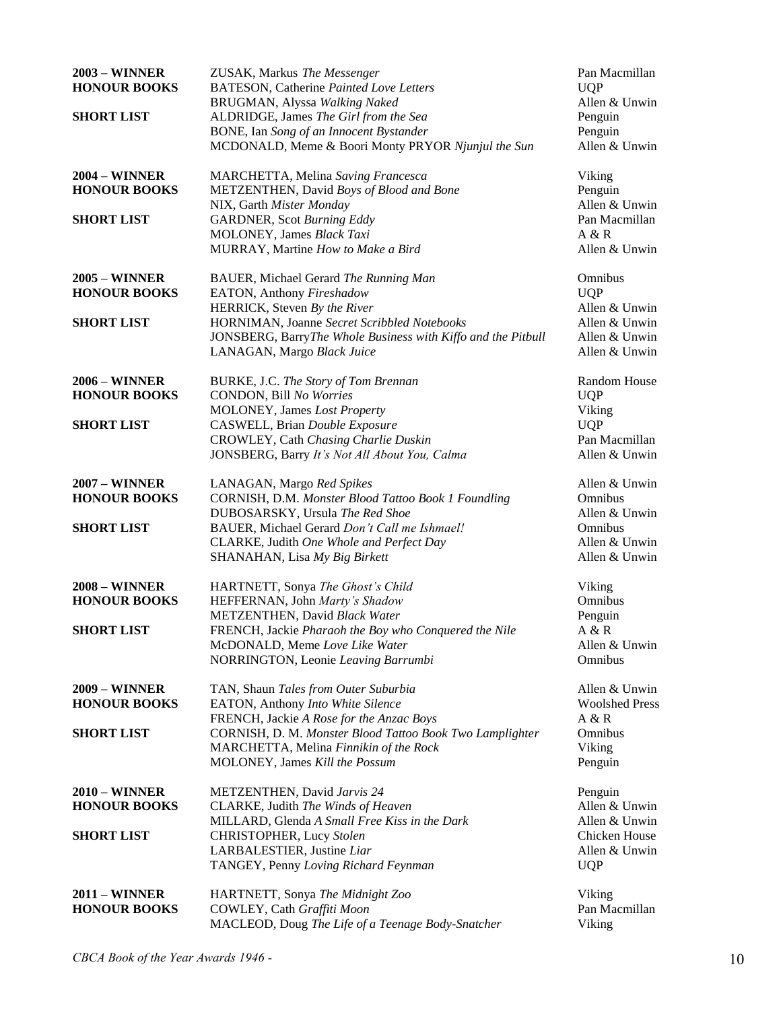| <b>2003 - WINNER</b>   | ZUSAK, Markus The Messenger                                  | Pan Macmillan         |
|------------------------|--------------------------------------------------------------|-----------------------|
| <b>HONOUR BOOKS</b>    | <b>BATESON, Catherine Painted Love Letters</b>               | <b>UQP</b>            |
|                        | BRUGMAN, Alyssa Walking Naked                                | Allen & Unwin         |
| <b>SHORT LIST</b>      | ALDRIDGE, James The Girl from the Sea                        | Penguin               |
|                        | BONE, Ian Song of an Innocent Bystander                      | Penguin               |
|                        | MCDONALD, Meme & Boori Monty PRYOR Njunjul the Sun           | Allen & Unwin         |
| <b>2004 - WINNER</b>   | MARCHETTA, Melina Saving Francesca                           | Viking                |
| <b>HONOUR BOOKS</b>    | METZENTHEN, David Boys of Blood and Bone                     | Penguin               |
|                        | NIX, Garth Mister Monday                                     | Allen & Unwin         |
| <b>SHORT LIST</b>      | <b>GARDNER</b> , Scot Burning Eddy                           | Pan Macmillan         |
|                        | MOLONEY, James Black Taxi                                    | A & R                 |
|                        | MURRAY, Martine How to Make a Bird                           | Allen & Unwin         |
| <b>2005 – WINNER</b>   | BAUER, Michael Gerard The Running Man                        | Omnibus               |
| <b>HONOUR BOOKS</b>    | EATON, Anthony Fireshadow                                    | <b>UQP</b>            |
|                        | HERRICK, Steven By the River                                 | Allen & Unwin         |
| <b>SHORT LIST</b>      | HORNIMAN, Joanne Secret Scribbled Notebooks                  | Allen & Unwin         |
|                        | JONSBERG, BarryThe Whole Business with Kiffo and the Pitbull | Allen & Unwin         |
|                        | LANAGAN, Margo Black Juice                                   | Allen & Unwin         |
| <b>2006 - WINNER</b>   | BURKE, J.C. The Story of Tom Brennan                         | Random House          |
| <b>HONOUR BOOKS</b>    | CONDON, Bill No Worries                                      | <b>UQP</b>            |
|                        | MOLONEY, James Lost Property                                 | Viking                |
| <b>SHORT LIST</b>      | CASWELL, Brian Double Exposure                               | <b>UQP</b>            |
|                        | CROWLEY, Cath Chasing Charlie Duskin                         | Pan Macmillan         |
|                        | JONSBERG, Barry It's Not All About You, Calma                | Allen & Unwin         |
| <b>2007 - WINNER</b>   | LANAGAN, Margo Red Spikes                                    | Allen & Unwin         |
| <b>HONOUR BOOKS</b>    | CORNISH, D.M. Monster Blood Tattoo Book 1 Foundling          | Omnibus               |
|                        | DUBOSARSKY, Ursula The Red Shoe                              | Allen & Unwin         |
| <b>SHORT LIST</b>      | BAUER, Michael Gerard Don't Call me Ishmael!                 | Omnibus               |
|                        | CLARKE, Judith One Whole and Perfect Day                     | Allen & Unwin         |
|                        | SHANAHAN, Lisa My Big Birkett                                | Allen & Unwin         |
| <b>2008 - WINNER</b>   | HARTNETT, Sonya The Ghost's Child                            | Viking                |
| <b>HONOUR BOOKS</b>    | HEFFERNAN, John Marty's Shadow                               | Omnibus               |
|                        | METZENTHEN, David Black Water                                | Penguin               |
| <b>SHORT LIST</b>      | FRENCH, Jackie Pharaoh the Boy who Conquered the Nile        | A & R                 |
|                        | McDONALD, Meme Love Like Water                               | Allen & Unwin         |
|                        | NORRINGTON, Leonie Leaving Barrumbi                          | Omnibus               |
| <b>2009 - WINNER</b>   | TAN, Shaun Tales from Outer Suburbia                         | Allen & Unwin         |
| <b>HONOUR BOOKS</b>    | EATON, Anthony Into White Silence                            | <b>Woolshed Press</b> |
|                        | FRENCH, Jackie A Rose for the Anzac Boys                     | A & R                 |
| <b>SHORT LIST</b>      | CORNISH, D. M. Monster Blood Tattoo Book Two Lamplighter     | Omnibus               |
|                        | MARCHETTA, Melina Finnikin of the Rock                       | Viking                |
|                        | MOLONEY, James Kill the Possum                               | Penguin               |
| $2010 - \text{WINNER}$ | METZENTHEN, David Jarvis 24                                  | Penguin               |
| <b>HONOUR BOOKS</b>    | CLARKE, Judith The Winds of Heaven                           | Allen & Unwin         |
|                        | MILLARD, Glenda A Small Free Kiss in the Dark                | Allen & Unwin         |
| <b>SHORT LIST</b>      | CHRISTOPHER, Lucy Stolen                                     | Chicken House         |
|                        | LARBALESTIER, Justine Liar                                   | Allen & Unwin         |
|                        | TANGEY, Penny Loving Richard Feynman                         | <b>UQP</b>            |
| <b>2011 - WINNER</b>   | HARTNETT, Sonya The Midnight Zoo                             | Viking                |
| <b>HONOUR BOOKS</b>    | COWLEY, Cath Graffiti Moon                                   | Pan Macmillan         |
|                        | MACLEOD, Doug The Life of a Teenage Body-Snatcher            | Viking                |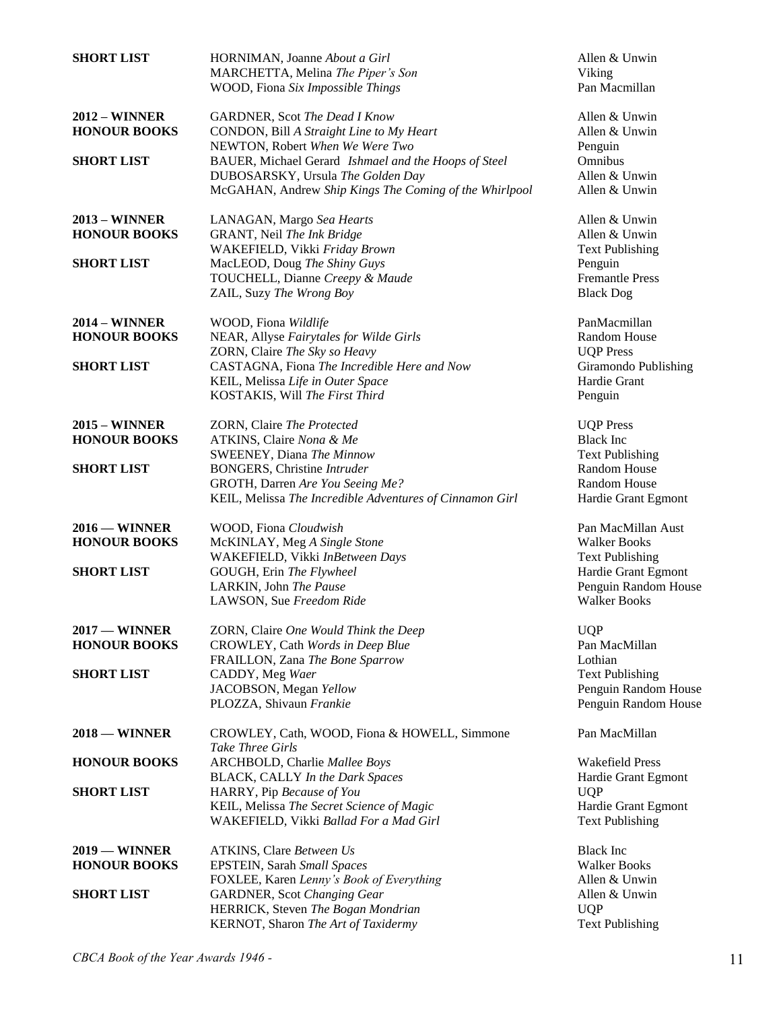| <b>SHORT LIST</b>    | HORNIMAN, Joanne About a Girl<br>MARCHETTA, Melina The Piper's Son | Allen & Unwin<br>Viking |
|----------------------|--------------------------------------------------------------------|-------------------------|
|                      | WOOD, Fiona Six Impossible Things                                  | Pan Macmillan           |
|                      |                                                                    |                         |
| <b>2012 - WINNER</b> | <b>GARDNER, Scot The Dead I Know</b>                               | Allen & Unwin           |
| <b>HONOUR BOOKS</b>  | CONDON, Bill A Straight Line to My Heart                           | Allen & Unwin           |
|                      | NEWTON, Robert When We Were Two                                    | Penguin                 |
| <b>SHORT LIST</b>    | BAUER, Michael Gerard Ishmael and the Hoops of Steel               | Omnibus                 |
|                      | DUBOSARSKY, Ursula The Golden Day                                  | Allen & Unwin           |
|                      | McGAHAN, Andrew Ship Kings The Coming of the Whirlpool             | Allen & Unwin           |
| <b>2013 - WINNER</b> | LANAGAN, Margo Sea Hearts                                          | Allen & Unwin           |
| <b>HONOUR BOOKS</b>  | GRANT, Neil The Ink Bridge                                         | Allen & Unwin           |
|                      | WAKEFIELD, Vikki Friday Brown                                      | <b>Text Publishing</b>  |
| <b>SHORT LIST</b>    | MacLEOD, Doug The Shiny Guys                                       | Penguin                 |
|                      | TOUCHELL, Dianne Creepy & Maude                                    | <b>Fremantle Press</b>  |
|                      | ZAIL, Suzy The Wrong Boy                                           | <b>Black Dog</b>        |
| <b>2014 – WINNER</b> | WOOD, Fiona Wildlife                                               | PanMacmillan            |
| <b>HONOUR BOOKS</b>  | NEAR, Allyse Fairytales for Wilde Girls                            | <b>Random House</b>     |
|                      | ZORN, Claire The Sky so Heavy                                      | <b>UQP</b> Press        |
| <b>SHORT LIST</b>    | CASTAGNA, Fiona The Incredible Here and Now                        | Giramondo Publishing    |
|                      | KEIL, Melissa Life in Outer Space                                  | Hardie Grant            |
|                      | KOSTAKIS, Will The First Third                                     | Penguin                 |
| $2015 -$ WINNER      | ZORN, Claire The Protected                                         | <b>UQP</b> Press        |
| <b>HONOUR BOOKS</b>  | ATKINS, Claire Nona & Me                                           | <b>Black Inc</b>        |
|                      | SWEENEY, Diana The Minnow                                          | <b>Text Publishing</b>  |
| <b>SHORT LIST</b>    | <b>BONGERS</b> , Christine Intruder                                | Random House            |
|                      | GROTH, Darren Are You Seeing Me?                                   | Random House            |
|                      | KEIL, Melissa The Incredible Adventures of Cinnamon Girl           | Hardie Grant Egmont     |
| $2016 -$ WINNER      | WOOD, Fiona Cloudwish                                              | Pan MacMillan Aust      |
| <b>HONOUR BOOKS</b>  | McKINLAY, Meg A Single Stone                                       | <b>Walker Books</b>     |
|                      | WAKEFIELD, Vikki InBetween Days                                    | <b>Text Publishing</b>  |
| <b>SHORT LIST</b>    | GOUGH, Erin The Flywheel                                           | Hardie Grant Egmont     |
|                      | LARKIN, John The Pause                                             | Penguin Random House    |
|                      | LAWSON, Sue Freedom Ride                                           | <b>Walker Books</b>     |
| $2017 -$ WINNER      | ZORN, Claire One Would Think the Deep                              | <b>UQP</b>              |
| <b>HONOUR BOOKS</b>  | CROWLEY, Cath Words in Deep Blue                                   | Pan MacMillan           |
|                      | FRAILLON, Zana The Bone Sparrow                                    | Lothian                 |
| <b>SHORT LIST</b>    | CADDY, Meg Waer                                                    | <b>Text Publishing</b>  |
|                      | JACOBSON, Megan Yellow                                             | Penguin Random House    |
|                      | PLOZZA, Shivaun Frankie                                            | Penguin Random House    |
| $2018 -$ WINNER      | CROWLEY, Cath, WOOD, Fiona & HOWELL, Simmone                       | Pan MacMillan           |
|                      | <b>Take Three Girls</b>                                            |                         |
| <b>HONOUR BOOKS</b>  | ARCHBOLD, Charlie Mallee Boys                                      | <b>Wakefield Press</b>  |
|                      | <b>BLACK, CALLY In the Dark Spaces</b>                             | Hardie Grant Egmont     |
| <b>SHORT LIST</b>    | HARRY, Pip Because of You                                          | <b>UQP</b>              |
|                      | KEIL, Melissa The Secret Science of Magic                          | Hardie Grant Egmont     |
|                      | WAKEFIELD, Vikki Ballad For a Mad Girl                             | <b>Text Publishing</b>  |
| $2019$ – WINNER      | <b>ATKINS, Clare Between Us</b>                                    | <b>Black Inc</b>        |
| <b>HONOUR BOOKS</b>  | EPSTEIN, Sarah Small Spaces                                        | <b>Walker Books</b>     |
|                      | FOXLEE, Karen Lenny's Book of Everything                           | Allen & Unwin           |
| <b>SHORT LIST</b>    | <b>GARDNER</b> , Scot Changing Gear                                | Allen & Unwin           |
|                      | HERRICK, Steven The Bogan Mondrian                                 | <b>UQP</b>              |
|                      | KERNOT, Sharon The Art of Taxidermy                                | <b>Text Publishing</b>  |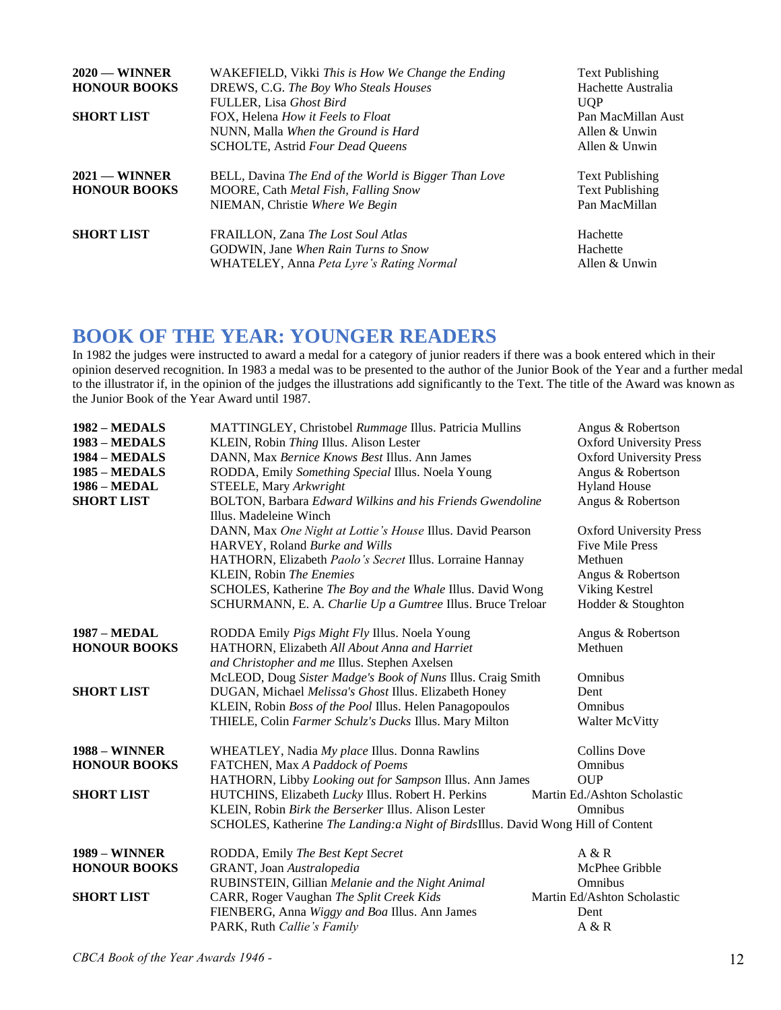| $2020$ — WINNER<br><b>HONOUR BOOKS</b><br><b>SHORT LIST</b> | WAKEFIELD, Vikki This is How We Change the Ending<br>DREWS, C.G. The Boy Who Steals Houses<br>FULLER, Lisa Ghost Bird<br>FOX, Helena <i>How it Feels to Float</i><br>NUNN, Malla When the Ground is Hard<br>SCHOLTE, Astrid Four Dead Queens | <b>Text Publishing</b><br>Hachette Australia<br><b>UOP</b><br>Pan MacMillan Aust<br>Allen & Unwin<br>Allen & Unwin |
|-------------------------------------------------------------|----------------------------------------------------------------------------------------------------------------------------------------------------------------------------------------------------------------------------------------------|--------------------------------------------------------------------------------------------------------------------|
| $2021$ — WINNER<br><b>HONOUR BOOKS</b>                      | BELL, Davina The End of the World is Bigger Than Love<br>MOORE, Cath Metal Fish, Falling Snow<br>NIEMAN, Christie Where We Begin                                                                                                             | <b>Text Publishing</b><br><b>Text Publishing</b><br>Pan MacMillan                                                  |
| <b>SHORT LIST</b>                                           | FRAILLON, Zana The Lost Soul Atlas<br>GODWIN, Jane When Rain Turns to Snow<br>WHATELEY, Anna Peta Lyre's Rating Normal                                                                                                                       | Hachette<br>Hachette<br>Allen & Unwin                                                                              |

### **BOOK OF THE YEAR: YOUNGER READERS**

In 1982 the judges were instructed to award a medal for a category of junior readers if there was a book entered which in their opinion deserved recognition. In 1983 a medal was to be presented to the author of the Junior Book of the Year and a further medal to the illustrator if, in the opinion of the judges the illustrations add significantly to the Text. The title of the Award was known as the Junior Book of the Year Award until 1987.

| $1982 - MEDALS$<br>1983 - MEDALS<br>1984 - MEDALS<br><b>1985 – MEDALS</b><br>1986 - MEDAL<br><b>SHORT LIST</b> | MATTINGLEY, Christobel Rummage Illus. Patricia Mullins<br>KLEIN, Robin Thing Illus. Alison Lester<br>DANN, Max Bernice Knows Best Illus. Ann James<br>RODDA, Emily Something Special Illus. Noela Young<br>STEELE, Mary Arkwright<br>BOLTON, Barbara Edward Wilkins and his Friends Gwendoline<br>Illus. Madeleine Winch<br>DANN, Max One Night at Lottie's House Illus. David Pearson<br>HARVEY, Roland Burke and Wills<br>HATHORN, Elizabeth Paolo's Secret Illus. Lorraine Hannay | Angus & Robertson<br><b>Oxford University Press</b><br><b>Oxford University Press</b><br>Angus & Robertson<br><b>Hyland House</b><br>Angus & Robertson<br><b>Oxford University Press</b><br><b>Five Mile Press</b><br>Methuen |
|----------------------------------------------------------------------------------------------------------------|--------------------------------------------------------------------------------------------------------------------------------------------------------------------------------------------------------------------------------------------------------------------------------------------------------------------------------------------------------------------------------------------------------------------------------------------------------------------------------------|-------------------------------------------------------------------------------------------------------------------------------------------------------------------------------------------------------------------------------|
|                                                                                                                | KLEIN, Robin The Enemies<br>SCHOLES, Katherine The Boy and the Whale Illus. David Wong                                                                                                                                                                                                                                                                                                                                                                                               | Angus & Robertson<br>Viking Kestrel                                                                                                                                                                                           |
|                                                                                                                | SCHURMANN, E. A. Charlie Up a Gumtree Illus. Bruce Treloar                                                                                                                                                                                                                                                                                                                                                                                                                           | Hodder & Stoughton                                                                                                                                                                                                            |
| <b>1987 - MEDAL</b>                                                                                            | RODDA Emily Pigs Might Fly Illus. Noela Young                                                                                                                                                                                                                                                                                                                                                                                                                                        | Angus & Robertson                                                                                                                                                                                                             |
| <b>HONOUR BOOKS</b>                                                                                            | HATHORN, Elizabeth All About Anna and Harriet<br>and Christopher and me Illus. Stephen Axelsen                                                                                                                                                                                                                                                                                                                                                                                       | Methuen                                                                                                                                                                                                                       |
|                                                                                                                | McLEOD, Doug Sister Madge's Book of Nuns Illus. Craig Smith                                                                                                                                                                                                                                                                                                                                                                                                                          | Omnibus                                                                                                                                                                                                                       |
| <b>SHORT LIST</b>                                                                                              | DUGAN, Michael Melissa's Ghost Illus. Elizabeth Honey                                                                                                                                                                                                                                                                                                                                                                                                                                | Dent                                                                                                                                                                                                                          |
|                                                                                                                | KLEIN, Robin Boss of the Pool Illus. Helen Panagopoulos<br>THIELE, Colin Farmer Schulz's Ducks Illus. Mary Milton                                                                                                                                                                                                                                                                                                                                                                    | Omnibus<br>Walter McVitty                                                                                                                                                                                                     |
| <b>1988 – WINNER</b>                                                                                           | WHEATLEY, Nadia My place Illus. Donna Rawlins                                                                                                                                                                                                                                                                                                                                                                                                                                        | <b>Collins Dove</b>                                                                                                                                                                                                           |
| <b>HONOUR BOOKS</b>                                                                                            | FATCHEN, Max A Paddock of Poems                                                                                                                                                                                                                                                                                                                                                                                                                                                      | Omnibus                                                                                                                                                                                                                       |
|                                                                                                                | HATHORN, Libby Looking out for Sampson Illus. Ann James                                                                                                                                                                                                                                                                                                                                                                                                                              | <b>OUP</b>                                                                                                                                                                                                                    |
| <b>SHORT LIST</b>                                                                                              | HUTCHINS, Elizabeth Lucky Illus. Robert H. Perkins                                                                                                                                                                                                                                                                                                                                                                                                                                   | Martin Ed./Ashton Scholastic                                                                                                                                                                                                  |
|                                                                                                                | KLEIN, Robin Birk the Berserker Illus. Alison Lester<br>SCHOLES, Katherine The Landing:a Night of BirdsIllus. David Wong Hill of Content                                                                                                                                                                                                                                                                                                                                             | Omnibus                                                                                                                                                                                                                       |
|                                                                                                                |                                                                                                                                                                                                                                                                                                                                                                                                                                                                                      |                                                                                                                                                                                                                               |
| <b>1989 - WINNER</b>                                                                                           | RODDA, Emily The Best Kept Secret                                                                                                                                                                                                                                                                                                                                                                                                                                                    | A & R                                                                                                                                                                                                                         |
| <b>HONOUR BOOKS</b>                                                                                            | GRANT, Joan Australopedia                                                                                                                                                                                                                                                                                                                                                                                                                                                            | McPhee Gribble                                                                                                                                                                                                                |
|                                                                                                                | RUBINSTEIN, Gillian Melanie and the Night Animal                                                                                                                                                                                                                                                                                                                                                                                                                                     | Omnibus                                                                                                                                                                                                                       |
| <b>SHORT LIST</b>                                                                                              | CARR, Roger Vaughan The Split Creek Kids                                                                                                                                                                                                                                                                                                                                                                                                                                             | Martin Ed/Ashton Scholastic                                                                                                                                                                                                   |
|                                                                                                                | FIENBERG, Anna Wiggy and Boa Illus. Ann James                                                                                                                                                                                                                                                                                                                                                                                                                                        | Dent                                                                                                                                                                                                                          |
|                                                                                                                | PARK, Ruth Callie's Family                                                                                                                                                                                                                                                                                                                                                                                                                                                           | A & R                                                                                                                                                                                                                         |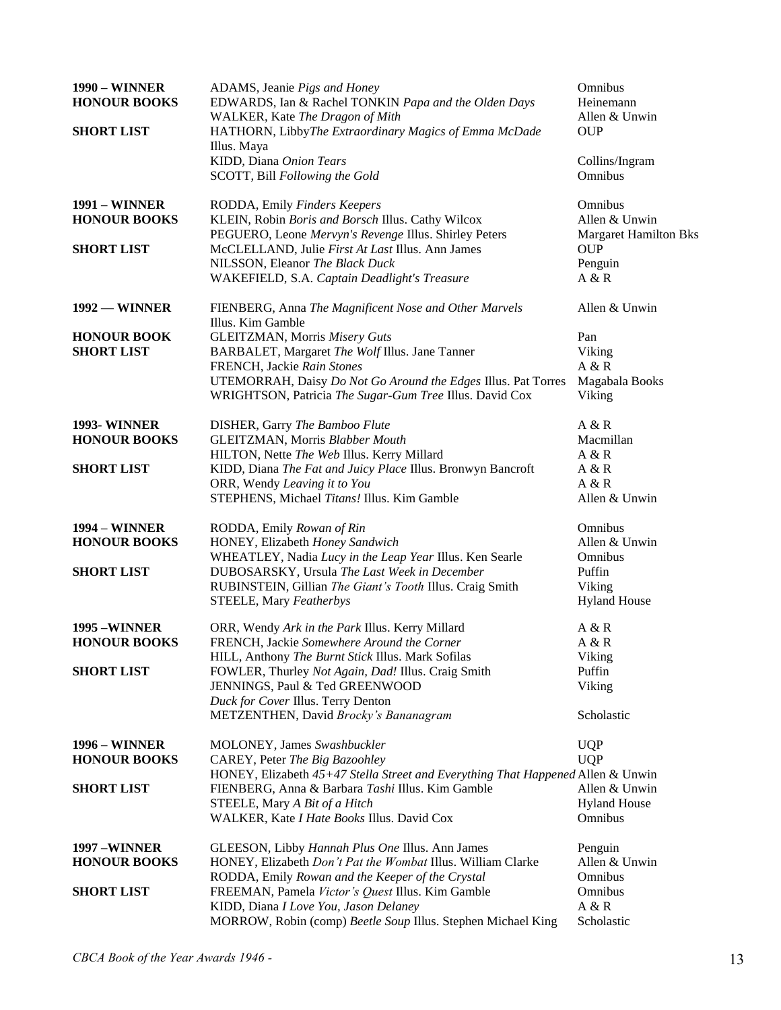| <b>1990 – WINNER</b><br><b>HONOUR BOOKS</b><br><b>SHORT LIST</b> | ADAMS, Jeanie Pigs and Honey<br>EDWARDS, Ian & Rachel TONKIN Papa and the Olden Days<br>WALKER, Kate The Dragon of Mith<br>HATHORN, LibbyThe Extraordinary Magics of Emma McDade<br>Illus. Maya                                                                | Omnibus<br>Heinemann<br>Allen & Unwin<br><b>OUP</b>                            |
|------------------------------------------------------------------|----------------------------------------------------------------------------------------------------------------------------------------------------------------------------------------------------------------------------------------------------------------|--------------------------------------------------------------------------------|
|                                                                  | KIDD, Diana Onion Tears<br>SCOTT, Bill Following the Gold                                                                                                                                                                                                      | Collins/Ingram<br>Omnibus                                                      |
| <b>1991 - WINNER</b><br><b>HONOUR BOOKS</b>                      | RODDA, Emily Finders Keepers<br>KLEIN, Robin Boris and Borsch Illus. Cathy Wilcox<br>PEGUERO, Leone Mervyn's Revenge Illus. Shirley Peters                                                                                                                     | Omnibus<br>Allen & Unwin<br><b>Margaret Hamilton Bks</b>                       |
| <b>SHORT LIST</b>                                                | McCLELLAND, Julie First At Last Illus. Ann James<br>NILSSON, Eleanor The Black Duck<br>WAKEFIELD, S.A. Captain Deadlight's Treasure                                                                                                                            | <b>OUP</b><br>Penguin<br>A & R                                                 |
| $1992$ — WINNER                                                  | FIENBERG, Anna The Magnificent Nose and Other Marvels<br>Illus. Kim Gamble                                                                                                                                                                                     | Allen & Unwin                                                                  |
| <b>HONOUR BOOK</b><br><b>SHORT LIST</b>                          | <b>GLEITZMAN</b> , Morris Misery Guts<br>BARBALET, Margaret The Wolf Illus. Jane Tanner<br>FRENCH, Jackie Rain Stones<br>UTEMORRAH, Daisy Do Not Go Around the Edges Illus. Pat Torres<br>WRIGHTSON, Patricia The Sugar-Gum Tree Illus. David Cox              | Pan<br>Viking<br>A & R<br>Magabala Books<br>Viking                             |
| <b>1993-WINNER</b><br><b>HONOUR BOOKS</b>                        | <b>DISHER, Garry The Bamboo Flute</b><br>GLEITZMAN, Morris Blabber Mouth<br>HILTON, Nette The Web Illus. Kerry Millard                                                                                                                                         | A & R<br>Macmillan<br>A & R                                                    |
| <b>SHORT LIST</b>                                                | KIDD, Diana The Fat and Juicy Place Illus. Bronwyn Bancroft<br>ORR, Wendy Leaving it to You<br>STEPHENS, Michael Titans! Illus. Kim Gamble                                                                                                                     | A & R<br>A & R<br>Allen & Unwin                                                |
| <b>1994 - WINNER</b><br><b>HONOUR BOOKS</b><br><b>SHORT LIST</b> | RODDA, Emily Rowan of Rin<br>HONEY, Elizabeth Honey Sandwich<br>WHEATLEY, Nadia Lucy in the Leap Year Illus. Ken Searle<br>DUBOSARSKY, Ursula The Last Week in December<br>RUBINSTEIN, Gillian The Giant's Tooth Illus. Craig Smith<br>STEELE, Mary Featherbys | Omnibus<br>Allen & Unwin<br>Omnibus<br>Puffin<br>Viking<br><b>Hyland House</b> |
| <b>1995 -WINNER</b><br><b>HONOUR BOOKS</b>                       | ORR, Wendy Ark in the Park Illus. Kerry Millard<br>FRENCH, Jackie Somewhere Around the Corner<br>HILL, Anthony The Burnt Stick Illus. Mark Sofilas                                                                                                             | A & R<br>A & R<br>Viking                                                       |
| <b>SHORT LIST</b>                                                | FOWLER, Thurley Not Again, Dad! Illus. Craig Smith<br>JENNINGS, Paul & Ted GREENWOOD<br>Duck for Cover Illus. Terry Denton<br>METZENTHEN, David Brocky's Bananagram                                                                                            | Puffin<br>Viking<br>Scholastic                                                 |
| <b>1996 - WINNER</b><br><b>HONOUR BOOKS</b>                      | MOLONEY, James Swashbuckler<br>CAREY, Peter The Big Bazoohley<br>HONEY, Elizabeth 45+47 Stella Street and Everything That Happened Allen & Unwin                                                                                                               | <b>UQP</b><br><b>UQP</b>                                                       |
| <b>SHORT LIST</b>                                                | FIENBERG, Anna & Barbara Tashi Illus. Kim Gamble<br>STEELE, Mary A Bit of a Hitch<br>WALKER, Kate I Hate Books Illus. David Cox                                                                                                                                | Allen & Unwin<br><b>Hyland House</b><br>Omnibus                                |
| <b>1997 -WINNER</b><br><b>HONOUR BOOKS</b>                       | GLEESON, Libby Hannah Plus One Illus. Ann James<br>HONEY, Elizabeth Don't Pat the Wombat Illus. William Clarke<br>RODDA, Emily Rowan and the Keeper of the Crystal                                                                                             | Penguin<br>Allen & Unwin<br>Omnibus                                            |
| <b>SHORT LIST</b>                                                | FREEMAN, Pamela Victor's Quest Illus. Kim Gamble<br>KIDD, Diana I Love You, Jason Delaney<br>MORROW, Robin (comp) Beetle Soup Illus. Stephen Michael King                                                                                                      | Omnibus<br>A & R<br>Scholastic                                                 |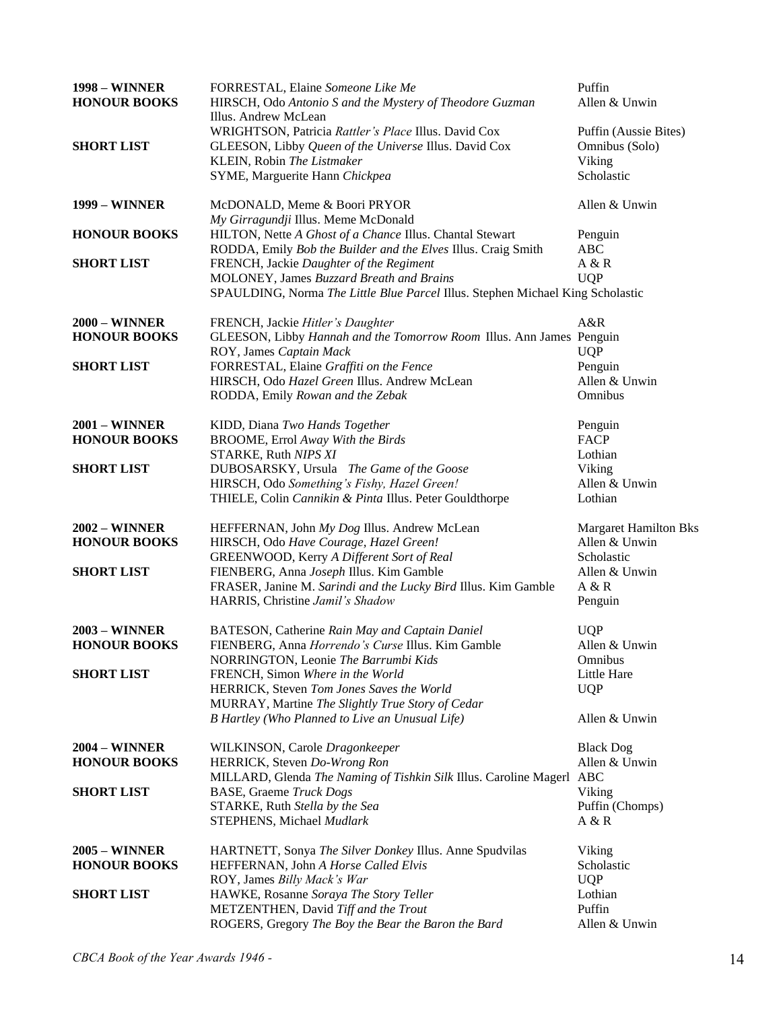| <b>1998 – WINNER</b><br><b>HONOUR BOOKS</b> | FORRESTAL, Elaine Someone Like Me<br>HIRSCH, Odo Antonio S and the Mystery of Theodore Guzman<br>Illus. Andrew McLean                       | Puffin<br>Allen & Unwin                           |
|---------------------------------------------|---------------------------------------------------------------------------------------------------------------------------------------------|---------------------------------------------------|
| <b>SHORT LIST</b>                           | WRIGHTSON, Patricia Rattler's Place Illus. David Cox<br>GLEESON, Libby Queen of the Universe Illus. David Cox<br>KLEIN, Robin The Listmaker | Puffin (Aussie Bites)<br>Omnibus (Solo)<br>Viking |
|                                             | SYME, Marguerite Hann Chickpea                                                                                                              | Scholastic                                        |
| <b>1999 – WINNER</b>                        | McDONALD, Meme & Boori PRYOR<br>My Girragundji Illus. Meme McDonald                                                                         | Allen & Unwin                                     |
| <b>HONOUR BOOKS</b>                         | HILTON, Nette A Ghost of a Chance Illus. Chantal Stewart<br>RODDA, Emily Bob the Builder and the Elves Illus. Craig Smith                   | Penguin<br><b>ABC</b>                             |
| <b>SHORT LIST</b>                           | FRENCH, Jackie Daughter of the Regiment                                                                                                     | A & R                                             |
|                                             | MOLONEY, James Buzzard Breath and Brains<br>SPAULDING, Norma The Little Blue Parcel Illus. Stephen Michael King Scholastic                  | <b>UQP</b>                                        |
| <b>2000 - WINNER</b>                        | FRENCH, Jackie Hitler's Daughter                                                                                                            | A&R                                               |
| <b>HONOUR BOOKS</b>                         | GLEESON, Libby Hannah and the Tomorrow Room Illus. Ann James Penguin<br>ROY, James Captain Mack                                             | <b>UQP</b>                                        |
| <b>SHORT LIST</b>                           | FORRESTAL, Elaine Graffiti on the Fence                                                                                                     | Penguin                                           |
|                                             | HIRSCH, Odo Hazel Green Illus. Andrew McLean<br>RODDA, Emily Rowan and the Zebak                                                            | Allen & Unwin<br>Omnibus                          |
|                                             |                                                                                                                                             |                                                   |
| <b>2001 - WINNER</b>                        | KIDD, Diana Two Hands Together                                                                                                              | Penguin                                           |
| <b>HONOUR BOOKS</b>                         | BROOME, Errol Away With the Birds                                                                                                           | <b>FACP</b>                                       |
| <b>SHORT LIST</b>                           | STARKE, Ruth NIPS XI<br>DUBOSARSKY, Ursula The Game of the Goose                                                                            | Lothian<br>Viking                                 |
|                                             | HIRSCH, Odo Something's Fishy, Hazel Green!                                                                                                 | Allen & Unwin                                     |
|                                             | THIELE, Colin Cannikin & Pinta Illus. Peter Gouldthorpe                                                                                     | Lothian                                           |
| $2002 -$ WINNER                             | HEFFERNAN, John My Dog Illus. Andrew McLean                                                                                                 | <b>Margaret Hamilton Bks</b>                      |
| <b>HONOUR BOOKS</b>                         | HIRSCH, Odo Have Courage, Hazel Green!                                                                                                      | Allen & Unwin                                     |
| <b>SHORT LIST</b>                           | GREENWOOD, Kerry A Different Sort of Real<br>FIENBERG, Anna Joseph Illus. Kim Gamble                                                        | Scholastic<br>Allen & Unwin                       |
|                                             | FRASER, Janine M. Sarindi and the Lucky Bird Illus. Kim Gamble                                                                              | A & R                                             |
|                                             | HARRIS, Christine Jamil's Shadow                                                                                                            | Penguin                                           |
| <b>2003 - WINNER</b>                        | BATESON, Catherine Rain May and Captain Daniel                                                                                              | <b>UQP</b>                                        |
| <b>HONOUR BOOKS</b>                         | FIENBERG, Anna <i>Horrendo's Curse</i> Illus. Kim Gamble                                                                                    | Allen & Unwin                                     |
|                                             | NORRINGTON, Leonie The Barrumbi Kids                                                                                                        | Omnibus                                           |
| <b>SHORT LIST</b>                           | FRENCH, Simon Where in the World<br>HERRICK, Steven Tom Jones Saves the World                                                               | Little Hare<br><b>UQP</b>                         |
|                                             | MURRAY, Martine The Slightly True Story of Cedar                                                                                            |                                                   |
|                                             | B Hartley (Who Planned to Live an Unusual Life)                                                                                             | Allen & Unwin                                     |
| <b>2004 - WINNER</b>                        | WILKINSON, Carole Dragonkeeper                                                                                                              | <b>Black Dog</b>                                  |
| <b>HONOUR BOOKS</b>                         | HERRICK, Steven Do-Wrong Ron                                                                                                                | Allen & Unwin                                     |
| <b>SHORT LIST</b>                           | MILLARD, Glenda The Naming of Tishkin Silk Illus. Caroline Magerl<br><b>BASE, Graeme Truck Dogs</b>                                         | <b>ABC</b><br>Viking                              |
|                                             | STARKE, Ruth Stella by the Sea                                                                                                              | Puffin (Chomps)                                   |
|                                             | STEPHENS, Michael Mudlark                                                                                                                   | A & R                                             |
| <b>2005 - WINNER</b>                        | HARTNETT, Sonya The Silver Donkey Illus. Anne Spudvilas                                                                                     | Viking                                            |
| <b>HONOUR BOOKS</b>                         | HEFFERNAN, John A Horse Called Elvis                                                                                                        | Scholastic                                        |
|                                             | ROY, James Billy Mack's War                                                                                                                 | <b>UQP</b>                                        |
| <b>SHORT LIST</b>                           | HAWKE, Rosanne Soraya The Story Teller                                                                                                      | Lothian                                           |
|                                             | METZENTHEN, David Tiff and the Trout<br>ROGERS, Gregory The Boy the Bear the Baron the Bard                                                 | Puffin<br>Allen & Unwin                           |
|                                             |                                                                                                                                             |                                                   |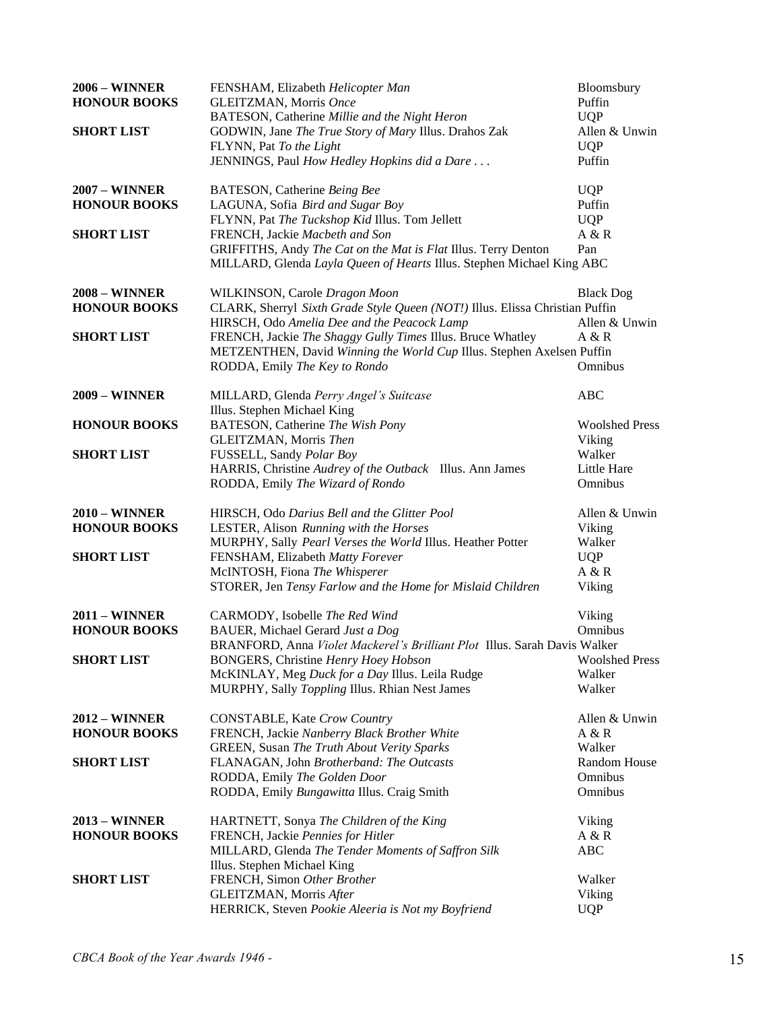| <b>2006 – WINNER</b><br><b>HONOUR BOOKS</b> | FENSHAM, Elizabeth Helicopter Man<br>GLEITZMAN, Morris Once<br>BATESON, Catherine Millie and the Night Heron                        | Bloomsbury<br>Puffin<br><b>UQP</b> |
|---------------------------------------------|-------------------------------------------------------------------------------------------------------------------------------------|------------------------------------|
| <b>SHORT LIST</b>                           | GODWIN, Jane The True Story of Mary Illus. Drahos Zak<br>FLYNN, Pat To the Light                                                    | Allen & Unwin<br><b>UQP</b>        |
|                                             | JENNINGS, Paul How Hedley Hopkins did a Dare                                                                                        | Puffin                             |
| <b>2007 – WINNER</b>                        | BATESON, Catherine Being Bee                                                                                                        | <b>UQP</b>                         |
| <b>HONOUR BOOKS</b>                         | LAGUNA, Sofia Bird and Sugar Boy<br>FLYNN, Pat The Tuckshop Kid Illus. Tom Jellett                                                  | Puffin<br><b>UQP</b>               |
| <b>SHORT LIST</b>                           | FRENCH, Jackie Macbeth and Son                                                                                                      | A & R                              |
|                                             | GRIFFITHS, Andy The Cat on the Mat is Flat Illus. Terry Denton                                                                      | Pan                                |
|                                             | MILLARD, Glenda Layla Queen of Hearts Illus. Stephen Michael King ABC                                                               |                                    |
| <b>2008 – WINNER</b>                        | WILKINSON, Carole Dragon Moon                                                                                                       | <b>Black Dog</b>                   |
| <b>HONOUR BOOKS</b>                         | CLARK, Sherryl Sixth Grade Style Queen (NOT!) Illus. Elissa Christian Puffin                                                        |                                    |
|                                             | HIRSCH, Odo Amelia Dee and the Peacock Lamp                                                                                         | Allen & Unwin<br>A & R             |
| <b>SHORT LIST</b>                           | FRENCH, Jackie The Shaggy Gully Times Illus. Bruce Whatley<br>METZENTHEN, David Winning the World Cup Illus. Stephen Axelsen Puffin |                                    |
|                                             | RODDA, Emily The Key to Rondo                                                                                                       | Omnibus                            |
| <b>2009 - WINNER</b>                        | MILLARD, Glenda Perry Angel's Suitcase                                                                                              | <b>ABC</b>                         |
|                                             | Illus. Stephen Michael King                                                                                                         |                                    |
| <b>HONOUR BOOKS</b>                         | BATESON, Catherine The Wish Pony                                                                                                    | <b>Woolshed Press</b>              |
| <b>SHORT LIST</b>                           | GLEITZMAN, Morris Then<br>FUSSELL, Sandy Polar Boy                                                                                  | Viking<br>Walker                   |
|                                             | HARRIS, Christine Audrey of the Outback Illus. Ann James                                                                            | Little Hare                        |
|                                             | RODDA, Emily The Wizard of Rondo                                                                                                    | Omnibus                            |
| <b>2010 – WINNER</b>                        | HIRSCH, Odo Darius Bell and the Glitter Pool                                                                                        | Allen & Unwin                      |
| <b>HONOUR BOOKS</b>                         | LESTER, Alison Running with the Horses                                                                                              | Viking                             |
|                                             | MURPHY, Sally Pearl Verses the World Illus. Heather Potter                                                                          | Walker                             |
| <b>SHORT LIST</b>                           | FENSHAM, Elizabeth Matty Forever                                                                                                    | <b>UQP</b>                         |
|                                             | McINTOSH, Fiona The Whisperer                                                                                                       | A & R                              |
|                                             | STORER, Jen Tensy Farlow and the Home for Mislaid Children                                                                          | Viking                             |
| <b>2011 - WINNER</b>                        | CARMODY, Isobelle The Red Wind                                                                                                      | Viking                             |
| <b>HONOUR BOOKS</b>                         | BAUER, Michael Gerard Just a Dog                                                                                                    | Omnibus                            |
| <b>SHORT LIST</b>                           | BRANFORD, Anna Violet Mackerel's Brilliant Plot Illus. Sarah Davis Walker<br><b>BONGERS, Christine Henry Hoey Hobson</b>            | <b>Woolshed Press</b>              |
|                                             | McKINLAY, Meg Duck for a Day Illus. Leila Rudge                                                                                     | Walker                             |
|                                             | MURPHY, Sally Toppling Illus. Rhian Nest James                                                                                      | Walker                             |
| <b>2012 - WINNER</b>                        | <b>CONSTABLE, Kate Crow Country</b>                                                                                                 | Allen & Unwin                      |
| <b>HONOUR BOOKS</b>                         | FRENCH, Jackie Nanberry Black Brother White                                                                                         | A & R                              |
|                                             | GREEN, Susan The Truth About Verity Sparks                                                                                          | Walker                             |
| <b>SHORT LIST</b>                           | FLANAGAN, John Brotherband: The Outcasts                                                                                            | Random House                       |
|                                             | RODDA, Emily The Golden Door                                                                                                        | Omnibus                            |
|                                             | RODDA, Emily Bungawitta Illus. Craig Smith                                                                                          | Omnibus                            |
| <b>2013 - WINNER</b>                        | HARTNETT, Sonya The Children of the King                                                                                            | Viking                             |
| <b>HONOUR BOOKS</b>                         | FRENCH, Jackie Pennies for Hitler                                                                                                   | A & R                              |
|                                             | MILLARD, Glenda The Tender Moments of Saffron Silk                                                                                  | <b>ABC</b>                         |
| <b>SHORT LIST</b>                           | Illus. Stephen Michael King<br>FRENCH, Simon Other Brother                                                                          | Walker                             |
|                                             | GLEITZMAN, Morris After                                                                                                             | Viking                             |
|                                             | HERRICK, Steven Pookie Aleeria is Not my Boyfriend                                                                                  | <b>UQP</b>                         |
|                                             |                                                                                                                                     |                                    |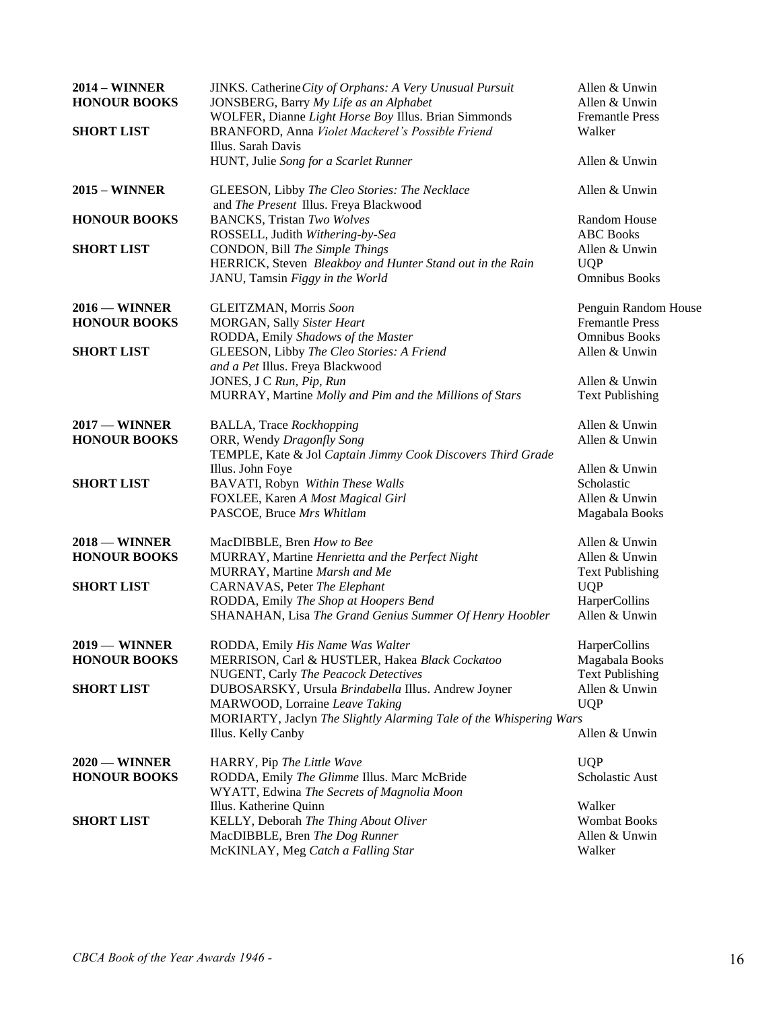| <b>2014 - WINNER</b><br><b>HONOUR BOOKS</b><br><b>SHORT LIST</b> | JINKS. Catherine City of Orphans: A Very Unusual Pursuit<br>JONSBERG, Barry My Life as an Alphabet<br>WOLFER, Dianne Light Horse Boy Illus. Brian Simmonds<br>BRANFORD, Anna Violet Mackerel's Possible Friend<br>Illus. Sarah Davis | Allen & Unwin<br>Allen & Unwin<br><b>Fremantle Press</b><br>Walker |
|------------------------------------------------------------------|--------------------------------------------------------------------------------------------------------------------------------------------------------------------------------------------------------------------------------------|--------------------------------------------------------------------|
|                                                                  | HUNT, Julie Song for a Scarlet Runner                                                                                                                                                                                                | Allen & Unwin                                                      |
| $2015 -$ WINNER                                                  | GLEESON, Libby The Cleo Stories: The Necklace<br>and The Present Illus. Freya Blackwood                                                                                                                                              | Allen & Unwin                                                      |
| <b>HONOUR BOOKS</b>                                              | <b>BANCKS</b> , Tristan Two Wolves                                                                                                                                                                                                   | Random House                                                       |
|                                                                  | ROSSELL, Judith Withering-by-Sea                                                                                                                                                                                                     | <b>ABC</b> Books                                                   |
| <b>SHORT LIST</b>                                                | CONDON, Bill The Simple Things                                                                                                                                                                                                       | Allen & Unwin                                                      |
|                                                                  | HERRICK, Steven Bleakboy and Hunter Stand out in the Rain<br>JANU, Tamsin Figgy in the World                                                                                                                                         | <b>UQP</b><br><b>Omnibus Books</b>                                 |
| $2016 -$ WINNER                                                  | GLEITZMAN, Morris Soon                                                                                                                                                                                                               | Penguin Random House                                               |
| <b>HONOUR BOOKS</b>                                              | MORGAN, Sally Sister Heart                                                                                                                                                                                                           | <b>Fremantle Press</b>                                             |
|                                                                  | RODDA, Emily Shadows of the Master                                                                                                                                                                                                   | <b>Omnibus Books</b>                                               |
| <b>SHORT LIST</b>                                                | GLEESON, Libby The Cleo Stories: A Friend                                                                                                                                                                                            | Allen & Unwin                                                      |
|                                                                  | and a Pet Illus. Freya Blackwood                                                                                                                                                                                                     |                                                                    |
|                                                                  | JONES, J C Run, Pip, Run                                                                                                                                                                                                             | Allen & Unwin                                                      |
|                                                                  | MURRAY, Martine Molly and Pim and the Millions of Stars                                                                                                                                                                              | <b>Text Publishing</b>                                             |
| $2017 -$ WINNER                                                  | <b>BALLA</b> , Trace Rockhopping                                                                                                                                                                                                     | Allen & Unwin                                                      |
| <b>HONOUR BOOKS</b>                                              | ORR, Wendy Dragonfly Song                                                                                                                                                                                                            | Allen & Unwin                                                      |
|                                                                  | TEMPLE, Kate & Jol Captain Jimmy Cook Discovers Third Grade                                                                                                                                                                          |                                                                    |
|                                                                  | Illus. John Foye                                                                                                                                                                                                                     | Allen & Unwin                                                      |
| <b>SHORT LIST</b>                                                | BAVATI, Robyn Within These Walls                                                                                                                                                                                                     | Scholastic                                                         |
|                                                                  | FOXLEE, Karen A Most Magical Girl                                                                                                                                                                                                    | Allen & Unwin                                                      |
|                                                                  | PASCOE, Bruce Mrs Whitlam                                                                                                                                                                                                            | Magabala Books                                                     |
| $2018 -$ WINNER                                                  | MacDIBBLE, Bren How to Bee                                                                                                                                                                                                           | Allen & Unwin                                                      |
| <b>HONOUR BOOKS</b>                                              | MURRAY, Martine Henrietta and the Perfect Night                                                                                                                                                                                      | Allen & Unwin                                                      |
|                                                                  | MURRAY, Martine Marsh and Me                                                                                                                                                                                                         | <b>Text Publishing</b>                                             |
| <b>SHORT LIST</b>                                                | CARNAVAS, Peter The Elephant                                                                                                                                                                                                         | <b>UQP</b>                                                         |
|                                                                  | RODDA, Emily The Shop at Hoopers Bend                                                                                                                                                                                                | HarperCollins<br>Allen & Unwin                                     |
|                                                                  | SHANAHAN, Lisa The Grand Genius Summer Of Henry Hoobler                                                                                                                                                                              |                                                                    |
| 2019 — WINNER                                                    | RODDA, Emily His Name Was Walter                                                                                                                                                                                                     | HarperCollins                                                      |
| <b>HONOUR BOOKS</b>                                              | MERRISON, Carl & HUSTLER, Hakea Black Cockatoo                                                                                                                                                                                       | Magabala Books                                                     |
|                                                                  | NUGENT, Carly The Peacock Detectives                                                                                                                                                                                                 | <b>Text Publishing</b>                                             |
| <b>SHORT LIST</b>                                                | DUBOSARSKY, Ursula Brindabella Illus. Andrew Joyner                                                                                                                                                                                  | Allen & Unwin                                                      |
|                                                                  | MARWOOD, Lorraine Leave Taking                                                                                                                                                                                                       | <b>UQP</b>                                                         |
|                                                                  | MORIARTY, Jaclyn The Slightly Alarming Tale of the Whispering Wars                                                                                                                                                                   |                                                                    |
|                                                                  | Illus. Kelly Canby                                                                                                                                                                                                                   | Allen & Unwin                                                      |
| $2020$ – WINNER                                                  | HARRY, Pip The Little Wave                                                                                                                                                                                                           | <b>UQP</b>                                                         |
| <b>HONOUR BOOKS</b>                                              | RODDA, Emily The Glimme Illus. Marc McBride                                                                                                                                                                                          | Scholastic Aust                                                    |
|                                                                  | WYATT, Edwina The Secrets of Magnolia Moon                                                                                                                                                                                           |                                                                    |
|                                                                  | Illus. Katherine Quinn                                                                                                                                                                                                               | Walker                                                             |
| <b>SHORT LIST</b>                                                | KELLY, Deborah The Thing About Oliver                                                                                                                                                                                                | <b>Wombat Books</b>                                                |
|                                                                  | MacDIBBLE, Bren The Dog Runner                                                                                                                                                                                                       | Allen & Unwin                                                      |
|                                                                  | McKINLAY, Meg Catch a Falling Star                                                                                                                                                                                                   | Walker                                                             |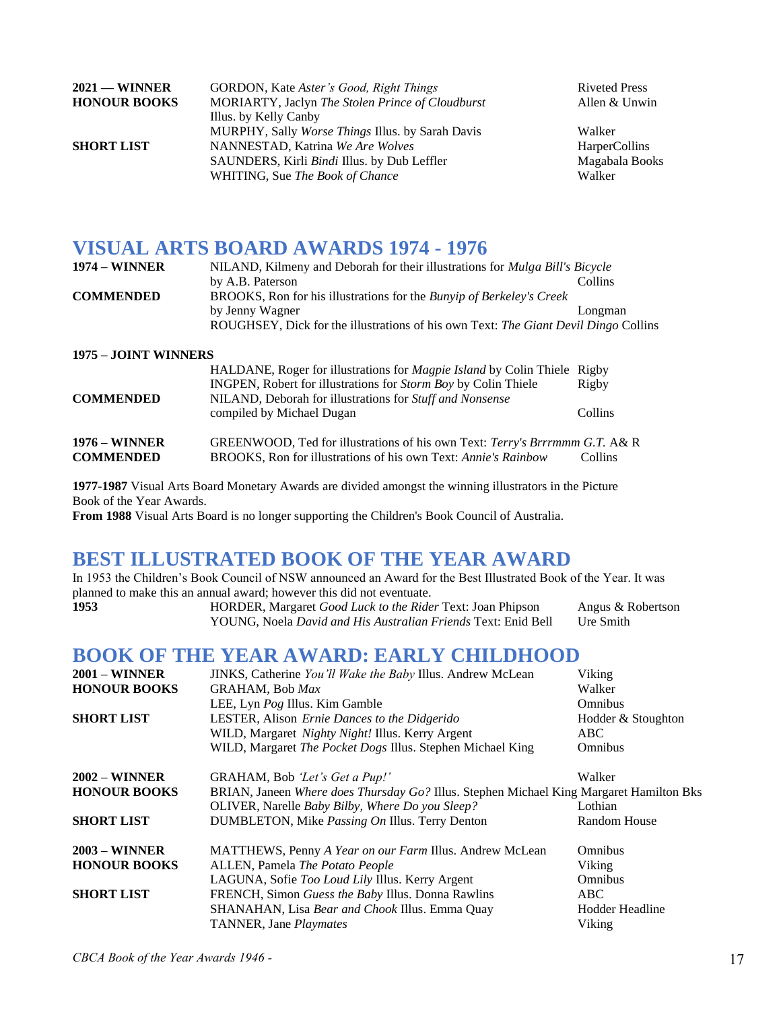| $2021$ — WINNER     | GORDON, Kate Aster's Good, Right Things          | <b>Riveted Press</b> |
|---------------------|--------------------------------------------------|----------------------|
| <b>HONOUR BOOKS</b> | MORIARTY, Jaclyn The Stolen Prince of Cloudburst | Allen & Unwin        |
|                     | Illus. by Kelly Canby                            |                      |
|                     | MURPHY, Sally Worse Things Illus. by Sarah Davis | Walker               |
| <b>SHORT LIST</b>   | NANNESTAD, Katrina We Are Wolves                 | <b>HarperCollins</b> |
|                     | SAUNDERS, Kirli Bindi Illus. by Dub Leffler      | Magabala Books       |
|                     | WHITING, Sue The Book of Chance                  | Walker               |

### **VISUAL ARTS BOARD AWARDS 1974 - 1976**

| <b>1974 – WINNER</b> | NILAND, Kilmeny and Deborah for their illustrations for <i>Mulga Bill's Bicycle</i> |         |
|----------------------|-------------------------------------------------------------------------------------|---------|
|                      | by A.B. Paterson                                                                    | Collins |
| <b>COMMENDED</b>     | BROOKS, Ron for his illustrations for the <i>Bunyip of Berkeley's Creek</i>         |         |
|                      | by Jenny Wagner                                                                     | Longman |
|                      | ROUGHSEY, Dick for the illustrations of his own Text: The Giant Devil Dingo Collins |         |
|                      |                                                                                     |         |

### **1975 – JOINT WINNERS**

| <b>COMMENDED</b>                         | HALDANE, Roger for illustrations for <i>Magpie Island</i> by Colin Thiele Rigby<br>INGPEN, Robert for illustrations for <i>Storm Boy</i> by Colin Thiele<br>NILAND, Deborah for illustrations for Stuff and Nonsense<br>compiled by Michael Dugan | Rigby<br>Collins |
|------------------------------------------|---------------------------------------------------------------------------------------------------------------------------------------------------------------------------------------------------------------------------------------------------|------------------|
| <b>1976 – WINNER</b><br><b>COMMENDED</b> | GREENWOOD, Ted for illustrations of his own Text: Terry's Brrrmmm G.T. A& R<br>BROOKS, Ron for illustrations of his own Text: Annie's Rainbow                                                                                                     | Collins          |

**1977-1987** Visual Arts Board Monetary Awards are divided amongst the winning illustrators in the Picture Book of the Year Awards.

**From 1988** Visual Arts Board is no longer supporting the Children's Book Council of Australia.

### **BEST ILLUSTRATED BOOK OF THE YEAR AWARD**

In 1953 the Children's Book Council of NSW announced an Award for the Best Illustrated Book of the Year. It was planned to make this an annual award; however this did not eventuate.

**1953** HORDER, Margaret *Good Luck to the Rider* Text: Joan Phipson Angus & Robertson YOUNG, Noela *David and His Australian Friends* Text: Enid Bell Ure Smith

### **BOOK OF THE YEAR AWARD: EARLY CHILDHOOD**

| $2001 - \text{WINNER}$ | JINKS, Catherine You'll Wake the Baby Illus. Andrew McLean                              | Viking             |
|------------------------|-----------------------------------------------------------------------------------------|--------------------|
| <b>HONOUR BOOKS</b>    | <b>GRAHAM, Bob Max</b>                                                                  | Walker             |
|                        | LEE, Lyn Pog Illus. Kim Gamble                                                          | Omnibus            |
| <b>SHORT LIST</b>      | LESTER, Alison Ernie Dances to the Didgerido                                            | Hodder & Stoughton |
|                        | WILD, Margaret Nighty Night! Illus. Kerry Argent                                        | ABC.               |
|                        | WILD, Margaret The Pocket Dogs Illus. Stephen Michael King                              | Omnibus            |
| $2002 - \text{WINNER}$ | GRAHAM, Bob 'Let's Get a Pup!'                                                          | Walker             |
| <b>HONOUR BOOKS</b>    | BRIAN, Janeen Where does Thursday Go? Illus. Stephen Michael King Margaret Hamilton Bks |                    |
|                        | OLIVER, Narelle Baby Bilby, Where Do you Sleep?                                         | Lothian            |
| <b>SHORT LIST</b>      | DUMBLETON, Mike Passing On Illus. Terry Denton                                          | Random House       |
| $2003 - \text{WINNER}$ | MATTHEWS, Penny A Year on our Farm Illus. Andrew McLean                                 | <b>Omnibus</b>     |
| <b>HONOUR BOOKS</b>    | ALLEN, Pamela The Potato People                                                         | Viking             |
|                        | LAGUNA, Sofie Too Loud Lily Illus. Kerry Argent                                         | Omnibus            |
| <b>SHORT LIST</b>      | FRENCH, Simon Guess the Baby Illus. Donna Rawlins                                       | ABC                |
|                        | SHANAHAN, Lisa Bear and Chook Illus. Emma Quay                                          | Hodder Headline    |
|                        | TANNER, Jane Playmates                                                                  | Viking             |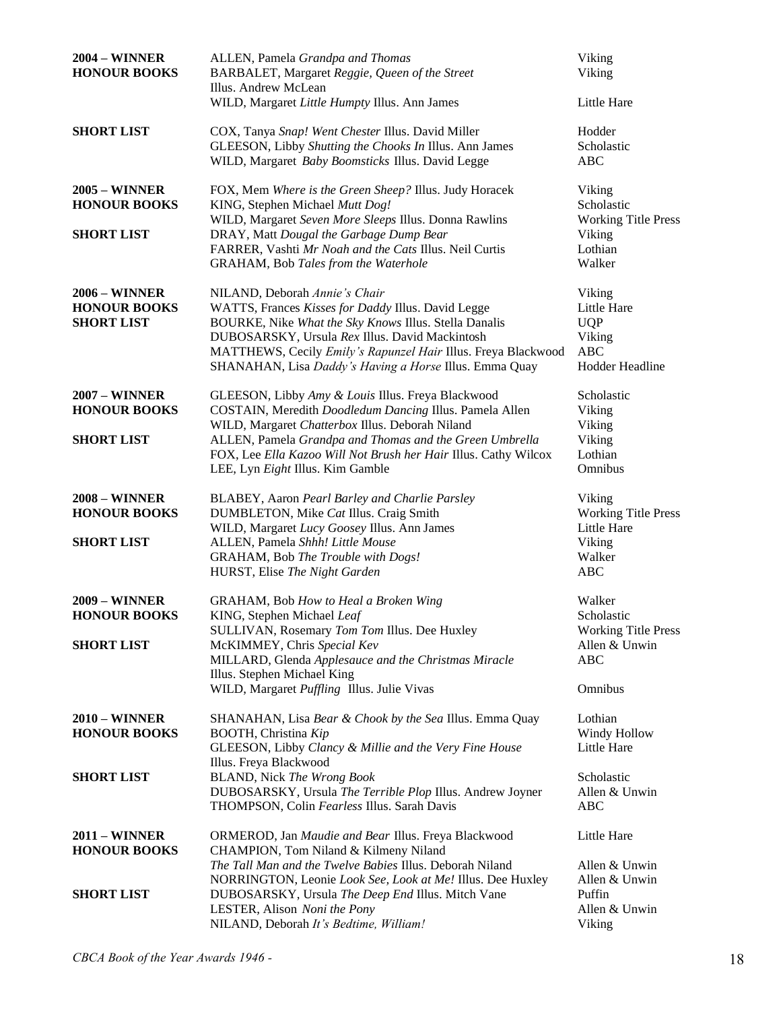| <b>2004 – WINNER</b><br><b>HONOUR BOOKS</b>                      | ALLEN, Pamela Grandpa and Thomas<br>BARBALET, Margaret Reggie, Queen of the Street<br>Illus. Andrew McLean                                                                                                                                                                                                                | Viking<br>Viking                                                                  |
|------------------------------------------------------------------|---------------------------------------------------------------------------------------------------------------------------------------------------------------------------------------------------------------------------------------------------------------------------------------------------------------------------|-----------------------------------------------------------------------------------|
| <b>SHORT LIST</b>                                                | WILD, Margaret Little Humpty Illus. Ann James<br>COX, Tanya Snap! Went Chester Illus. David Miller<br>GLEESON, Libby Shutting the Chooks In Illus. Ann James<br>WILD, Margaret Baby Boomsticks Illus. David Legge                                                                                                         | Little Hare<br>Hodder<br>Scholastic<br><b>ABC</b>                                 |
| <b>2005 - WINNER</b><br><b>HONOUR BOOKS</b><br><b>SHORT LIST</b> | FOX, Mem Where is the Green Sheep? Illus. Judy Horacek<br>KING, Stephen Michael Mutt Dog!<br>WILD, Margaret Seven More Sleeps Illus. Donna Rawlins<br>DRAY, Matt Dougal the Garbage Dump Bear<br>FARRER, Vashti Mr Noah and the Cats Illus. Neil Curtis<br>GRAHAM, Bob Tales from the Waterhole                           | Viking<br>Scholastic<br><b>Working Title Press</b><br>Viking<br>Lothian<br>Walker |
| <b>2006 - WINNER</b><br><b>HONOUR BOOKS</b><br><b>SHORT LIST</b> | NILAND, Deborah Annie's Chair<br>WATTS, Frances Kisses for Daddy Illus. David Legge<br>BOURKE, Nike What the Sky Knows Illus. Stella Danalis<br>DUBOSARSKY, Ursula Rex Illus. David Mackintosh<br>MATTHEWS, Cecily Emily's Rapunzel Hair Illus. Freya Blackwood<br>SHANAHAN, Lisa Daddy's Having a Horse Illus. Emma Quay | Viking<br>Little Hare<br><b>UQP</b><br>Viking<br><b>ABC</b><br>Hodder Headline    |
| <b>2007 - WINNER</b><br><b>HONOUR BOOKS</b>                      | GLEESON, Libby Amy & Louis Illus. Freya Blackwood<br>COSTAIN, Meredith Doodledum Dancing Illus. Pamela Allen<br>WILD, Margaret Chatterbox Illus. Deborah Niland                                                                                                                                                           | Scholastic<br>Viking<br>Viking                                                    |
| <b>SHORT LIST</b>                                                | ALLEN, Pamela Grandpa and Thomas and the Green Umbrella<br>FOX, Lee Ella Kazoo Will Not Brush her Hair Illus. Cathy Wilcox<br>LEE, Lyn Eight Illus. Kim Gamble                                                                                                                                                            | Viking<br>Lothian<br>Omnibus                                                      |
| <b>2008 - WINNER</b><br><b>HONOUR BOOKS</b>                      | BLABEY, Aaron Pearl Barley and Charlie Parsley<br>DUMBLETON, Mike Cat Illus. Craig Smith<br>WILD, Margaret Lucy Goosey Illus. Ann James                                                                                                                                                                                   | Viking<br><b>Working Title Press</b><br>Little Hare                               |
| <b>SHORT LIST</b>                                                | ALLEN, Pamela Shhh! Little Mouse<br>GRAHAM, Bob The Trouble with Dogs!<br>HURST, Elise The Night Garden                                                                                                                                                                                                                   | Viking<br>Walker<br><b>ABC</b>                                                    |
| <b>2009 - WINNER</b><br><b>HONOUR BOOKS</b>                      | GRAHAM, Bob How to Heal a Broken Wing<br>KING, Stephen Michael Leaf<br>SULLIVAN, Rosemary Tom Tom Illus. Dee Huxley                                                                                                                                                                                                       | Walker<br>Scholastic<br><b>Working Title Press</b>                                |
| <b>SHORT LIST</b>                                                | McKIMMEY, Chris Special Kev<br>MILLARD, Glenda Applesauce and the Christmas Miracle<br>Illus. Stephen Michael King                                                                                                                                                                                                        | Allen & Unwin<br><b>ABC</b>                                                       |
|                                                                  | WILD, Margaret Puffling Illus. Julie Vivas                                                                                                                                                                                                                                                                                | Omnibus                                                                           |
| <b>2010 - WINNER</b><br><b>HONOUR BOOKS</b>                      | SHANAHAN, Lisa Bear & Chook by the Sea Illus. Emma Quay<br><b>BOOTH, Christina Kip</b><br>GLEESON, Libby Clancy & Millie and the Very Fine House<br>Illus. Freya Blackwood                                                                                                                                                | Lothian<br>Windy Hollow<br>Little Hare                                            |
| <b>SHORT LIST</b>                                                | <b>BLAND, Nick The Wrong Book</b><br>DUBOSARSKY, Ursula The Terrible Plop Illus. Andrew Joyner<br>THOMPSON, Colin Fearless Illus. Sarah Davis                                                                                                                                                                             | Scholastic<br>Allen & Unwin<br>ABC                                                |
| <b>2011 - WINNER</b><br><b>HONOUR BOOKS</b>                      | ORMEROD, Jan Maudie and Bear Illus. Freya Blackwood<br>CHAMPION, Tom Niland & Kilmeny Niland                                                                                                                                                                                                                              | Little Hare                                                                       |
| <b>SHORT LIST</b>                                                | The Tall Man and the Twelve Babies Illus. Deborah Niland<br>NORRINGTON, Leonie Look See, Look at Me! Illus. Dee Huxley<br>DUBOSARSKY, Ursula The Deep End Illus. Mitch Vane<br>LESTER, Alison Noni the Pony<br>NILAND, Deborah It's Bedtime, William!                                                                     | Allen & Unwin<br>Allen & Unwin<br>Puffin<br>Allen & Unwin<br>Viking               |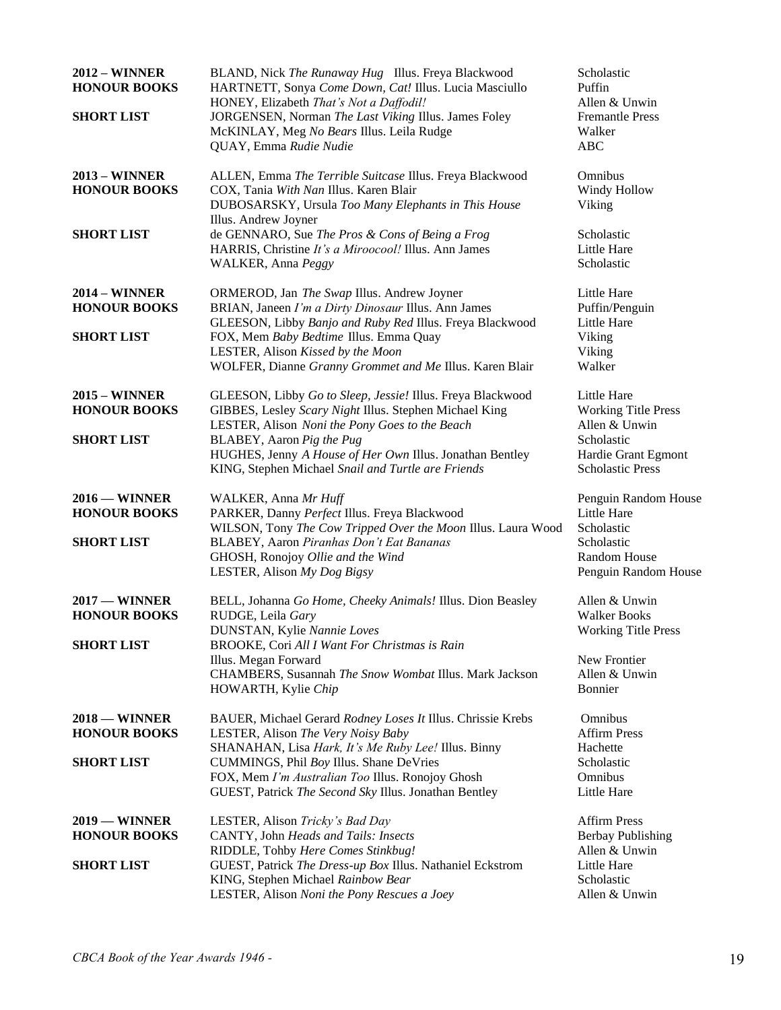| <b>2012 - WINNER</b><br><b>HONOUR BOOKS</b><br><b>SHORT LIST</b>   | BLAND, Nick The Runaway Hug Illus. Freya Blackwood<br>HARTNETT, Sonya Come Down, Cat! Illus. Lucia Masciullo<br>HONEY, Elizabeth That's Not a Daffodil!<br>JORGENSEN, Norman The Last Viking Illus. James Foley<br>McKINLAY, Meg No Bears Illus. Leila Rudge<br>QUAY, Emma Rudie Nudie                           | Scholastic<br>Puffin<br>Allen & Unwin<br><b>Fremantle Press</b><br>Walker<br><b>ABC</b>                                            |
|--------------------------------------------------------------------|------------------------------------------------------------------------------------------------------------------------------------------------------------------------------------------------------------------------------------------------------------------------------------------------------------------|------------------------------------------------------------------------------------------------------------------------------------|
| <b>2013 - WINNER</b><br><b>HONOUR BOOKS</b>                        | ALLEN, Emma The Terrible Suitcase Illus. Freya Blackwood<br>COX, Tania With Nan Illus. Karen Blair<br>DUBOSARSKY, Ursula Too Many Elephants in This House<br>Illus. Andrew Joyner                                                                                                                                | Omnibus<br>Windy Hollow<br>Viking                                                                                                  |
| <b>SHORT LIST</b>                                                  | de GENNARO, Sue The Pros & Cons of Being a Frog<br>HARRIS, Christine It's a Miroocool! Illus. Ann James<br>WALKER, Anna Peggy                                                                                                                                                                                    | Scholastic<br>Little Hare<br>Scholastic                                                                                            |
| <b>2014 – WINNER</b><br><b>HONOUR BOOKS</b><br><b>SHORT LIST</b>   | ORMEROD, Jan The Swap Illus. Andrew Joyner<br>BRIAN, Janeen I'm a Dirty Dinosaur Illus. Ann James<br>GLEESON, Libby Banjo and Ruby Red Illus. Freya Blackwood<br>FOX, Mem Baby Bedtime Illus. Emma Quay<br>LESTER, Alison Kissed by the Moon<br>WOLFER, Dianne Granny Grommet and Me Illus. Karen Blair          | Little Hare<br>Puffin/Penguin<br>Little Hare<br>Viking<br>Viking<br>Walker                                                         |
| <b>2015 – WINNER</b><br><b>HONOUR BOOKS</b><br><b>SHORT LIST</b>   | GLEESON, Libby Go to Sleep, Jessie! Illus. Freya Blackwood<br>GIBBES, Lesley Scary Night Illus. Stephen Michael King<br>LESTER, Alison Noni the Pony Goes to the Beach<br>BLABEY, Aaron Pig the Pug<br>HUGHES, Jenny A House of Her Own Illus. Jonathan Bentley                                                  | Little Hare<br><b>Working Title Press</b><br>Allen & Unwin<br>Scholastic<br>Hardie Grant Egmont                                    |
| $2016$ – WINNER<br><b>HONOUR BOOKS</b><br><b>SHORT LIST</b>        | KING, Stephen Michael Snail and Turtle are Friends<br>WALKER, Anna Mr Huff<br>PARKER, Danny Perfect Illus. Freya Blackwood<br>WILSON, Tony The Cow Tripped Over the Moon Illus. Laura Wood<br>BLABEY, Aaron Piranhas Don't Eat Bananas<br>GHOSH, Ronojoy Ollie and the Wind<br>LESTER, Alison My Dog Bigsy       | <b>Scholastic Press</b><br>Penguin Random House<br>Little Hare<br>Scholastic<br>Scholastic<br>Random House<br>Penguin Random House |
| $2017 -$ WINNER<br><b>HONOUR BOOKS</b><br><b>SHORT LIST</b>        | BELL, Johanna Go Home, Cheeky Animals! Illus. Dion Beasley<br>RUDGE, Leila Gary<br><b>DUNSTAN, Kylie Nannie Loves</b><br>BROOKE, Cori All I Want For Christmas is Rain<br>Illus. Megan Forward<br>CHAMBERS, Susannah The Snow Wombat Illus. Mark Jackson<br>HOWARTH, Kylie Chip                                  | Allen & Unwin<br><b>Walker Books</b><br><b>Working Title Press</b><br>New Frontier<br>Allen & Unwin<br><b>Bonnier</b>              |
| $2018 -$ WINNER<br><b>HONOUR BOOKS</b><br><b>SHORT LIST</b>        | BAUER, Michael Gerard Rodney Loses It Illus. Chrissie Krebs<br>LESTER, Alison The Very Noisy Baby<br>SHANAHAN, Lisa Hark, It's Me Ruby Lee! Illus. Binny<br>CUMMINGS, Phil Boy Illus. Shane DeVries<br>FOX, Mem I'm Australian Too Illus. Ronojoy Ghosh<br>GUEST, Patrick The Second Sky Illus. Jonathan Bentley | Omnibus<br><b>Affirm Press</b><br>Hachette<br>Scholastic<br>Omnibus<br>Little Hare                                                 |
| $2019 - \text{WINNER}$<br><b>HONOUR BOOKS</b><br><b>SHORT LIST</b> | LESTER, Alison Tricky's Bad Day<br>CANTY, John Heads and Tails: Insects<br>RIDDLE, Tohby Here Comes Stinkbug!<br>GUEST, Patrick The Dress-up Box Illus. Nathaniel Eckstrom<br>KING, Stephen Michael Rainbow Bear<br>LESTER, Alison Noni the Pony Rescues a Joey                                                  | <b>Affirm Press</b><br><b>Berbay Publishing</b><br>Allen & Unwin<br>Little Hare<br>Scholastic<br>Allen & Unwin                     |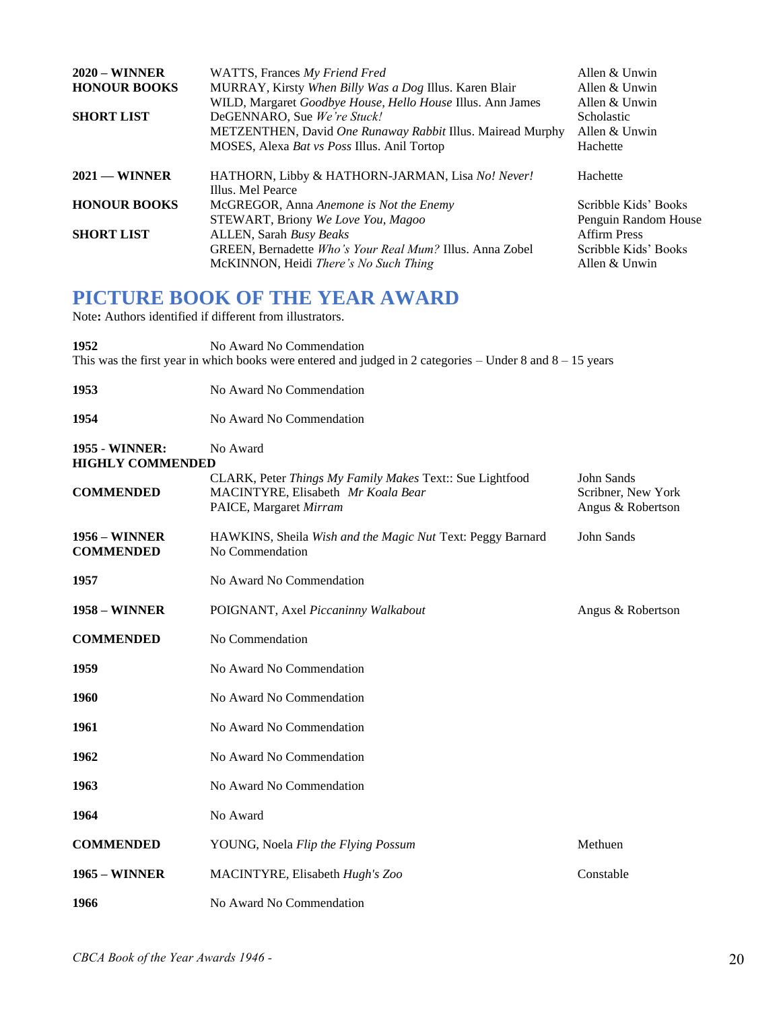| $2020 - \text{WINNER}$ | WATTS, Frances My Friend Fred                                         | Allen & Unwin        |
|------------------------|-----------------------------------------------------------------------|----------------------|
| <b>HONOUR BOOKS</b>    | MURRAY, Kirsty When Billy Was a Dog Illus. Karen Blair                | Allen & Unwin        |
|                        | WILD, Margaret Goodbye House, Hello House Illus. Ann James            | Allen & Unwin        |
| <b>SHORT LIST</b>      | DeGENNARO, Sue We're Stuck!                                           | <b>Scholastic</b>    |
|                        | METZENTHEN, David One Runaway Rabbit Illus. Mairead Murphy            | Allen & Unwin        |
|                        | MOSES, Alexa Bat vs Poss Illus. Anil Tortop                           | Hachette             |
| $2021$ — WINNER        | HATHORN, Libby & HATHORN-JARMAN, Lisa No! Never!<br>Illus. Mel Pearce | Hachette             |
| <b>HONOUR BOOKS</b>    | McGREGOR, Anna Anemone is Not the Enemy                               | Scribble Kids' Books |
|                        | STEWART, Briony We Love You, Magoo                                    | Penguin Random House |
| <b>SHORT LIST</b>      | ALLEN, Sarah Busy Beaks                                               | <b>Affirm Press</b>  |
|                        | GREEN, Bernadette Who's Your Real Mum? Illus. Anna Zobel              | Scribble Kids' Books |
|                        | McKINNON, Heidi <i>There's No Such Thing</i>                          | Allen & Unwin        |

### **PICTURE BOOK OF THE YEAR AWARD**

Note**:** Authors identified if different from illustrators.

**1952** No Award No Commendation This was the first year in which books were entered and judged in 2 categories  $-$  Under 8 and  $8-15$  years **1953** No Award No Commendation **1954** No Award No Commendation **1955** - **WINNER:** No Award **HIGHLY COMMENDED** CLARK, Peter *Things My Family Makes* Text:: Sue Lightfood John Sands **COMMENDED** MACINTYRE, Elisabeth *Mr Koala Bear* Scribner, New York PAICE, Margaret *Mirram* **Angus & Robertson Angus & Robertson** 

- **1956 – WINNER** HAWKINS, Sheila *Wish and the Magic Nut* Text: Peggy Barnard John Sands **COMMENDED** No Commendation
- **1957** No Award No Commendation
- **1958 WINNER** POIGNANT, Axel *Piccaninny Walkabout* **Angus & Robertson COMMENDED** No Commendation
- **1959** No Award No Commendation
- 
- **1960** No Award No Commendation
- **1961** No Award No Commendation **1962** No Award No Commendation
- **1963** No Award No Commendation **1964** No Award
- **COMMENDED** YOUNG, Noela *Flip the Flying Possum* Methuen **1965 – WINNER** MACINTYRE, Elisabeth *Hugh's Zoo* Constable **1966** No Award No Commendation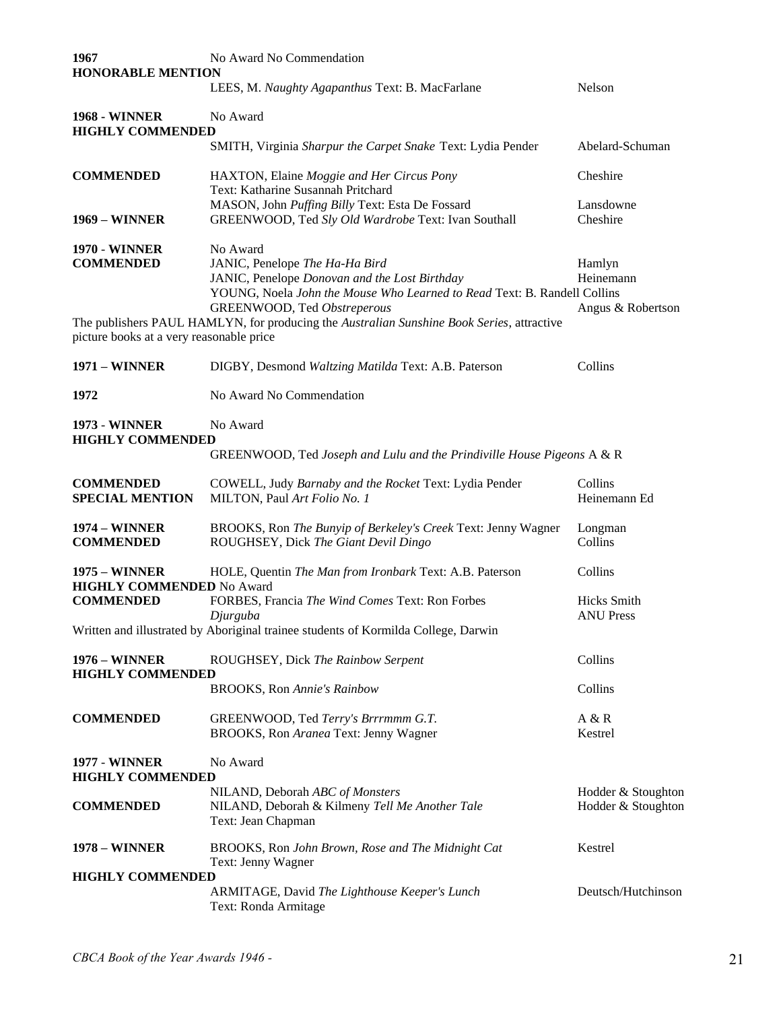| 1967<br><b>HONORABLE MENTION</b>                  | No Award No Commendation                                                                                                                                                                               |                                          |
|---------------------------------------------------|--------------------------------------------------------------------------------------------------------------------------------------------------------------------------------------------------------|------------------------------------------|
|                                                   | LEES, M. Naughty Agapanthus Text: B. MacFarlane                                                                                                                                                        | Nelson                                   |
| <b>1968 - WINNER</b><br><b>HIGHLY COMMENDED</b>   | No Award                                                                                                                                                                                               |                                          |
|                                                   | SMITH, Virginia Sharpur the Carpet Snake Text: Lydia Pender                                                                                                                                            | Abelard-Schuman                          |
| <b>COMMENDED</b>                                  | HAXTON, Elaine Moggie and Her Circus Pony<br>Text: Katharine Susannah Pritchard                                                                                                                        | Cheshire                                 |
| <b>1969 - WINNER</b>                              | MASON, John Puffing Billy Text: Esta De Fossard<br>GREENWOOD, Ted Sly Old Wardrobe Text: Ivan Southall                                                                                                 | Lansdowne<br>Cheshire                    |
| <b>1970 - WINNER</b><br><b>COMMENDED</b>          | No Award<br>JANIC, Penelope The Ha-Ha Bird<br>JANIC, Penelope Donovan and the Lost Birthday<br>YOUNG, Noela John the Mouse Who Learned to Read Text: B. Randell Collins<br>GREENWOOD, Ted Obstreperous | Hamlyn<br>Heinemann<br>Angus & Robertson |
| picture books at a very reasonable price          | The publishers PAUL HAMLYN, for producing the Australian Sunshine Book Series, attractive                                                                                                              |                                          |
| <b>1971 - WINNER</b>                              | DIGBY, Desmond Waltzing Matilda Text: A.B. Paterson                                                                                                                                                    | Collins                                  |
| 1972                                              | No Award No Commendation                                                                                                                                                                               |                                          |
| <b>1973 - WINNER</b><br><b>HIGHLY COMMENDED</b>   | No Award<br>GREENWOOD, Ted Joseph and Lulu and the Prindiville House Pigeons A & R                                                                                                                     |                                          |
| <b>COMMENDED</b><br><b>SPECIAL MENTION</b>        | COWELL, Judy Barnaby and the Rocket Text: Lydia Pender<br>MILTON, Paul Art Folio No. 1                                                                                                                 | Collins<br>Heinemann Ed                  |
| <b>1974 - WINNER</b><br><b>COMMENDED</b>          | BROOKS, Ron The Bunyip of Berkeley's Creek Text: Jenny Wagner<br>ROUGHSEY, Dick The Giant Devil Dingo                                                                                                  | Longman<br>Collins                       |
| 1975 – WINNER<br><b>HIGHLY COMMENDED No Award</b> | HOLE, Quentin The Man from Ironbark Text: A.B. Paterson                                                                                                                                                | Collins                                  |
| <b>COMMENDED</b>                                  | FORBES, Francia The Wind Comes Text: Ron Forbes<br>Djurguba<br>Written and illustrated by Aboriginal trainee students of Kormilda College, Darwin                                                      | <b>Hicks</b> Smith<br><b>ANU Press</b>   |
| <b>1976 - WINNER</b>                              | ROUGHSEY, Dick The Rainbow Serpent                                                                                                                                                                     | Collins                                  |
| <b>HIGHLY COMMENDED</b>                           | <b>BROOKS, Ron Annie's Rainbow</b>                                                                                                                                                                     | Collins                                  |
| <b>COMMENDED</b>                                  | GREENWOOD, Ted Terry's Brrrmmm G.T.<br>BROOKS, Ron Aranea Text: Jenny Wagner                                                                                                                           | A & R<br>Kestrel                         |
| <b>1977 - WINNER</b><br><b>HIGHLY COMMENDED</b>   | No Award                                                                                                                                                                                               |                                          |
| <b>COMMENDED</b>                                  | NILAND, Deborah ABC of Monsters<br>NILAND, Deborah & Kilmeny Tell Me Another Tale<br>Text: Jean Chapman                                                                                                | Hodder & Stoughton<br>Hodder & Stoughton |
| 1978 – WINNER                                     | BROOKS, Ron John Brown, Rose and The Midnight Cat<br>Text: Jenny Wagner                                                                                                                                | Kestrel                                  |
| <b>HIGHLY COMMENDED</b>                           | ARMITAGE, David The Lighthouse Keeper's Lunch<br>Text: Ronda Armitage                                                                                                                                  | Deutsch/Hutchinson                       |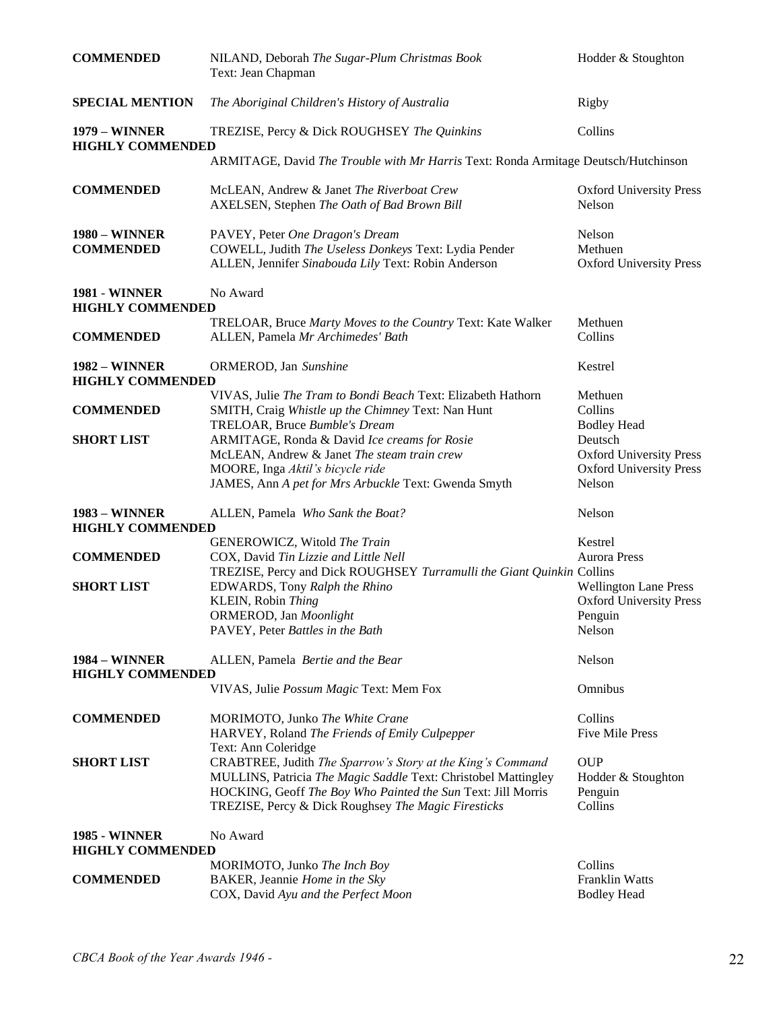| <b>COMMENDED</b>                                | NILAND, Deborah The Sugar-Plum Christmas Book<br>Text: Jean Chapman                                                                                                                                                                                 | Hodder & Stoughton                                                                    |
|-------------------------------------------------|-----------------------------------------------------------------------------------------------------------------------------------------------------------------------------------------------------------------------------------------------------|---------------------------------------------------------------------------------------|
| <b>SPECIAL MENTION</b>                          | The Aboriginal Children's History of Australia                                                                                                                                                                                                      | Rigby                                                                                 |
| <b>1979 - WINNER</b><br><b>HIGHLY COMMENDED</b> | TREZISE, Percy & Dick ROUGHSEY The Quinkins                                                                                                                                                                                                         | Collins                                                                               |
|                                                 | ARMITAGE, David The Trouble with Mr Harris Text: Ronda Armitage Deutsch/Hutchinson                                                                                                                                                                  |                                                                                       |
| <b>COMMENDED</b>                                | McLEAN, Andrew & Janet The Riverboat Crew<br>AXELSEN, Stephen The Oath of Bad Brown Bill                                                                                                                                                            | <b>Oxford University Press</b><br>Nelson                                              |
| <b>1980 - WINNER</b><br><b>COMMENDED</b>        | PAVEY, Peter One Dragon's Dream<br>COWELL, Judith The Useless Donkeys Text: Lydia Pender<br>ALLEN, Jennifer Sinabouda Lily Text: Robin Anderson                                                                                                     | Nelson<br>Methuen<br><b>Oxford University Press</b>                                   |
| <b>1981 - WINNER</b><br><b>HIGHLY COMMENDED</b> | No Award                                                                                                                                                                                                                                            |                                                                                       |
| <b>COMMENDED</b>                                | TRELOAR, Bruce Marty Moves to the Country Text: Kate Walker<br>ALLEN, Pamela Mr Archimedes' Bath                                                                                                                                                    | Methuen<br>Collins                                                                    |
| <b>1982 - WINNER</b><br><b>HIGHLY COMMENDED</b> | ORMEROD, Jan Sunshine                                                                                                                                                                                                                               | Kestrel                                                                               |
| <b>COMMENDED</b>                                | VIVAS, Julie The Tram to Bondi Beach Text: Elizabeth Hathorn<br>SMITH, Craig Whistle up the Chimney Text: Nan Hunt<br>TRELOAR, Bruce Bumble's Dream                                                                                                 | Methuen<br>Collins<br><b>Bodley Head</b>                                              |
| <b>SHORT LIST</b>                               | ARMITAGE, Ronda & David Ice creams for Rosie<br>McLEAN, Andrew & Janet The steam train crew<br>MOORE, Inga Aktil's bicycle ride<br>JAMES, Ann A pet for Mrs Arbuckle Text: Gwenda Smyth                                                             | Deutsch<br><b>Oxford University Press</b><br><b>Oxford University Press</b><br>Nelson |
| <b>1983 – WINNER</b><br><b>HIGHLY COMMENDED</b> | ALLEN, Pamela Who Sank the Boat?                                                                                                                                                                                                                    | Nelson                                                                                |
| <b>COMMENDED</b>                                | GENEROWICZ, Witold The Train<br>COX, David Tin Lizzie and Little Nell<br>TREZISE, Percy and Dick ROUGHSEY Turramulli the Giant Quinkin Collins                                                                                                      | Kestrel<br><b>Aurora Press</b>                                                        |
| <b>SHORT LIST</b>                               | EDWARDS, Tony Ralph the Rhino<br>KLEIN, Robin Thing<br>ORMEROD, Jan Moonlight<br>PAVEY, Peter Battles in the Bath                                                                                                                                   | <b>Wellington Lane Press</b><br><b>Oxford University Press</b><br>Penguin<br>Nelson   |
| <b>1984 – WINNER</b><br><b>HIGHLY COMMENDED</b> | ALLEN, Pamela Bertie and the Bear                                                                                                                                                                                                                   | Nelson                                                                                |
|                                                 | VIVAS, Julie Possum Magic Text: Mem Fox                                                                                                                                                                                                             | Omnibus                                                                               |
| <b>COMMENDED</b>                                | MORIMOTO, Junko The White Crane<br>HARVEY, Roland The Friends of Emily Culpepper<br>Text: Ann Coleridge                                                                                                                                             | Collins<br><b>Five Mile Press</b>                                                     |
| <b>SHORT LIST</b>                               | CRABTREE, Judith The Sparrow's Story at the King's Command<br>MULLINS, Patricia The Magic Saddle Text: Christobel Mattingley<br>HOCKING, Geoff The Boy Who Painted the Sun Text: Jill Morris<br>TREZISE, Percy & Dick Roughsey The Magic Firesticks | <b>OUP</b><br>Hodder & Stoughton<br>Penguin<br>Collins                                |
| <b>1985 - WINNER</b><br><b>HIGHLY COMMENDED</b> | No Award                                                                                                                                                                                                                                            |                                                                                       |
| <b>COMMENDED</b>                                | MORIMOTO, Junko The Inch Boy<br>BAKER, Jeannie Home in the Sky<br>COX, David Ayu and the Perfect Moon                                                                                                                                               | Collins<br><b>Franklin Watts</b><br><b>Bodley Head</b>                                |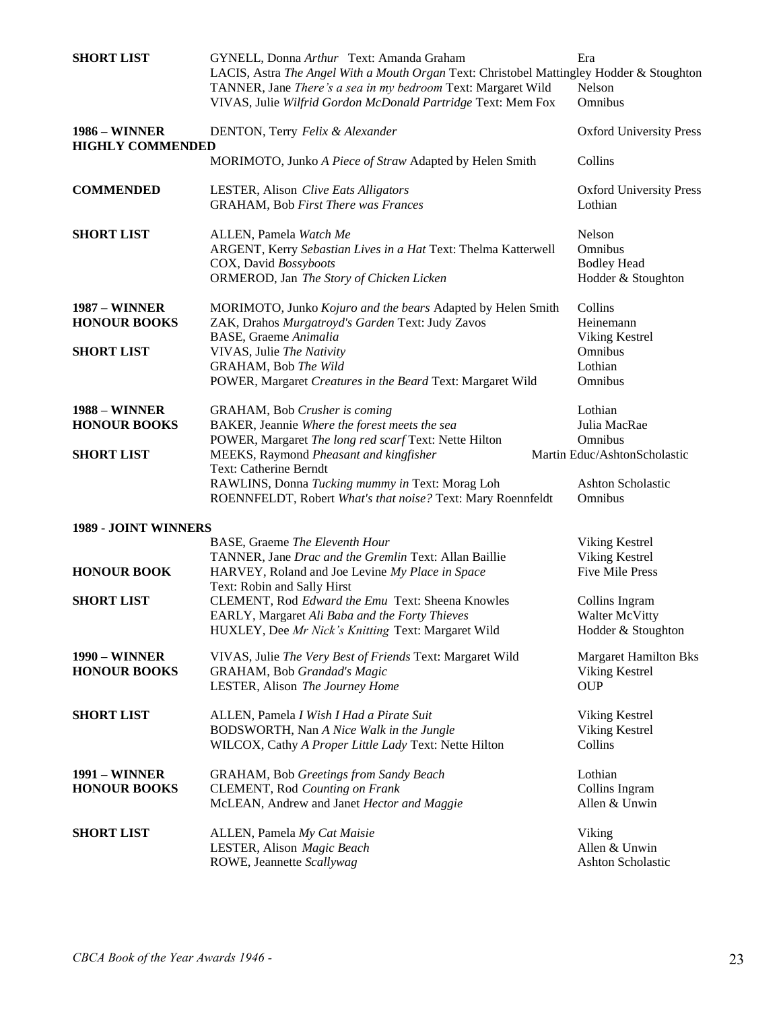| <b>SHORT LIST</b>                           | GYNELL, Donna Arthur Text: Amanda Graham<br>LACIS, Astra The Angel With a Mouth Organ Text: Christobel Mattingley Hodder & Stoughton<br>TANNER, Jane There's a sea in my bedroom Text: Margaret Wild<br>VIVAS, Julie Wilfrid Gordon McDonald Partridge Text: Mem Fox | Era<br>Nelson<br>Omnibus                                            |
|---------------------------------------------|----------------------------------------------------------------------------------------------------------------------------------------------------------------------------------------------------------------------------------------------------------------------|---------------------------------------------------------------------|
| <b>1986 - WINNER</b>                        | DENTON, Terry Felix & Alexander                                                                                                                                                                                                                                      | <b>Oxford University Press</b>                                      |
| <b>HIGHLY COMMENDED</b>                     | MORIMOTO, Junko A Piece of Straw Adapted by Helen Smith                                                                                                                                                                                                              | Collins                                                             |
| <b>COMMENDED</b>                            | LESTER, Alison Clive Eats Alligators<br><b>GRAHAM, Bob First There was Frances</b>                                                                                                                                                                                   | <b>Oxford University Press</b><br>Lothian                           |
| <b>SHORT LIST</b>                           | ALLEN, Pamela Watch Me<br>ARGENT, Kerry Sebastian Lives in a Hat Text: Thelma Katterwell<br>COX, David Bossyboots<br>ORMEROD, Jan The Story of Chicken Licken                                                                                                        | Nelson<br>Omnibus<br><b>Bodley Head</b><br>Hodder & Stoughton       |
| <b>1987 - WINNER</b><br><b>HONOUR BOOKS</b> | MORIMOTO, Junko Kojuro and the bears Adapted by Helen Smith<br>ZAK, Drahos Murgatroyd's Garden Text: Judy Zavos<br><b>BASE, Graeme Animalia</b>                                                                                                                      | Collins<br>Heinemann<br>Viking Kestrel                              |
| <b>SHORT LIST</b>                           | VIVAS, Julie The Nativity<br><b>GRAHAM, Bob The Wild</b><br>POWER, Margaret Creatures in the Beard Text: Margaret Wild                                                                                                                                               | Omnibus<br>Lothian<br>Omnibus                                       |
| <b>1988 – WINNER</b><br><b>HONOUR BOOKS</b> | GRAHAM, Bob Crusher is coming<br>BAKER, Jeannie Where the forest meets the sea<br>POWER, Margaret The long red scarf Text: Nette Hilton                                                                                                                              | Lothian<br>Julia MacRae<br>Omnibus                                  |
| <b>SHORT LIST</b>                           | MEEKS, Raymond Pheasant and kingfisher<br>Text: Catherine Berndt<br>RAWLINS, Donna Tucking mummy in Text: Morag Loh<br>ROENNFELDT, Robert What's that noise? Text: Mary Roennfeldt                                                                                   | Martin Educ/AshtonScholastic<br><b>Ashton Scholastic</b><br>Omnibus |
| 1989 - JOINT WINNERS                        |                                                                                                                                                                                                                                                                      |                                                                     |
|                                             | BASE, Graeme The Eleventh Hour                                                                                                                                                                                                                                       | Viking Kestrel                                                      |
| <b>HONOUR BOOK</b>                          | TANNER, Jane Drac and the Gremlin Text: Allan Baillie<br>HARVEY, Roland and Joe Levine My Place in Space<br>Text: Robin and Sally Hirst                                                                                                                              | Viking Kestrel<br><b>Five Mile Press</b>                            |
| <b>SHORT LIST</b>                           | CLEMENT, Rod Edward the Emu Text: Sheena Knowles<br>EARLY, Margaret Ali Baba and the Forty Thieves<br>HUXLEY, Dee Mr Nick's Knitting Text: Margaret Wild                                                                                                             | Collins Ingram<br><b>Walter McVitty</b><br>Hodder & Stoughton       |
| <b>1990 - WINNER</b><br><b>HONOUR BOOKS</b> | VIVAS, Julie The Very Best of Friends Text: Margaret Wild<br>GRAHAM, Bob Grandad's Magic<br>LESTER, Alison The Journey Home                                                                                                                                          | <b>Margaret Hamilton Bks</b><br>Viking Kestrel<br><b>OUP</b>        |
| <b>SHORT LIST</b>                           | ALLEN, Pamela I Wish I Had a Pirate Suit<br>BODSWORTH, Nan A Nice Walk in the Jungle<br>WILCOX, Cathy A Proper Little Lady Text: Nette Hilton                                                                                                                        | Viking Kestrel<br>Viking Kestrel<br>Collins                         |
| <b>1991 - WINNER</b><br><b>HONOUR BOOKS</b> | <b>GRAHAM, Bob Greetings from Sandy Beach</b><br><b>CLEMENT, Rod Counting on Frank</b><br>McLEAN, Andrew and Janet Hector and Maggie                                                                                                                                 | Lothian<br>Collins Ingram<br>Allen & Unwin                          |
| <b>SHORT LIST</b>                           | ALLEN, Pamela My Cat Maisie<br>LESTER, Alison Magic Beach<br>ROWE, Jeannette Scallywag                                                                                                                                                                               | Viking<br>Allen & Unwin<br>Ashton Scholastic                        |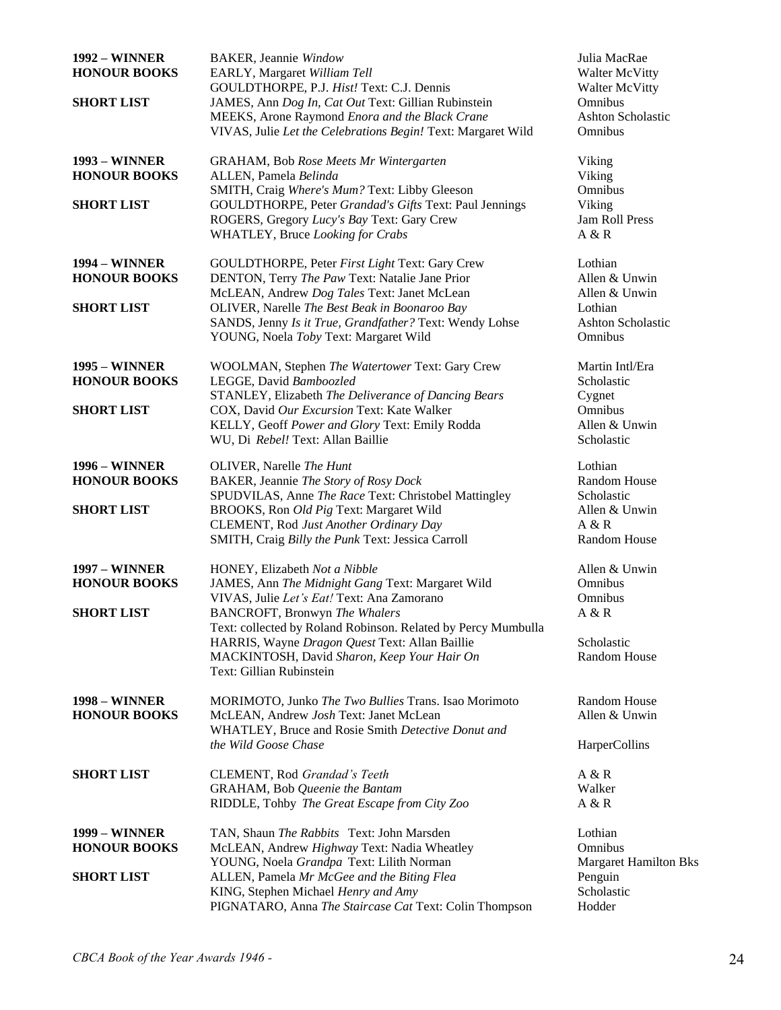| <b>1992 - WINNER</b><br><b>HONOUR BOOKS</b><br><b>SHORT LIST</b> | <b>BAKER</b> , Jeannie Window<br>EARLY, Margaret William Tell<br>GOULDTHORPE, P.J. Hist! Text: C.J. Dennis<br>JAMES, Ann Dog In, Cat Out Text: Gillian Rubinstein<br>MEEKS, Arone Raymond Enora and the Black Crane<br>VIVAS, Julie Let the Celebrations Begin! Text: Margaret Wild | Julia MacRae<br><b>Walter McVitty</b><br><b>Walter McVitty</b><br>Omnibus<br><b>Ashton Scholastic</b><br>Omnibus |
|------------------------------------------------------------------|-------------------------------------------------------------------------------------------------------------------------------------------------------------------------------------------------------------------------------------------------------------------------------------|------------------------------------------------------------------------------------------------------------------|
| <b>1993 – WINNER</b><br><b>HONOUR BOOKS</b><br><b>SHORT LIST</b> | <b>GRAHAM, Bob Rose Meets Mr Wintergarten</b><br>ALLEN, Pamela Belinda<br>SMITH, Craig Where's Mum? Text: Libby Gleeson<br>GOULDTHORPE, Peter Grandad's Gifts Text: Paul Jennings                                                                                                   | Viking<br>Viking<br>Omnibus<br>Viking                                                                            |
|                                                                  | ROGERS, Gregory Lucy's Bay Text: Gary Crew<br>WHATLEY, Bruce Looking for Crabs                                                                                                                                                                                                      | Jam Roll Press<br>A & R                                                                                          |
| <b>1994 – WINNER</b><br><b>HONOUR BOOKS</b>                      | GOULDTHORPE, Peter First Light Text: Gary Crew<br>DENTON, Terry The Paw Text: Natalie Jane Prior                                                                                                                                                                                    | Lothian<br>Allen & Unwin                                                                                         |
| <b>SHORT LIST</b>                                                | McLEAN, Andrew Dog Tales Text: Janet McLean<br>OLIVER, Narelle The Best Beak in Boonaroo Bay<br>SANDS, Jenny Is it True, Grandfather? Text: Wendy Lohse<br>YOUNG, Noela Toby Text: Margaret Wild                                                                                    | Allen & Unwin<br>Lothian<br><b>Ashton Scholastic</b><br>Omnibus                                                  |
| <b>1995 – WINNER</b><br><b>HONOUR BOOKS</b>                      | WOOLMAN, Stephen The Watertower Text: Gary Crew<br>LEGGE, David Bamboozled<br>STANLEY, Elizabeth The Deliverance of Dancing Bears                                                                                                                                                   | Martin Intl/Era<br>Scholastic<br>Cygnet                                                                          |
| <b>SHORT LIST</b>                                                | COX, David Our Excursion Text: Kate Walker<br>KELLY, Geoff Power and Glory Text: Emily Rodda<br>WU, Di Rebel! Text: Allan Baillie                                                                                                                                                   | Omnibus<br>Allen & Unwin<br>Scholastic                                                                           |
| <b>1996 - WINNER</b><br><b>HONOUR BOOKS</b>                      | OLIVER, Narelle The Hunt<br>BAKER, Jeannie The Story of Rosy Dock<br>SPUDVILAS, Anne The Race Text: Christobel Mattingley                                                                                                                                                           | Lothian<br>Random House<br>Scholastic                                                                            |
| <b>SHORT LIST</b>                                                | BROOKS, Ron Old Pig Text: Margaret Wild<br>CLEMENT, Rod Just Another Ordinary Day<br>SMITH, Craig Billy the Punk Text: Jessica Carroll                                                                                                                                              | Allen & Unwin<br>A & R<br>Random House                                                                           |
| <b>1997 - WINNER</b><br><b>HONOUR BOOKS</b>                      | HONEY, Elizabeth Not a Nibble<br>JAMES, Ann The Midnight Gang Text: Margaret Wild                                                                                                                                                                                                   | Allen & Unwin<br>Omnibus                                                                                         |
| <b>SHORT LIST</b>                                                | VIVAS, Julie Let's Eat! Text: Ana Zamorano<br><b>BANCROFT</b> , Bronwyn The Whalers<br>Text: collected by Roland Robinson. Related by Percy Mumbulla                                                                                                                                | Omnibus<br>A & R                                                                                                 |
|                                                                  | HARRIS, Wayne Dragon Quest Text: Allan Baillie<br>MACKINTOSH, David Sharon, Keep Your Hair On<br>Text: Gillian Rubinstein                                                                                                                                                           | Scholastic<br>Random House                                                                                       |
| <b>1998 – WINNER</b><br><b>HONOUR BOOKS</b>                      | MORIMOTO, Junko The Two Bullies Trans. Isao Morimoto<br>McLEAN, Andrew Josh Text: Janet McLean<br>WHATLEY, Bruce and Rosie Smith Detective Donut and                                                                                                                                | Random House<br>Allen & Unwin                                                                                    |
|                                                                  | the Wild Goose Chase                                                                                                                                                                                                                                                                | HarperCollins                                                                                                    |
| <b>SHORT LIST</b>                                                | CLEMENT, Rod Grandad's Teeth<br>GRAHAM, Bob Queenie the Bantam<br>RIDDLE, Tohby The Great Escape from City Zoo                                                                                                                                                                      | A & R<br>Walker<br>A & R                                                                                         |
| <b>1999 – WINNER</b><br><b>HONOUR BOOKS</b>                      | TAN, Shaun The Rabbits Text: John Marsden<br>McLEAN, Andrew Highway Text: Nadia Wheatley                                                                                                                                                                                            | Lothian<br>Omnibus                                                                                               |
| <b>SHORT LIST</b>                                                | YOUNG, Noela Grandpa Text: Lilith Norman<br>ALLEN, Pamela Mr McGee and the Biting Flea<br>KING, Stephen Michael Henry and Amy<br>PIGNATARO, Anna The Staircase Cat Text: Colin Thompson                                                                                             | <b>Margaret Hamilton Bks</b><br>Penguin<br>Scholastic<br>Hodder                                                  |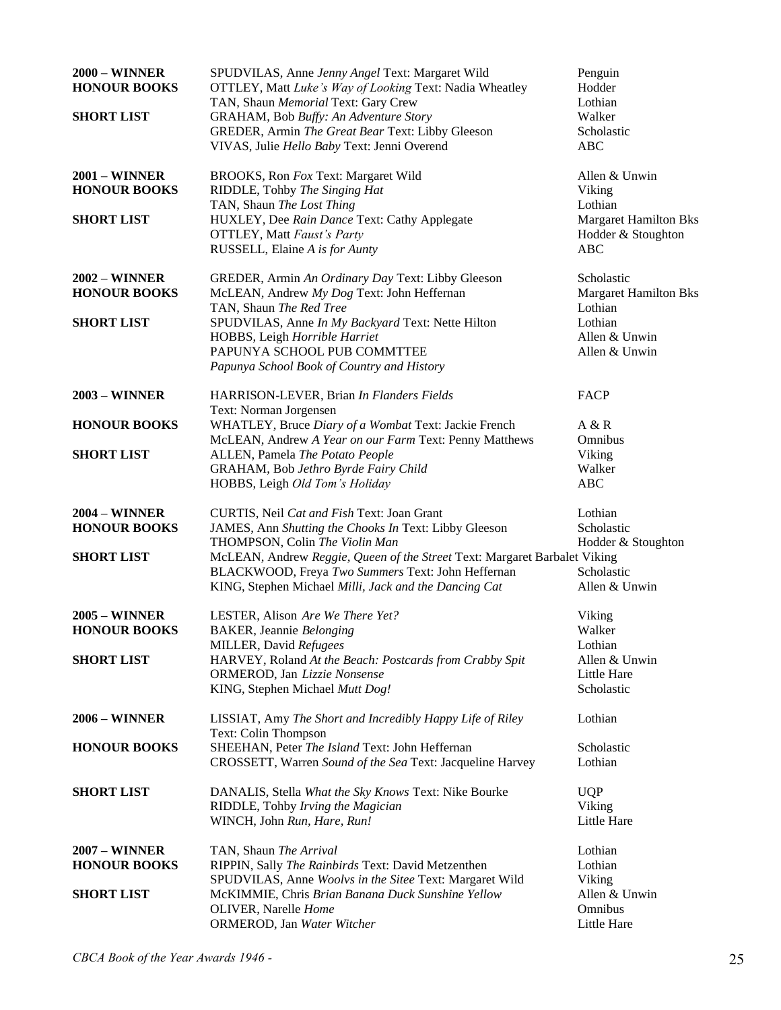| <b>2000 – WINNER</b><br><b>HONOUR BOOKS</b><br><b>SHORT LIST</b> | SPUDVILAS, Anne Jenny Angel Text: Margaret Wild<br>OTTLEY, Matt Luke's Way of Looking Text: Nadia Wheatley<br>TAN, Shaun Memorial Text: Gary Crew<br>GRAHAM, Bob Buffy: An Adventure Story<br>GREDER, Armin The Great Bear Text: Libby Gleeson<br>VIVAS, Julie Hello Baby Text: Jenni Overend | Penguin<br>Hodder<br>Lothian<br>Walker<br>Scholastic<br><b>ABC</b> |
|------------------------------------------------------------------|-----------------------------------------------------------------------------------------------------------------------------------------------------------------------------------------------------------------------------------------------------------------------------------------------|--------------------------------------------------------------------|
| <b>2001 – WINNER</b><br><b>HONOUR BOOKS</b>                      | BROOKS, Ron Fox Text: Margaret Wild<br>RIDDLE, Tohby The Singing Hat<br>TAN, Shaun The Lost Thing                                                                                                                                                                                             | Allen & Unwin<br>Viking<br>Lothian                                 |
| <b>SHORT LIST</b>                                                | HUXLEY, Dee Rain Dance Text: Cathy Applegate<br><b>OTTLEY, Matt Faust's Party</b><br>RUSSELL, Elaine A is for Aunty                                                                                                                                                                           | <b>Margaret Hamilton Bks</b><br>Hodder & Stoughton<br><b>ABC</b>   |
| $2002 -$ WINNER<br><b>HONOUR BOOKS</b>                           | GREDER, Armin An Ordinary Day Text: Libby Gleeson<br>McLEAN, Andrew My Dog Text: John Heffernan<br>TAN, Shaun The Red Tree                                                                                                                                                                    | Scholastic<br><b>Margaret Hamilton Bks</b><br>Lothian              |
| <b>SHORT LIST</b>                                                | SPUDVILAS, Anne In My Backyard Text: Nette Hilton<br>HOBBS, Leigh Horrible Harriet<br>PAPUNYA SCHOOL PUB COMMTTEE<br>Papunya School Book of Country and History                                                                                                                               | Lothian<br>Allen & Unwin<br>Allen & Unwin                          |
| <b>2003 – WINNER</b>                                             | HARRISON-LEVER, Brian In Flanders Fields<br>Text: Norman Jorgensen                                                                                                                                                                                                                            | <b>FACP</b>                                                        |
| <b>HONOUR BOOKS</b>                                              | WHATLEY, Bruce Diary of a Wombat Text: Jackie French<br>McLEAN, Andrew A Year on our Farm Text: Penny Matthews                                                                                                                                                                                | A & R<br>Omnibus                                                   |
| <b>SHORT LIST</b>                                                | ALLEN, Pamela The Potato People<br>GRAHAM, Bob Jethro Byrde Fairy Child<br>HOBBS, Leigh Old Tom's Holiday                                                                                                                                                                                     | Viking<br>Walker<br><b>ABC</b>                                     |
| <b>2004 – WINNER</b><br><b>HONOUR BOOKS</b>                      | CURTIS, Neil Cat and Fish Text: Joan Grant<br>JAMES, Ann Shutting the Chooks In Text: Libby Gleeson<br>THOMPSON, Colin The Violin Man                                                                                                                                                         | Lothian<br>Scholastic<br>Hodder & Stoughton                        |
| <b>SHORT LIST</b>                                                | McLEAN, Andrew Reggie, Queen of the Street Text: Margaret Barbalet Viking<br>BLACKWOOD, Freya Two Summers Text: John Heffernan<br>KING, Stephen Michael Milli, Jack and the Dancing Cat                                                                                                       | Scholastic<br>Allen & Unwin                                        |
| $2005 -$ WINNER<br><b>HONOUR BOOKS</b>                           | LESTER, Alison Are We There Yet?<br><b>BAKER</b> , Jeannie Belonging<br>MILLER, David Refugees                                                                                                                                                                                                | Viking<br>Walker<br>Lothian                                        |
| <b>SHORT LIST</b>                                                | HARVEY, Roland At the Beach: Postcards from Crabby Spit<br>ORMEROD, Jan Lizzie Nonsense<br>KING, Stephen Michael Mutt Dog!                                                                                                                                                                    | Allen & Unwin<br><b>Little Hare</b><br>Scholastic                  |
| <b>2006 - WINNER</b>                                             | LISSIAT, Amy The Short and Incredibly Happy Life of Riley<br>Text: Colin Thompson                                                                                                                                                                                                             | Lothian                                                            |
| <b>HONOUR BOOKS</b>                                              | SHEEHAN, Peter The Island Text: John Heffernan<br>CROSSETT, Warren Sound of the Sea Text: Jacqueline Harvey                                                                                                                                                                                   | Scholastic<br>Lothian                                              |
| <b>SHORT LIST</b>                                                | DANALIS, Stella What the Sky Knows Text: Nike Bourke<br>RIDDLE, Tohby Irving the Magician<br>WINCH, John Run, Hare, Run!                                                                                                                                                                      | <b>UQP</b><br>Viking<br>Little Hare                                |
| <b>2007 - WINNER</b><br><b>HONOUR BOOKS</b>                      | TAN, Shaun The Arrival<br>RIPPIN, Sally The Rainbirds Text: David Metzenthen                                                                                                                                                                                                                  | Lothian<br>Lothian                                                 |
| <b>SHORT LIST</b>                                                | SPUDVILAS, Anne Woolvs in the Sitee Text: Margaret Wild<br>McKIMMIE, Chris Brian Banana Duck Sunshine Yellow<br>OLIVER, Narelle Home<br>ORMEROD, Jan Water Witcher                                                                                                                            | Viking<br>Allen & Unwin<br>Omnibus<br>Little Hare                  |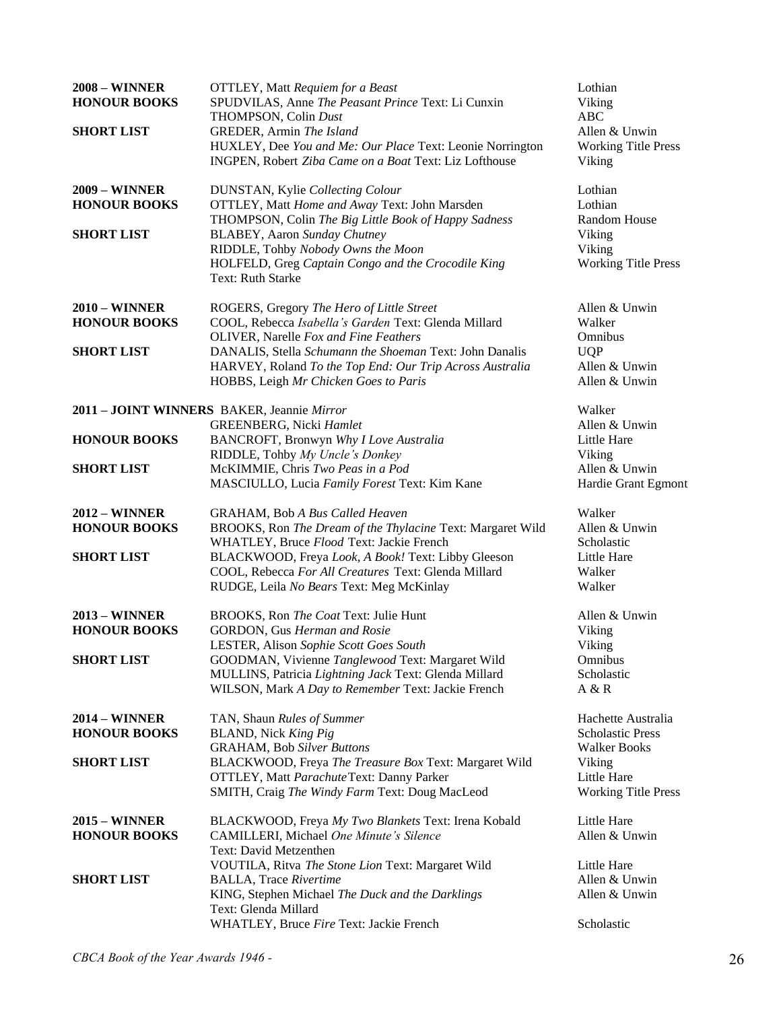| <b>2008 - WINNER</b><br><b>HONOUR BOOKS</b><br><b>SHORT LIST</b>   | <b>OTTLEY</b> , Matt Requiem for a Beast<br>SPUDVILAS, Anne The Peasant Prince Text: Li Cunxin<br>THOMPSON, Colin Dust<br>GREDER, Armin The Island<br>HUXLEY, Dee You and Me: Our Place Text: Leonie Norrington<br>INGPEN, Robert Ziba Came on a Boat Text: Liz Lofthouse                                  | Lothian<br>Viking<br><b>ABC</b><br>Allen & Unwin<br><b>Working Title Press</b><br>Viking                                    |
|--------------------------------------------------------------------|------------------------------------------------------------------------------------------------------------------------------------------------------------------------------------------------------------------------------------------------------------------------------------------------------------|-----------------------------------------------------------------------------------------------------------------------------|
| <b>2009 – WINNER</b><br><b>HONOUR BOOKS</b><br><b>SHORT LIST</b>   | DUNSTAN, Kylie Collecting Colour<br>OTTLEY, Matt Home and Away Text: John Marsden<br>THOMPSON, Colin The Big Little Book of Happy Sadness<br><b>BLABEY</b> , Aaron Sunday Chutney<br>RIDDLE, Tohby Nobody Owns the Moon<br>HOLFELD, Greg Captain Congo and the Crocodile King<br>Text: Ruth Starke         | Lothian<br>Lothian<br>Random House<br>Viking<br>Viking<br><b>Working Title Press</b>                                        |
| $2010 - \text{WINNER}$<br><b>HONOUR BOOKS</b><br><b>SHORT LIST</b> | ROGERS, Gregory The Hero of Little Street<br>COOL, Rebecca Isabella's Garden Text: Glenda Millard<br>OLIVER, Narelle Fox and Fine Feathers<br>DANALIS, Stella Schumann the Shoeman Text: John Danalis<br>HARVEY, Roland To the Top End: Our Trip Across Australia<br>HOBBS, Leigh Mr Chicken Goes to Paris | Allen & Unwin<br>Walker<br>Omnibus<br><b>UQP</b><br>Allen & Unwin<br>Allen & Unwin                                          |
| <b>HONOUR BOOKS</b><br><b>SHORT LIST</b>                           | 2011 - JOINT WINNERS BAKER, Jeannie Mirror<br>GREENBERG, Nicki Hamlet<br>BANCROFT, Bronwyn Why I Love Australia<br>RIDDLE, Tohby My Uncle's Donkey<br>McKIMMIE, Chris Two Peas in a Pod<br>MASCIULLO, Lucia Family Forest Text: Kim Kane                                                                   | Walker<br>Allen & Unwin<br>Little Hare<br>Viking<br>Allen & Unwin<br>Hardie Grant Egmont                                    |
| $2012 - \text{WINNER}$<br><b>HONOUR BOOKS</b><br><b>SHORT LIST</b> | <b>GRAHAM, Bob A Bus Called Heaven</b><br>BROOKS, Ron The Dream of the Thylacine Text: Margaret Wild<br>WHATLEY, Bruce Flood Text: Jackie French<br>BLACKWOOD, Freya Look, A Book! Text: Libby Gleeson<br>COOL, Rebecca For All Creatures Text: Glenda Millard<br>RUDGE, Leila No Bears Text: Meg McKinlay | Walker<br>Allen & Unwin<br>Scholastic<br>Little Hare<br>Walker<br>Walker                                                    |
| $2013 - \text{WINNER}$<br><b>HONOUR BOOKS</b><br><b>SHORT LIST</b> | BROOKS, Ron The Coat Text: Julie Hunt<br>GORDON, Gus Herman and Rosie<br>LESTER, Alison Sophie Scott Goes South<br>GOODMAN, Vivienne Tanglewood Text: Margaret Wild<br>MULLINS, Patricia Lightning Jack Text: Glenda Millard<br>WILSON, Mark A Day to Remember Text: Jackie French                         | Allen & Unwin<br>Viking<br>Viking<br>Omnibus<br>Scholastic<br>A & R                                                         |
| <b>2014 - WINNER</b><br><b>HONOUR BOOKS</b><br><b>SHORT LIST</b>   | TAN, Shaun Rules of Summer<br>BLAND, Nick King Pig<br><b>GRAHAM, Bob Silver Buttons</b><br>BLACKWOOD, Freya The Treasure Box Text: Margaret Wild<br>OTTLEY, Matt Parachute Text: Danny Parker<br>SMITH, Craig The Windy Farm Text: Doug MacLeod                                                            | Hachette Australia<br><b>Scholastic Press</b><br><b>Walker Books</b><br>Viking<br>Little Hare<br><b>Working Title Press</b> |
| <b>2015 - WINNER</b><br><b>HONOUR BOOKS</b><br><b>SHORT LIST</b>   | BLACKWOOD, Freya My Two Blankets Text: Irena Kobald<br>CAMILLERI, Michael One Minute's Silence<br>Text: David Metzenthen<br>VOUTILA, Ritva The Stone Lion Text: Margaret Wild<br><b>BALLA, Trace Rivertime</b><br>KING, Stephen Michael The Duck and the Darklings                                         | Little Hare<br>Allen & Unwin<br>Little Hare<br>Allen & Unwin<br>Allen & Unwin                                               |
|                                                                    | Text: Glenda Millard<br>WHATLEY, Bruce Fire Text: Jackie French                                                                                                                                                                                                                                            | Scholastic                                                                                                                  |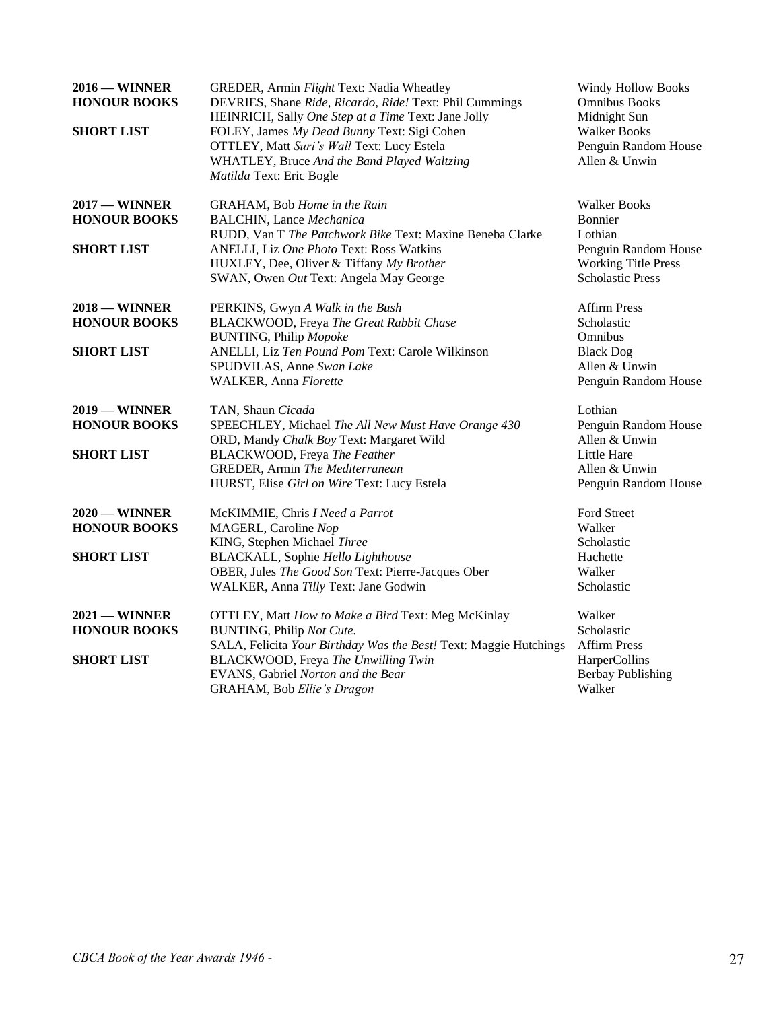| $2016 -$ WINNER<br><b>HONOUR BOOKS</b><br><b>SHORT LIST</b> | GREDER, Armin Flight Text: Nadia Wheatley<br>DEVRIES, Shane Ride, Ricardo, Ride! Text: Phil Cummings<br>HEINRICH, Sally One Step at a Time Text: Jane Jolly<br>FOLEY, James My Dead Bunny Text: Sigi Cohen<br><b>OTTLEY, Matt Suri's Wall Text: Lucy Estela</b><br>WHATLEY, Bruce And the Band Played Waltzing<br>Matilda Text: Eric Bogle | <b>Windy Hollow Books</b><br><b>Omnibus Books</b><br>Midnight Sun<br><b>Walker Books</b><br>Penguin Random House<br>Allen & Unwin |
|-------------------------------------------------------------|--------------------------------------------------------------------------------------------------------------------------------------------------------------------------------------------------------------------------------------------------------------------------------------------------------------------------------------------|-----------------------------------------------------------------------------------------------------------------------------------|
| $2017 -$ WINNER<br><b>HONOUR BOOKS</b><br><b>SHORT LIST</b> | GRAHAM, Bob Home in the Rain<br><b>BALCHIN</b> , Lance Mechanica<br>RUDD, Van T The Patchwork Bike Text: Maxine Beneba Clarke<br>ANELLI, Liz One Photo Text: Ross Watkins<br>HUXLEY, Dee, Oliver & Tiffany My Brother<br>SWAN, Owen Out Text: Angela May George                                                                            | <b>Walker Books</b><br>Bonnier<br>Lothian<br>Penguin Random House<br><b>Working Title Press</b><br><b>Scholastic Press</b>        |
| $2018 -$ WINNER<br><b>HONOUR BOOKS</b><br><b>SHORT LIST</b> | PERKINS, Gwyn A Walk in the Bush<br>BLACKWOOD, Freya The Great Rabbit Chase<br><b>BUNTING, Philip Mopoke</b><br>ANELLI, Liz Ten Pound Pom Text: Carole Wilkinson<br>SPUDVILAS, Anne Swan Lake<br>WALKER, Anna Florette                                                                                                                     | <b>Affirm Press</b><br>Scholastic<br>Omnibus<br><b>Black Dog</b><br>Allen & Unwin<br>Penguin Random House                         |
| $2019 -$ WINNER<br><b>HONOUR BOOKS</b><br><b>SHORT LIST</b> | TAN, Shaun Cicada<br>SPEECHLEY, Michael The All New Must Have Orange 430<br>ORD, Mandy Chalk Boy Text: Margaret Wild<br>BLACKWOOD, Freya The Feather<br>GREDER, Armin The Mediterranean<br>HURST, Elise Girl on Wire Text: Lucy Estela                                                                                                     | Lothian<br>Penguin Random House<br>Allen & Unwin<br>Little Hare<br>Allen & Unwin<br>Penguin Random House                          |
| $2020$ — WINNER<br><b>HONOUR BOOKS</b><br><b>SHORT LIST</b> | McKIMMIE, Chris I Need a Parrot<br>MAGERL, Caroline Nop<br>KING, Stephen Michael Three<br>BLACKALL, Sophie Hello Lighthouse<br>OBER, Jules The Good Son Text: Pierre-Jacques Ober<br>WALKER, Anna Tilly Text: Jane Godwin                                                                                                                  | Ford Street<br>Walker<br>Scholastic<br>Hachette<br>Walker<br>Scholastic                                                           |
| $2021 -$ WINNER<br><b>HONOUR BOOKS</b><br><b>SHORT LIST</b> | OTTLEY, Matt How to Make a Bird Text: Meg McKinlay<br>BUNTING, Philip Not Cute.<br>SALA, Felicita Your Birthday Was the Best! Text: Maggie Hutchings<br>BLACKWOOD, Freya The Unwilling Twin<br>EVANS, Gabriel Norton and the Bear<br>GRAHAM, Bob Ellie's Dragon                                                                            | Walker<br>Scholastic<br><b>Affirm Press</b><br>HarperCollins<br><b>Berbay Publishing</b><br>Walker                                |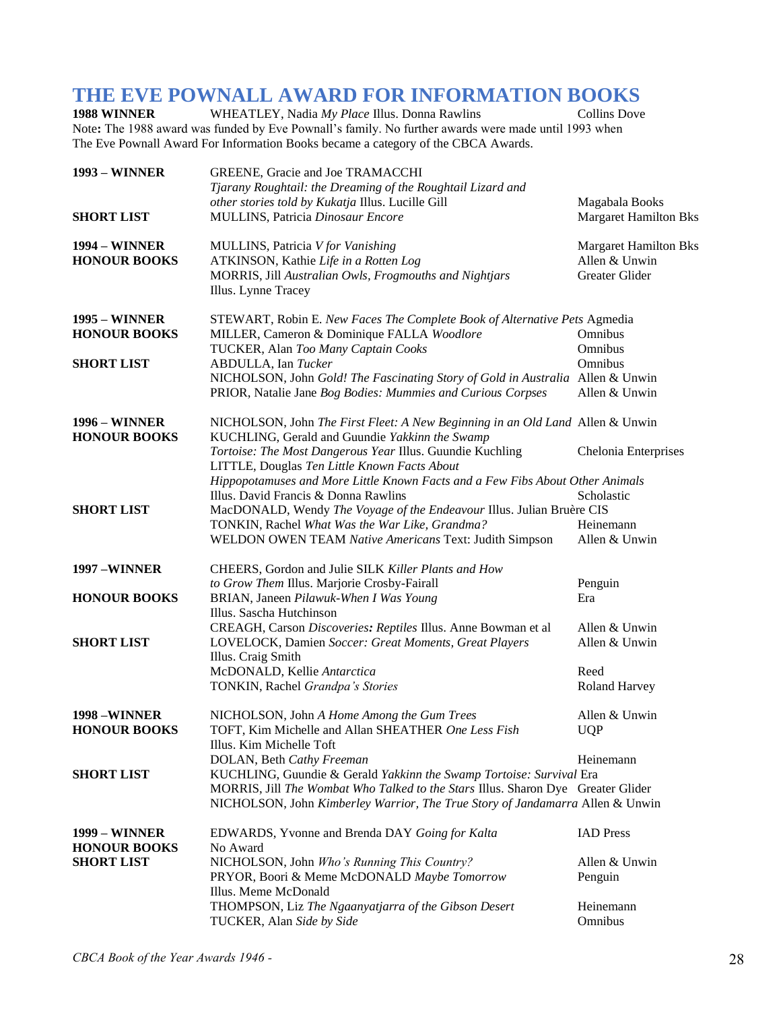# **THE EVE POWNALL AWARD FOR INFORMATION BOOKS**<br>1988 WINNER WHEATLEY, Nadia My Place Illus. Donna Rawlins Collins Dove

WHEATLEY, Nadia *My Place Illus. Donna Rawlins* Note**:** The 1988 award was funded by Eve Pownall's family. No further awards were made until 1993 when The Eve Pownall Award For Information Books became a category of the CBCA Awards.

| <b>1993 – WINNER</b>                        | GREENE, Gracie and Joe TRAMACCHI<br>Tjarany Roughtail: the Dreaming of the Roughtail Lizard and                                                                                                                                                                                                                                                            |                                                                 |
|---------------------------------------------|------------------------------------------------------------------------------------------------------------------------------------------------------------------------------------------------------------------------------------------------------------------------------------------------------------------------------------------------------------|-----------------------------------------------------------------|
| <b>SHORT LIST</b>                           | other stories told by Kukatja Illus. Lucille Gill<br>MULLINS, Patricia Dinosaur Encore                                                                                                                                                                                                                                                                     | Magabala Books<br><b>Margaret Hamilton Bks</b>                  |
| <b>1994 - WINNER</b><br><b>HONOUR BOOKS</b> | MULLINS, Patricia V for Vanishing<br>ATKINSON, Kathie Life in a Rotten Log<br>MORRIS, Jill Australian Owls, Frogmouths and Nightjars<br>Illus. Lynne Tracey                                                                                                                                                                                                | <b>Margaret Hamilton Bks</b><br>Allen & Unwin<br>Greater Glider |
| <b>1995 - WINNER</b><br><b>HONOUR BOOKS</b> | STEWART, Robin E. New Faces The Complete Book of Alternative Pets Agmedia<br>MILLER, Cameron & Dominique FALLA Woodlore                                                                                                                                                                                                                                    | Omnibus                                                         |
| <b>SHORT LIST</b>                           | TUCKER, Alan Too Many Captain Cooks<br>ABDULLA, Ian Tucker<br>NICHOLSON, John Gold! The Fascinating Story of Gold in Australia Allen & Unwin<br>PRIOR, Natalie Jane Bog Bodies: Mummies and Curious Corpses                                                                                                                                                | Omnibus<br>Omnibus<br>Allen & Unwin                             |
| <b>1996 - WINNER</b><br><b>HONOUR BOOKS</b> | NICHOLSON, John The First Fleet: A New Beginning in an Old Land Allen & Unwin<br>KUCHLING, Gerald and Guundie Yakkinn the Swamp<br>Tortoise: The Most Dangerous Year Illus. Guundie Kuchling                                                                                                                                                               | Chelonia Enterprises                                            |
| <b>SHORT LIST</b>                           | LITTLE, Douglas Ten Little Known Facts About<br>Hippopotamuses and More Little Known Facts and a Few Fibs About Other Animals<br>Illus. David Francis & Donna Rawlins<br>MacDONALD, Wendy The Voyage of the Endeavour Illus. Julian Bruère CIS<br>TONKIN, Rachel What Was the War Like, Grandma?<br>WELDON OWEN TEAM Native Americans Text: Judith Simpson | Scholastic<br>Heinemann<br>Allen & Unwin                        |
| <b>1997 -WINNER</b>                         | CHEERS, Gordon and Julie SILK Killer Plants and How                                                                                                                                                                                                                                                                                                        |                                                                 |
| <b>HONOUR BOOKS</b>                         | to Grow Them Illus. Marjorie Crosby-Fairall<br>BRIAN, Janeen Pilawuk-When I Was Young<br>Illus. Sascha Hutchinson                                                                                                                                                                                                                                          | Penguin<br>Era                                                  |
| <b>SHORT LIST</b>                           | CREAGH, Carson Discoveries: Reptiles Illus. Anne Bowman et al<br>LOVELOCK, Damien Soccer: Great Moments, Great Players<br>Illus. Craig Smith                                                                                                                                                                                                               | Allen & Unwin<br>Allen & Unwin                                  |
|                                             | McDONALD, Kellie Antarctica<br>TONKIN, Rachel Grandpa's Stories                                                                                                                                                                                                                                                                                            | Reed<br><b>Roland Harvey</b>                                    |
| 1998 - WINNER<br><b>HONOUR BOOKS</b>        | NICHOLSON, John A Home Among the Gum Trees<br>TOFT, Kim Michelle and Allan SHEATHER One Less Fish<br>Illus. Kim Michelle Toft                                                                                                                                                                                                                              | Allen & Unwin<br><b>UQP</b>                                     |
| <b>SHORT LIST</b>                           | DOLAN, Beth Cathy Freeman<br>KUCHLING, Guundie & Gerald Yakkinn the Swamp Tortoise: Survival Era<br>MORRIS, Jill The Wombat Who Talked to the Stars Illus. Sharon Dye Greater Glider<br>NICHOLSON, John Kimberley Warrior, The True Story of Jandamarra Allen & Unwin                                                                                      | Heinemann                                                       |
| <b>1999 - WINNER</b><br><b>HONOUR BOOKS</b> | EDWARDS, Yvonne and Brenda DAY Going for Kalta<br>No Award                                                                                                                                                                                                                                                                                                 | <b>IAD</b> Press                                                |
| <b>SHORT LIST</b>                           | NICHOLSON, John Who's Running This Country?<br>PRYOR, Boori & Meme McDONALD Maybe Tomorrow<br>Illus. Meme McDonald                                                                                                                                                                                                                                         | Allen & Unwin<br>Penguin                                        |
|                                             | THOMPSON, Liz The Ngaanyatjarra of the Gibson Desert<br>TUCKER, Alan Side by Side                                                                                                                                                                                                                                                                          | Heinemann<br>Omnibus                                            |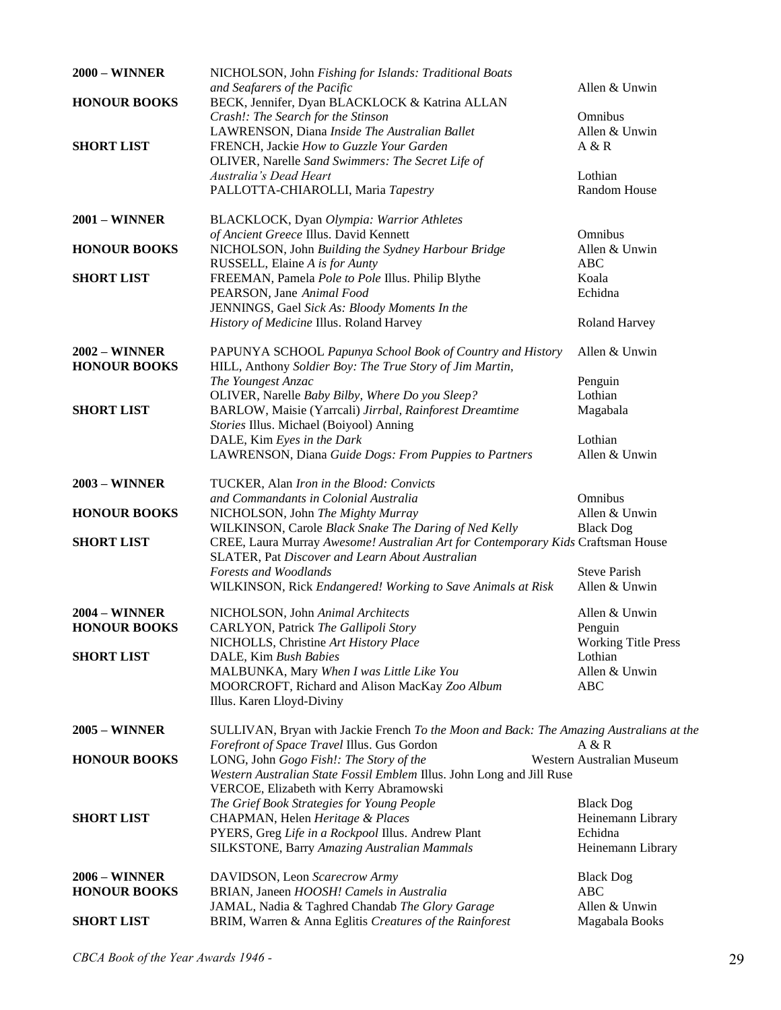| <b>2000 - WINNER</b> | NICHOLSON, John Fishing for Islands: Traditional Boats                                  |                            |
|----------------------|-----------------------------------------------------------------------------------------|----------------------------|
|                      | and Seafarers of the Pacific                                                            | Allen & Unwin              |
| <b>HONOUR BOOKS</b>  | BECK, Jennifer, Dyan BLACKLOCK & Katrina ALLAN                                          |                            |
|                      | Crash!: The Search for the Stinson                                                      | Omnibus                    |
|                      | LAWRENSON, Diana Inside The Australian Ballet                                           | Allen & Unwin              |
| <b>SHORT LIST</b>    | FRENCH, Jackie How to Guzzle Your Garden                                                | A & R                      |
|                      | OLIVER, Narelle Sand Swimmers: The Secret Life of                                       |                            |
|                      | Australia's Dead Heart                                                                  | Lothian                    |
|                      | PALLOTTA-CHIAROLLI, Maria Tapestry                                                      | Random House               |
|                      |                                                                                         |                            |
| <b>2001 – WINNER</b> | BLACKLOCK, Dyan Olympia: Warrior Athletes                                               |                            |
|                      | of Ancient Greece Illus. David Kennett                                                  | Omnibus                    |
| <b>HONOUR BOOKS</b>  | NICHOLSON, John Building the Sydney Harbour Bridge                                      | Allen & Unwin              |
|                      | RUSSELL, Elaine A is for Aunty                                                          | <b>ABC</b>                 |
| <b>SHORT LIST</b>    | FREEMAN, Pamela Pole to Pole Illus. Philip Blythe                                       | Koala                      |
|                      | PEARSON, Jane Animal Food                                                               | Echidna                    |
|                      | JENNINGS, Gael Sick As: Bloody Moments In the                                           |                            |
|                      | History of Medicine Illus. Roland Harvey                                                | <b>Roland Harvey</b>       |
|                      |                                                                                         |                            |
| <b>2002 – WINNER</b> | PAPUNYA SCHOOL Papunya School Book of Country and History                               | Allen & Unwin              |
| <b>HONOUR BOOKS</b>  | HILL, Anthony Soldier Boy: The True Story of Jim Martin,                                |                            |
|                      | The Youngest Anzac                                                                      | Penguin                    |
|                      | OLIVER, Narelle Baby Bilby, Where Do you Sleep?                                         | Lothian                    |
| <b>SHORT LIST</b>    | BARLOW, Maisie (Yarrcali) Jirrbal, Rainforest Dreamtime                                 | Magabala                   |
|                      | Stories Illus. Michael (Boiyool) Anning                                                 |                            |
|                      | DALE, Kim Eyes in the Dark                                                              | Lothian                    |
|                      | LAWRENSON, Diana Guide Dogs: From Puppies to Partners                                   | Allen & Unwin              |
|                      |                                                                                         |                            |
| <b>2003 - WINNER</b> | TUCKER, Alan Iron in the Blood: Convicts                                                |                            |
|                      | and Commandants in Colonial Australia                                                   | Omnibus                    |
| <b>HONOUR BOOKS</b>  | NICHOLSON, John The Mighty Murray                                                       | Allen & Unwin              |
|                      | WILKINSON, Carole Black Snake The Daring of Ned Kelly                                   | <b>Black Dog</b>           |
| <b>SHORT LIST</b>    | CREE, Laura Murray Awesome! Australian Art for Contemporary Kids Craftsman House        |                            |
|                      | SLATER, Pat Discover and Learn About Australian                                         |                            |
|                      | Forests and Woodlands                                                                   | <b>Steve Parish</b>        |
|                      | WILKINSON, Rick Endangered! Working to Save Animals at Risk                             | Allen & Unwin              |
|                      |                                                                                         |                            |
| <b>2004 – WINNER</b> | NICHOLSON, John Animal Architects                                                       | Allen & Unwin              |
| <b>HONOUR BOOKS</b>  | CARLYON, Patrick The Gallipoli Story                                                    | Penguin                    |
|                      | NICHOLLS, Christine Art History Place                                                   | <b>Working Title Press</b> |
| <b>SHORT LIST</b>    | DALE, Kim Bush Babies                                                                   | Lothian                    |
|                      | MALBUNKA, Mary When I was Little Like You                                               | Allen & Unwin              |
|                      | MOORCROFT, Richard and Alison MacKay Zoo Album                                          | ABC                        |
|                      | Illus. Karen Lloyd-Diviny                                                               |                            |
|                      |                                                                                         |                            |
| <b>2005 – WINNER</b> | SULLIVAN, Bryan with Jackie French To the Moon and Back: The Amazing Australians at the |                            |
|                      | Forefront of Space Travel Illus. Gus Gordon                                             | A & R                      |
| <b>HONOUR BOOKS</b>  | LONG, John Gogo Fish!: The Story of the                                                 | Western Australian Museum  |
|                      | Western Australian State Fossil Emblem Illus. John Long and Jill Ruse                   |                            |
|                      | VERCOE, Elizabeth with Kerry Abramowski                                                 |                            |
|                      | The Grief Book Strategies for Young People                                              | <b>Black Dog</b>           |
| <b>SHORT LIST</b>    | CHAPMAN, Helen Heritage & Places                                                        | Heinemann Library          |
|                      | PYERS, Greg Life in a Rockpool Illus. Andrew Plant                                      | Echidna                    |
|                      | <b>SILKSTONE, Barry Amazing Australian Mammals</b>                                      | Heinemann Library          |
|                      |                                                                                         |                            |
| <b>2006 – WINNER</b> | DAVIDSON, Leon Scarecrow Army                                                           | <b>Black Dog</b>           |
| <b>HONOUR BOOKS</b>  | BRIAN, Janeen HOOSH! Camels in Australia                                                | <b>ABC</b>                 |
|                      | JAMAL, Nadia & Taghred Chandab The Glory Garage                                         | Allen & Unwin              |
| <b>SHORT LIST</b>    | BRIM, Warren & Anna Eglitis Creatures of the Rainforest                                 | Magabala Books             |
|                      |                                                                                         |                            |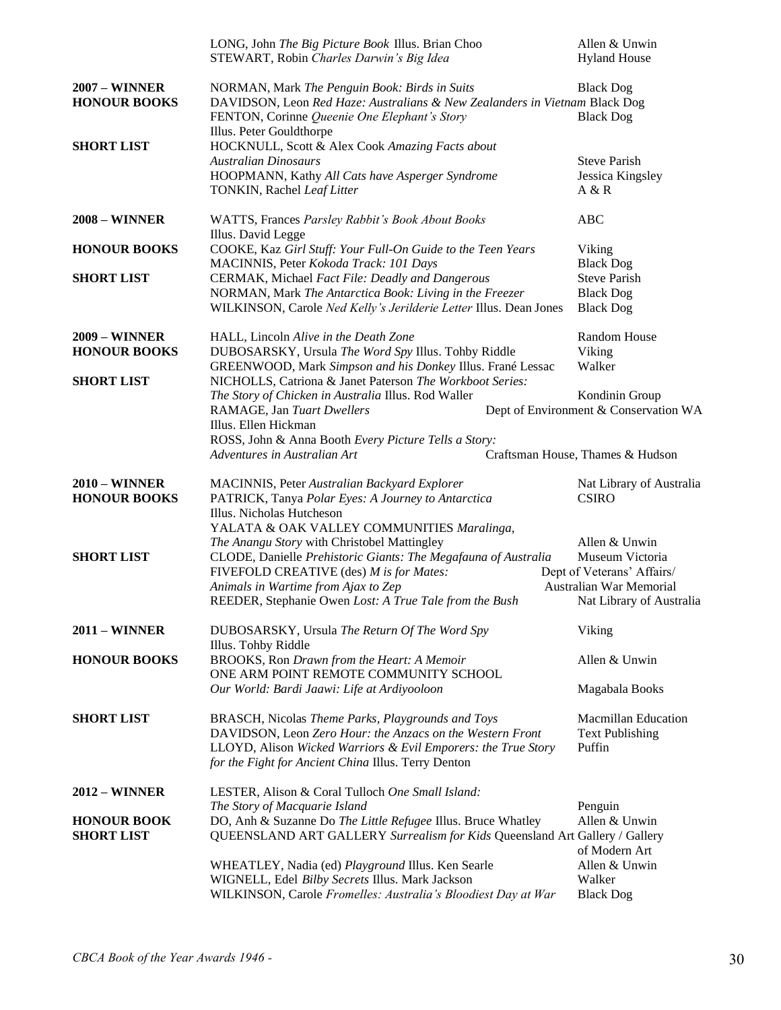|                                             | LONG, John The Big Picture Book Illus. Brian Choo<br>STEWART, Robin Charles Darwin's Big Idea                                                                                                                                                             | Allen & Unwin<br><b>Hyland House</b>                                                                                         |
|---------------------------------------------|-----------------------------------------------------------------------------------------------------------------------------------------------------------------------------------------------------------------------------------------------------------|------------------------------------------------------------------------------------------------------------------------------|
| <b>2007 - WINNER</b><br><b>HONOUR BOOKS</b> | NORMAN, Mark The Penguin Book: Birds in Suits<br>DAVIDSON, Leon Red Haze: Australians & New Zealanders in Vietnam Black Dog<br>FENTON, Corinne Queenie One Elephant's Story<br>Illus. Peter Gouldthorpe                                                   | <b>Black Dog</b><br><b>Black Dog</b>                                                                                         |
| <b>SHORT LIST</b>                           | HOCKNULL, Scott & Alex Cook Amazing Facts about<br><b>Australian Dinosaurs</b><br>HOOPMANN, Kathy All Cats have Asperger Syndrome<br>TONKIN, Rachel Leaf Litter                                                                                           | <b>Steve Parish</b><br>Jessica Kingsley<br>A & R                                                                             |
| <b>2008 – WINNER</b>                        | WATTS, Frances Parsley Rabbit's Book About Books<br>Illus. David Legge                                                                                                                                                                                    | ABC                                                                                                                          |
| <b>HONOUR BOOKS</b>                         | COOKE, Kaz Girl Stuff: Your Full-On Guide to the Teen Years<br>MACINNIS, Peter Kokoda Track: 101 Days                                                                                                                                                     | Viking<br><b>Black Dog</b>                                                                                                   |
| <b>SHORT LIST</b>                           | CERMAK, Michael Fact File: Deadly and Dangerous<br>NORMAN, Mark The Antarctica Book: Living in the Freezer<br>WILKINSON, Carole Ned Kelly's Jerilderie Letter Illus. Dean Jones                                                                           | <b>Steve Parish</b><br><b>Black Dog</b><br><b>Black Dog</b>                                                                  |
| <b>2009 - WINNER</b><br><b>HONOUR BOOKS</b> | HALL, Lincoln Alive in the Death Zone<br>DUBOSARSKY, Ursula The Word Spy Illus. Tohby Riddle                                                                                                                                                              | Random House<br>Viking                                                                                                       |
| <b>SHORT LIST</b>                           | GREENWOOD, Mark Simpson and his Donkey Illus. Frané Lessac<br>NICHOLLS, Catriona & Janet Paterson The Workboot Series:<br>The Story of Chicken in Australia Illus. Rod Waller                                                                             | Walker<br>Kondinin Group                                                                                                     |
|                                             | RAMAGE, Jan Tuart Dwellers<br>Illus. Ellen Hickman<br>ROSS, John & Anna Booth Every Picture Tells a Story:<br>Adventures in Australian Art                                                                                                                | Dept of Environment & Conservation WA<br>Craftsman House, Thames & Hudson                                                    |
| <b>2010 – WINNER</b><br><b>HONOUR BOOKS</b> | MACINNIS, Peter Australian Backyard Explorer<br>PATRICK, Tanya Polar Eyes: A Journey to Antarctica<br>Illus. Nicholas Hutcheson<br>YALATA & OAK VALLEY COMMUNITIES Maralinga,                                                                             | Nat Library of Australia<br><b>CSIRO</b>                                                                                     |
| <b>SHORT LIST</b>                           | The Anangu Story with Christobel Mattingley<br>CLODE, Danielle Prehistoric Giants: The Megafauna of Australia<br>FIVEFOLD CREATIVE (des) M is for Mates:<br>Animals in Wartime from Ajax to Zep<br>REEDER, Stephanie Owen Lost: A True Tale from the Bush | Allen & Unwin<br>Museum Victoria<br>Dept of Veterans' Affairs/<br><b>Australian War Memorial</b><br>Nat Library of Australia |
| <b>2011 - WINNER</b>                        | DUBOSARSKY, Ursula The Return Of The Word Spy<br>Illus. Tohby Riddle                                                                                                                                                                                      | Viking                                                                                                                       |
| <b>HONOUR BOOKS</b>                         | BROOKS, Ron Drawn from the Heart: A Memoir<br>ONE ARM POINT REMOTE COMMUNITY SCHOOL<br>Our World: Bardi Jaawi: Life at Ardiyooloon                                                                                                                        | Allen & Unwin<br>Magabala Books                                                                                              |
| <b>SHORT LIST</b>                           | BRASCH, Nicolas Theme Parks, Playgrounds and Toys<br>DAVIDSON, Leon Zero Hour: the Anzacs on the Western Front<br>LLOYD, Alison Wicked Warriors & Evil Emporers: the True Story<br>for the Fight for Ancient China Illus. Terry Denton                    | <b>Macmillan Education</b><br><b>Text Publishing</b><br>Puffin                                                               |
| <b>2012 – WINNER</b>                        | LESTER, Alison & Coral Tulloch One Small Island:<br>The Story of Macquarie Island                                                                                                                                                                         | Penguin                                                                                                                      |
| <b>HONOUR BOOK</b><br><b>SHORT LIST</b>     | DO, Anh & Suzanne Do The Little Refugee Illus. Bruce Whatley<br>QUEENSLAND ART GALLERY Surrealism for Kids Queensland Art Gallery / Gallery                                                                                                               | Allen & Unwin<br>of Modern Art                                                                                               |
|                                             | WHEATLEY, Nadia (ed) Playground Illus. Ken Searle<br>WIGNELL, Edel Bilby Secrets Illus. Mark Jackson<br>WILKINSON, Carole Fromelles: Australia's Bloodiest Day at War                                                                                     | Allen & Unwin<br>Walker<br><b>Black Dog</b>                                                                                  |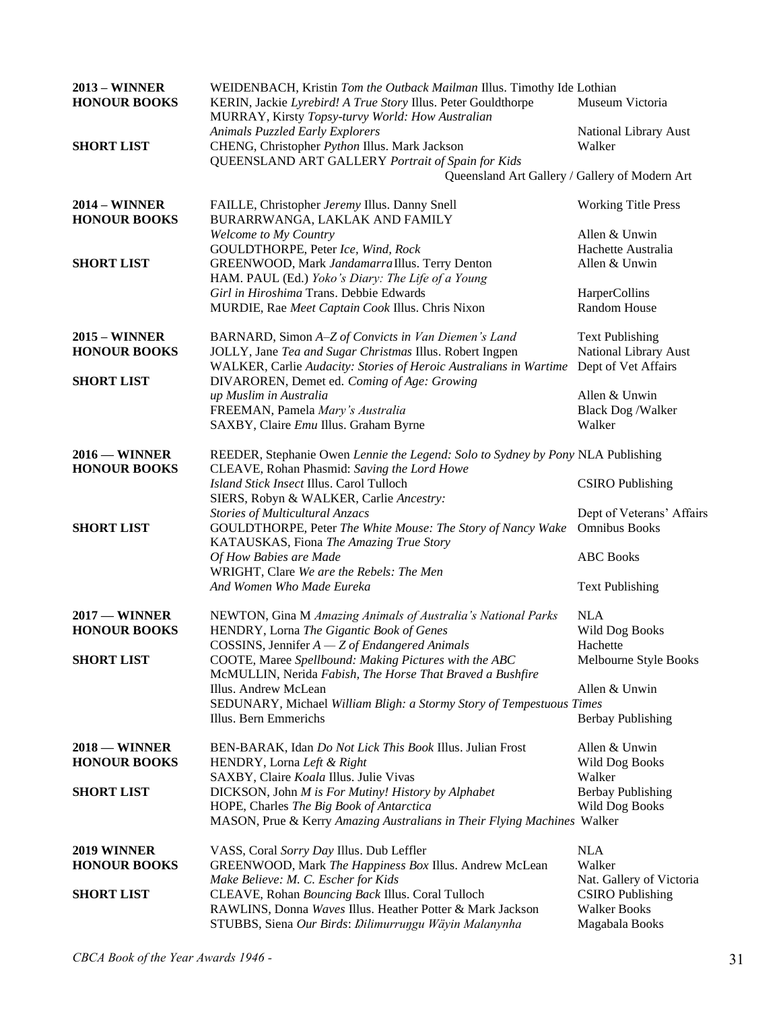| <b>2013 - WINNER</b>   | WEIDENBACH, Kristin Tom the Outback Mailman Illus. Timothy Ide Lothian                  |                                                |
|------------------------|-----------------------------------------------------------------------------------------|------------------------------------------------|
| <b>HONOUR BOOKS</b>    | KERIN, Jackie Lyrebird! A True Story Illus. Peter Gouldthorpe                           | Museum Victoria                                |
|                        | MURRAY, Kirsty Topsy-turvy World: How Australian                                        |                                                |
|                        | Animals Puzzled Early Explorers                                                         | National Library Aust                          |
| <b>SHORT LIST</b>      | CHENG, Christopher Python Illus. Mark Jackson                                           | Walker                                         |
|                        | QUEENSLAND ART GALLERY Portrait of Spain for Kids                                       |                                                |
|                        | Queensland Art Gallery / Gallery of Modern Art                                          |                                                |
| <b>2014 – WINNER</b>   | FAILLE, Christopher Jeremy Illus. Danny Snell                                           | <b>Working Title Press</b>                     |
| <b>HONOUR BOOKS</b>    | BURARRWANGA, LAKLAK AND FAMILY                                                          |                                                |
|                        | Welcome to My Country                                                                   | Allen & Unwin                                  |
|                        | GOULDTHORPE, Peter Ice, Wind, Rock                                                      | Hachette Australia                             |
| <b>SHORT LIST</b>      | GREENWOOD, Mark Jandamarra Illus. Terry Denton                                          | Allen & Unwin                                  |
|                        | HAM. PAUL (Ed.) Yoko's Diary: The Life of a Young                                       |                                                |
|                        | Girl in Hiroshima Trans. Debbie Edwards                                                 | HarperCollins                                  |
|                        | MURDIE, Rae Meet Captain Cook Illus. Chris Nixon                                        | Random House                                   |
| $2015 - \text{WINNER}$ | BARNARD, Simon A-Z of Convicts in Van Diemen's Land                                     | <b>Text Publishing</b>                         |
| <b>HONOUR BOOKS</b>    | JOLLY, Jane Tea and Sugar Christmas Illus. Robert Ingpen                                | National Library Aust                          |
|                        | WALKER, Carlie Audacity: Stories of Heroic Australians in Wartime                       | Dept of Vet Affairs                            |
| <b>SHORT LIST</b>      | DIVAROREN, Demet ed. Coming of Age: Growing                                             |                                                |
|                        | up Muslim in Australia                                                                  | Allen & Unwin                                  |
|                        | FREEMAN, Pamela Mary's Australia                                                        | <b>Black Dog /Walker</b>                       |
|                        | SAXBY, Claire Emu Illus. Graham Byrne                                                   | Walker                                         |
|                        |                                                                                         |                                                |
| $2016$ – WINNER        | REEDER, Stephanie Owen Lennie the Legend: Solo to Sydney by Pony NLA Publishing         |                                                |
| <b>HONOUR BOOKS</b>    | CLEAVE, Rohan Phasmid: Saving the Lord Howe                                             |                                                |
|                        | Island Stick Insect Illus. Carol Tulloch                                                | <b>CSIRO</b> Publishing                        |
|                        | SIERS, Robyn & WALKER, Carlie Ancestry:                                                 |                                                |
|                        | <b>Stories of Multicultural Anzacs</b>                                                  | Dept of Veterans' Affairs                      |
| <b>SHORT LIST</b>      | GOULDTHORPE, Peter The White Mouse: The Story of Nancy Wake                             | <b>Omnibus Books</b>                           |
|                        | KATAUSKAS, Fiona The Amazing True Story                                                 |                                                |
|                        | Of How Babies are Made                                                                  | <b>ABC</b> Books                               |
|                        | WRIGHT, Clare We are the Rebels: The Men                                                |                                                |
|                        | And Women Who Made Eureka                                                               | <b>Text Publishing</b>                         |
| $2017 -$ WINNER        | NEWTON, Gina M Amazing Animals of Australia's National Parks                            | <b>NLA</b>                                     |
| <b>HONOUR BOOKS</b>    | HENDRY, Lorna The Gigantic Book of Genes                                                | Wild Dog Books                                 |
|                        | COSSINS, Jennifer $A - Z$ of Endangered Animals                                         | Hachette                                       |
| <b>SHORT LIST</b>      | COOTE, Maree Spellbound: Making Pictures with the ABC                                   | Melbourne Style Books                          |
|                        | McMULLIN, Nerida Fabish, The Horse That Braved a Bushfire                               |                                                |
|                        | Illus. Andrew McLean                                                                    | Allen & Unwin                                  |
|                        | SEDUNARY, Michael William Bligh: a Stormy Story of Tempestuous Times                    |                                                |
|                        | Illus. Bern Emmerichs                                                                   | <b>Berbay Publishing</b>                       |
| $2018 -$ WINNER        | BEN-BARAK, Idan Do Not Lick This Book Illus. Julian Frost                               | Allen & Unwin                                  |
| <b>HONOUR BOOKS</b>    | HENDRY, Lorna Left & Right                                                              | Wild Dog Books                                 |
|                        | SAXBY, Claire Koala Illus. Julie Vivas                                                  | Walker                                         |
| <b>SHORT LIST</b>      | DICKSON, John M is For Mutiny! History by Alphabet                                      | <b>Berbay Publishing</b>                       |
|                        | HOPE, Charles The Big Book of Antarctica                                                | Wild Dog Books                                 |
|                        | MASON, Prue & Kerry Amazing Australians in Their Flying Machines Walker                 |                                                |
| 2019 WINNER            | VASS, Coral Sorry Day Illus. Dub Leffler                                                | <b>NLA</b>                                     |
| <b>HONOUR BOOKS</b>    | GREENWOOD, Mark The Happiness Box Illus. Andrew McLean                                  | Walker                                         |
|                        |                                                                                         |                                                |
| <b>SHORT LIST</b>      | Make Believe: M. C. Escher for Kids<br>CLEAVE, Rohan Bouncing Back Illus. Coral Tulloch | Nat. Gallery of Victoria                       |
|                        | RAWLINS, Donna Waves Illus. Heather Potter & Mark Jackson                               | <b>CSIRO</b> Publishing<br><b>Walker Books</b> |
|                        |                                                                                         |                                                |
|                        | STUBBS, Siena Our Birds: Dilimurruŋgu Wäyin Malanynha                                   | Magabala Books                                 |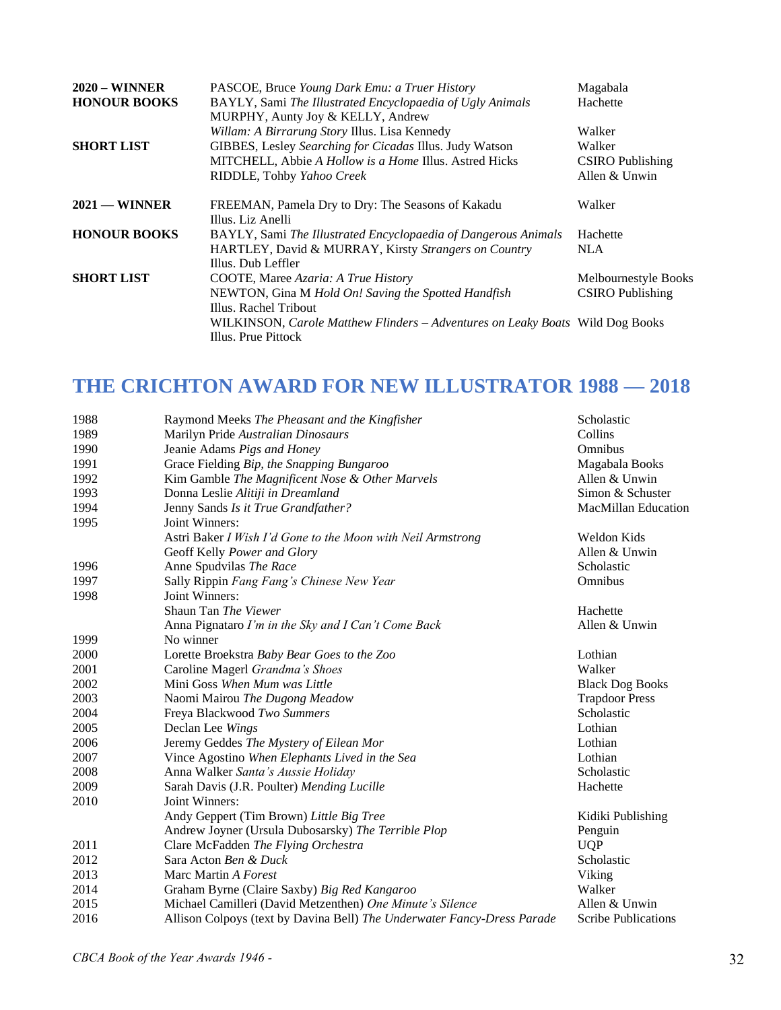| $2020 - \text{WINNER}$<br><b>HONOUR BOOKS</b> | PASCOE, Bruce Young Dark Emu: a Truer History<br>BAYLY, Sami The Illustrated Encyclopaedia of Ugly Animals<br>MURPHY, Aunty Joy & KELLY, Andrew                                                                             | Magabala<br>Hachette                                         |
|-----------------------------------------------|-----------------------------------------------------------------------------------------------------------------------------------------------------------------------------------------------------------------------------|--------------------------------------------------------------|
| <b>SHORT LIST</b>                             | Willam: A Birrarung Story Illus. Lisa Kennedy<br>GIBBES, Lesley Searching for Cicadas Illus. Judy Watson<br>MITCHELL, Abbie A Hollow is a Home Illus. Astred Hicks<br>RIDDLE, Tohby Yahoo Creek                             | Walker<br>Walker<br><b>CSIRO</b> Publishing<br>Allen & Unwin |
| $2021$ — WINNER                               | FREEMAN, Pamela Dry to Dry: The Seasons of Kakadu<br>Illus. Liz Anelli                                                                                                                                                      | Walker                                                       |
| <b>HONOUR BOOKS</b>                           | BAYLY, Sami The Illustrated Encyclopaedia of Dangerous Animals<br>HARTLEY, David & MURRAY, Kirsty Strangers on Country<br>Illus. Dub Leffler                                                                                | Hachette<br>NLA                                              |
| <b>SHORT LIST</b>                             | COOTE, Maree Azaria: A True History<br>NEWTON, Gina M Hold On! Saving the Spotted Handfish<br>Illus. Rachel Tribout<br>WILKINSON, Carole Matthew Flinders – Adventures on Leaky Boats Wild Dog Books<br>Illus. Prue Pittock | Melbournestyle Books<br><b>CSIRO</b> Publishing              |

## **THE CRICHTON AWARD FOR NEW ILLUSTRATOR 1988 — 2018**

| 1988 | Raymond Meeks The Pheasant and the Kingfisher                           | Scholastic                 |
|------|-------------------------------------------------------------------------|----------------------------|
| 1989 | Marilyn Pride Australian Dinosaurs                                      | Collins                    |
| 1990 | Jeanie Adams Pigs and Honey                                             | Omnibus                    |
| 1991 | Grace Fielding Bip, the Snapping Bungaroo                               | Magabala Books             |
| 1992 | Kim Gamble The Magnificent Nose & Other Marvels                         | Allen & Unwin              |
| 1993 | Donna Leslie Alitiji in Dreamland                                       | Simon & Schuster           |
| 1994 | Jenny Sands Is it True Grandfather?                                     | <b>MacMillan Education</b> |
| 1995 | Joint Winners:                                                          |                            |
|      | Astri Baker I Wish I'd Gone to the Moon with Neil Armstrong             | Weldon Kids                |
|      | Geoff Kelly Power and Glory                                             | Allen & Unwin              |
| 1996 | Anne Spudvilas The Race                                                 | Scholastic                 |
| 1997 | Sally Rippin Fang Fang's Chinese New Year                               | Omnibus                    |
| 1998 | Joint Winners:                                                          |                            |
|      | Shaun Tan The Viewer                                                    | Hachette                   |
|      | Anna Pignataro I'm in the Sky and I Can't Come Back                     | Allen & Unwin              |
| 1999 | No winner                                                               |                            |
| 2000 | Lorette Broekstra Baby Bear Goes to the Zoo                             | Lothian                    |
| 2001 | Caroline Magerl Grandma's Shoes                                         | Walker                     |
| 2002 | Mini Goss When Mum was Little                                           | <b>Black Dog Books</b>     |
| 2003 | Naomi Mairou The Dugong Meadow                                          | <b>Trapdoor Press</b>      |
| 2004 | Freya Blackwood Two Summers                                             | Scholastic                 |
| 2005 | Declan Lee Wings                                                        | Lothian                    |
| 2006 | Jeremy Geddes The Mystery of Eilean Mor                                 | Lothian                    |
| 2007 | Vince Agostino When Elephants Lived in the Sea                          | Lothian                    |
| 2008 | Anna Walker Santa's Aussie Holiday                                      | Scholastic                 |
| 2009 | Sarah Davis (J.R. Poulter) Mending Lucille                              | Hachette                   |
| 2010 | Joint Winners:                                                          |                            |
|      | Andy Geppert (Tim Brown) Little Big Tree                                | Kidiki Publishing          |
|      | Andrew Joyner (Ursula Dubosarsky) The Terrible Plop                     | Penguin                    |
| 2011 | Clare McFadden The Flying Orchestra                                     | <b>UQP</b>                 |
| 2012 | Sara Acton Ben & Duck                                                   | Scholastic                 |
| 2013 | Marc Martin A Forest                                                    | Viking                     |
| 2014 | Graham Byrne (Claire Saxby) Big Red Kangaroo                            | Walker                     |
| 2015 | Michael Camilleri (David Metzenthen) One Minute's Silence               | Allen & Unwin              |
| 2016 | Allison Colpoys (text by Davina Bell) The Underwater Fancy-Dress Parade | <b>Scribe Publications</b> |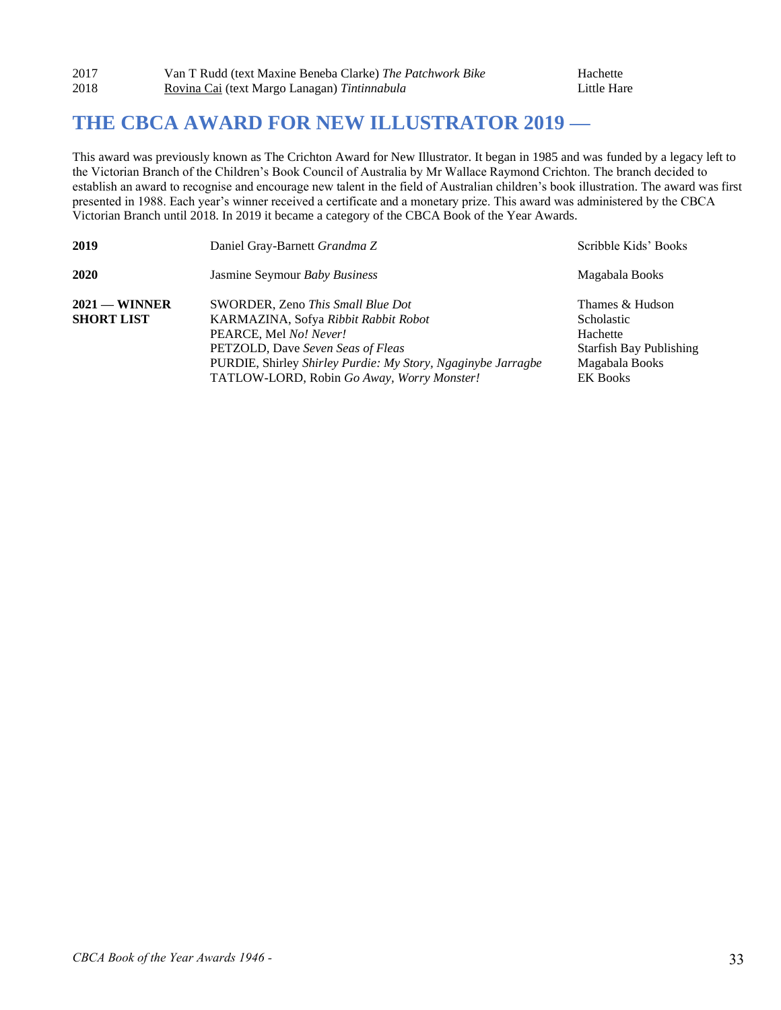### **THE CBCA AWARD FOR NEW ILLUSTRATOR 2019 —**

This award was previously known as The Crichton Award for New Illustrator. It began in 1985 and was funded by a legacy left to the Victorian Branch of the Children's Book Council of Australia by Mr Wallace Raymond Crichton. The branch decided to establish an award to recognise and encourage new talent in the field of Australian children's book illustration. The award was first presented in 1988. Each year's winner received a certificate and a monetary prize. This award was administered by the CBCA Victorian Branch until 2018. In 2019 it became a category of the CBCA Book of the Year Awards.

| 2019                                 | Daniel Gray-Barnett Grandma Z                                                                                                                                                                                                                          | Scribble Kids' Books                                                                                                    |
|--------------------------------------|--------------------------------------------------------------------------------------------------------------------------------------------------------------------------------------------------------------------------------------------------------|-------------------------------------------------------------------------------------------------------------------------|
| 2020                                 | Jasmine Seymour Baby Business                                                                                                                                                                                                                          | Magabala Books                                                                                                          |
| $2021$ — WINNER<br><b>SHORT LIST</b> | SWORDER, Zeno This Small Blue Dot<br>KARMAZINA, Sofya Ribbit Rabbit Robot<br>PEARCE, Mel No! Never!<br>PETZOLD, Dave Seven Seas of Fleas<br>PURDIE, Shirley Shirley Purdie: My Story, Ngaginybe Jarragbe<br>TATLOW-LORD, Robin Go Away, Worry Monster! | Thames & Hudson<br><b>Scholastic</b><br>Hachette<br><b>Starfish Bay Publishing</b><br>Magabala Books<br><b>EK Books</b> |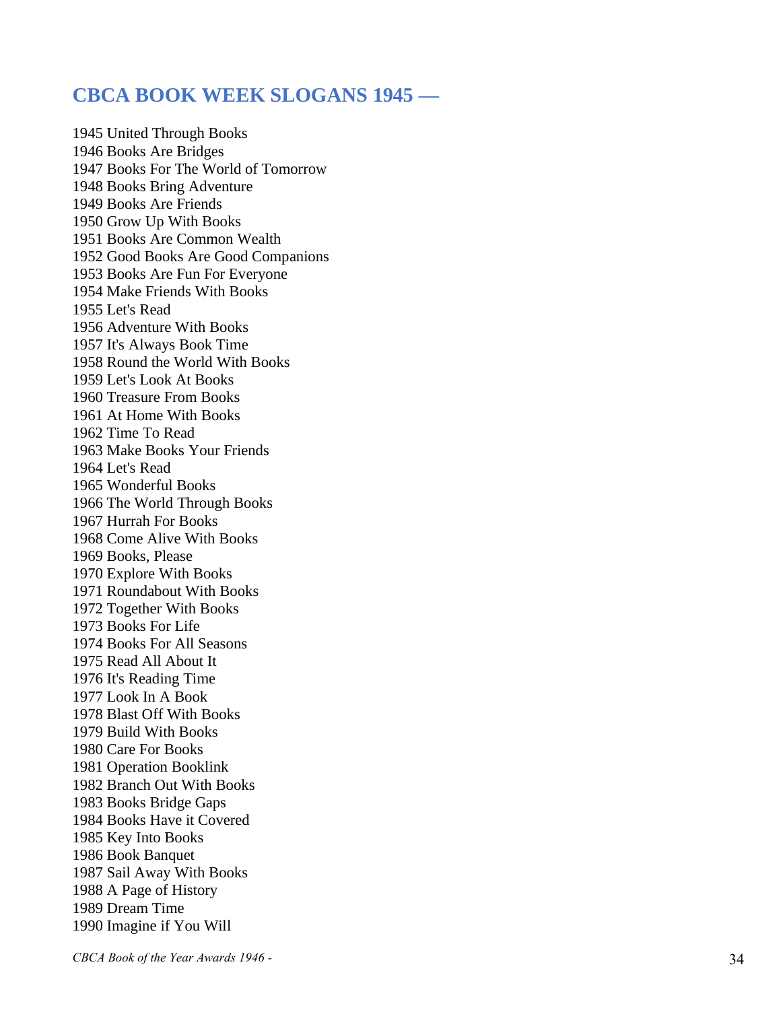### **CBCA BOOK WEEK SLOGANS 1945 —**

1945 United Through Books 1946 Books Are Bridges 1947 Books For The World of Tomorrow 1948 Books Bring Adventure 1949 Books Are Friends 1950 Grow Up With Books 1951 Books Are Common Wealth 1952 Good Books Are Good Companions 1953 Books Are Fun For Everyone 1954 Make Friends With Books 1955 Let's Read 1956 Adventure With Books 1957 It's Always Book Time 1958 Round the World With Books 1959 Let's Look At Books 1960 Treasure From Books 1961 At Home With Books 1962 Time To Read 1963 Make Books Your Friends 1964 Let's Read 1965 Wonderful Books 1966 The World Through Books 1967 Hurrah For Books 1968 Come Alive With Books 1969 Books, Please 1970 Explore With Books 1971 Roundabout With Books 1972 Together With Books 1973 Books For Life 1974 Books For All Seasons 1975 Read All About It 1976 It's Reading Time 1977 Look In A Book 1978 Blast Off With Books 1979 Build With Books 1980 Care For Books 1981 Operation Booklink 1982 Branch Out With Books 1983 Books Bridge Gaps 1984 Books Have it Covered 1985 Key Into Books 1986 Book Banquet 1987 Sail Away With Books 1988 A Page of History 1989 Dream Time 1990 Imagine if You Will